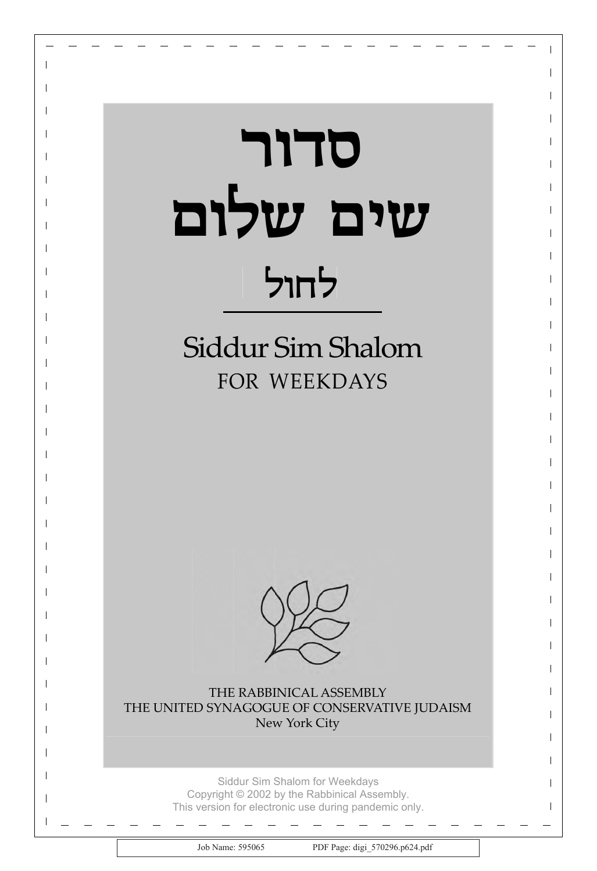# לחול שים שלום סדור

# FOR WEEKDAYS Siddur Sim Shalom



THE RABBINICAL ASSEMBLY THE UNITED SYNAGOGUE OF CONSERVATIVE JUDAISM New York City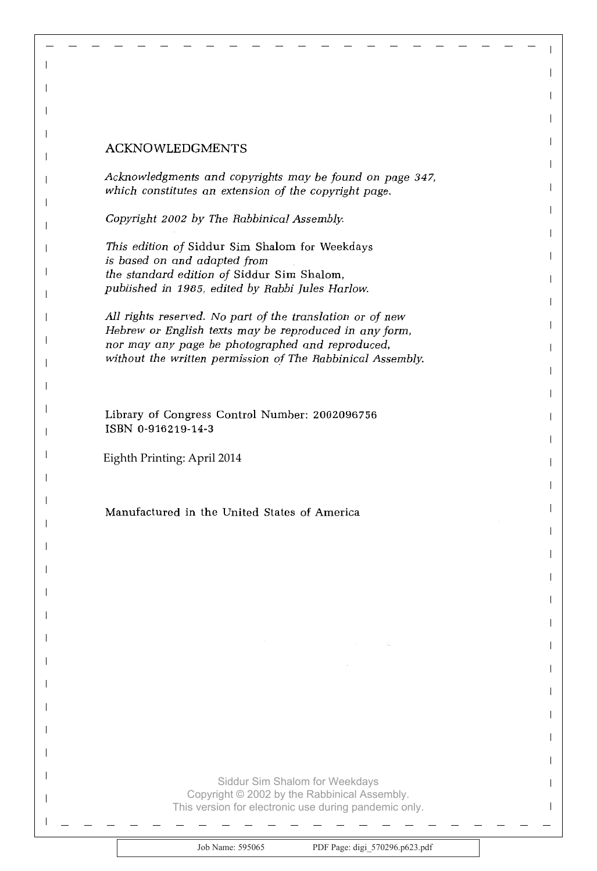#### **ACKNOWLEDGMENTS**

Acknowledgments and copyrights may be found on page 347, which constitutes an extension of the copyright page.

Copyright 2002 by The Rabbinical Assembly.

This edition of Siddur Sim Shalom for Weekdays is based on and adapted from the standard edition of Siddur Sim Shalom, published in 1985, edited by Rabbi Jules Harlow.

All rights reserved. No part of the translation or of new Hebrew or English texts may be reproduced in any form, nor may any page be photographed and reproduced, without the written permission of The Rabbinical Assembly.

Library of Congress Control Number: 2002096756 ISBN 0-916219-14-3

Eighth Printing: April 2014

Manufactured in the United States of America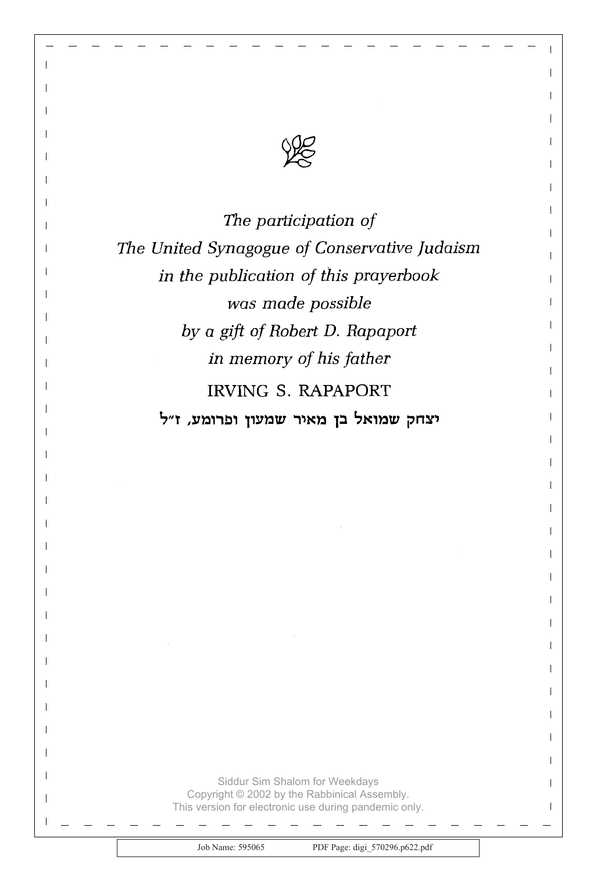

The participation of The United Synagogue of Conservative Judaism in the publication of this prayerbook was made possible by a gift of Robert D. Rapaport in memory of his father **IRVING S. RAPAPORT** יצחק שמואל בן מאיר שמעון ופרומע, ז"ל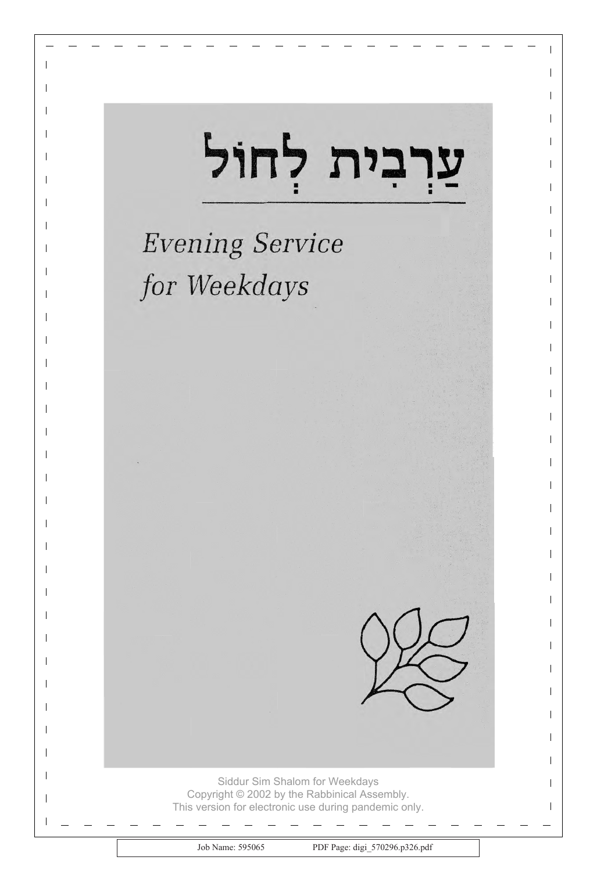# רבית לחול

# **Evening Service** for Weekdays

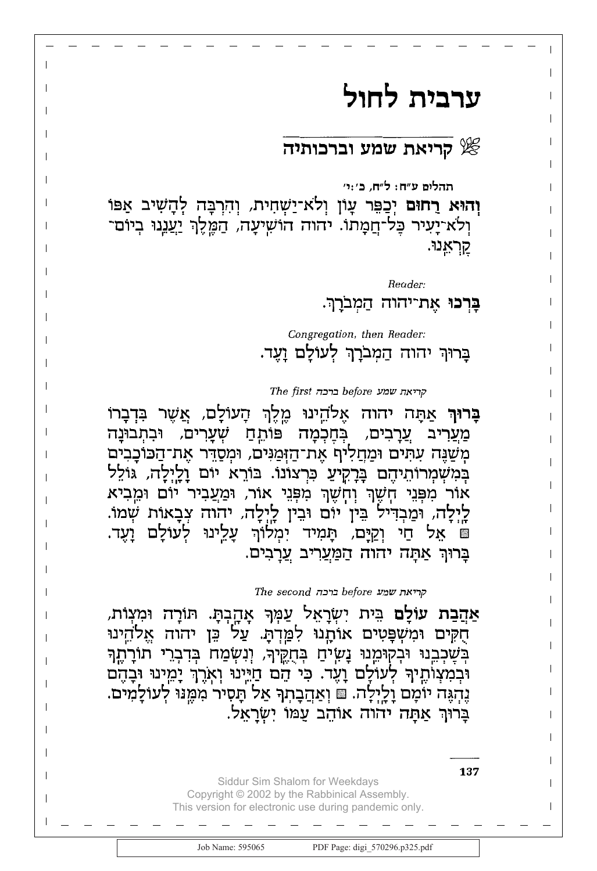## ערבית לחול

### קריאת שמע וברכותיה  $\mathscr{\mathscr{C}}$

תהלים ע״ח: ל״ח, כ׳:י׳

וְהוּא רַחוּם יְכַפֵּר עָוֹן וְלֹא־יַשְׁחִית, וְהִרְבָּה לְהָשִׁיב אַפּוֹ וְלֹא־יַעִיר כַּל־חֲמַתוֹ. יהוה הוֹשִׁיעָה, הַמֶּלֶךְ יַעֲנֵנוּ בְיוֹם־ ַקַרְאֵנוּ.

Reader:

בַּרִכוּ אֶת־יהוה הַמְבֹרַךְ.

Congregation, then Reader: בָרוּךְ יהוה הַמְבֹרָךְ לְעוֹלַם וַעֲד.

קריאת שמע before ברכה The first

בַּרוּךְ אַתַּה יהוה אֵלֹהֵינוּ מֵלֵךְ הַעוֹלַם, אֲשֶׁר בִּדְבָרוֹ מַעֲרִיב עֲרַבִים, בִּחַכְמַה פּוֹתֵחַ שִׁעַרִים, וּבִתְבוּנָה מְשַׁנֶּה עִתְּים וּמַחֲלִיף אֶת־הַזְּמַנִּים, וּמִסַּדֵּר אֶת־הַכּוֹכַבִים בְּמִשְׁמְרוֹתֵיהֶם בָּרָקִיעַ כִּרְצוֹנוֹ. בּוֹרֵא יוֹם וַלֵיִלָּה, גּוֹלֵל אור מִפְּנֵי חָשֶׁךְ וְחָשֶׁךְ מִפְּנֵי אוֹר, וּמַעֲבִיר יוֹם וּמֵבִיא לֵיְלָה, וּמַבְדִיל בֵּין יוֹם וּבֵין לֵיְלָה, יהוה צְבָאוֹת שְׁמוֹ. אֵל חַי וְקַיָּם, תָּמִיד יִמְלוֹךְ עָלֵינוּ לְעוֹלַם וַעֶּד. בַרוּךְ אַתָּה יהוה הַמַּעֲרִיב עֲרָבִים.

קריאת שמע before ברכה The second

אַהֲבָת עוֹלַם בֵּית יְשְׂרַאֵל עַמְּךָ אֲהֲבִתָּ. תּוֹרָה וּמִצְוֹת, הֻקִּים וּמִשְׁפָּטִים אוֹתָנוּ לִמַּדְתָּ. עַל בֵּן יהוה אֱלֹהֵינוּ בִּשַׁבְבֵנוּ וּבְקוּמֵנוּ נָשִׂיחַ בִּחָקֵיךָ, וְנִשְׂמַח בִּדְבְרֵי תוֹרָתֶךְ וּבִמְצְוֹתֵיךָ לְעוֹלָם וָעֵד. כִּי הֵם חַיֵּינוּ וְאָרֶךְ יָמֵינוּ וּבָהֶם נֶהְגֶּה יוֹמָם וָלֵיְלָה. ◙ וְאַהֲבָתְךָ אַל תָסִיר מִמֶּנּוּ לְעוֹלַמִים. בַרוּךְ אַתַּה יהוה אוֹהֶב עַמּוֹ יְשָׂרַאֵל.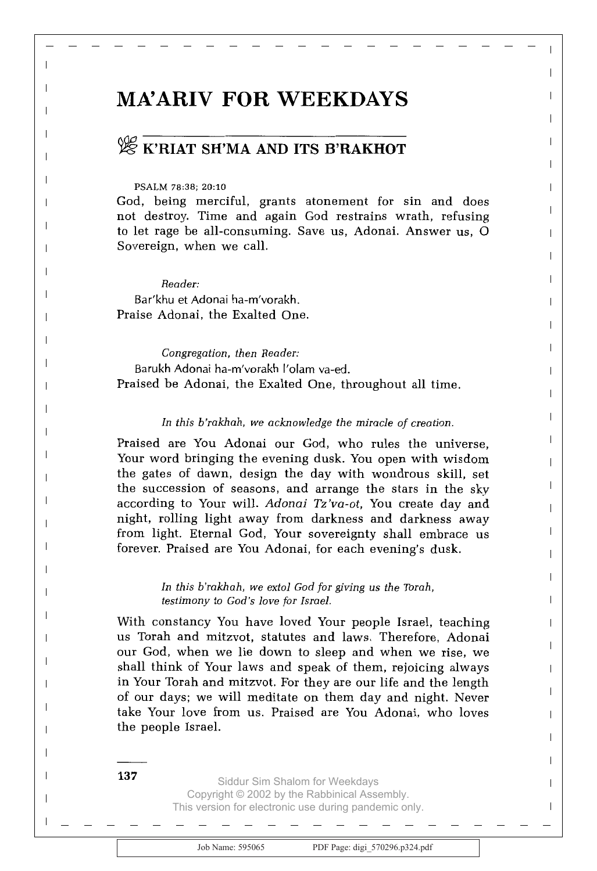### **MA'ARIV FOR WEEKDAYS**

### **WE K'RIAT SH'MA AND ITS B'RAKHOT**

#### PSALM 78:38; 20:10

God, being merciful, grants atonement for sin and does not destroy. Time and again God restrains wrath, refusing to let rage be all-consuming. Save us. Adonai. Answer us. O Sovereign, when we call.

Beader<sup>.</sup>

Bar'khu et Adonai ha-m'vorakh Praise Adonai, the Exalted One.

Congregation, then Reader: Barukh Adonai ha-m'vorakh l'olam va-ed. Praised be Adonai, the Exalted One, throughout all time.

#### In this b'rakhah, we acknowledge the miracle of creation.

Praised are You Adonai our God, who rules the universe, Your word bringing the evening dusk. You open with wisdom the gates of dawn, design the day with wondrous skill, set the succession of seasons, and arrange the stars in the sky according to Your will. Adonai Tz'va-ot, You create day and night, rolling light away from darkness and darkness away from light. Eternal God, Your sovereignty shall embrace us forever. Praised are You Adonai, for each evening's dusk.

> In this b'rakhah, we extol God for giving us the Torah. testimony to God's love for Israel.

With constancy You have loved Your people Israel, teaching us Torah and mitzvot, statutes and laws. Therefore, Adonai our God, when we lie down to sleep and when we rise, we shall think of Your laws and speak of them, rejoicing always in Your Torah and mitzvot. For they are our life and the length of our days; we will meditate on them day and night. Never take Your love from us. Praised are You Adonai, who loves the people Israel.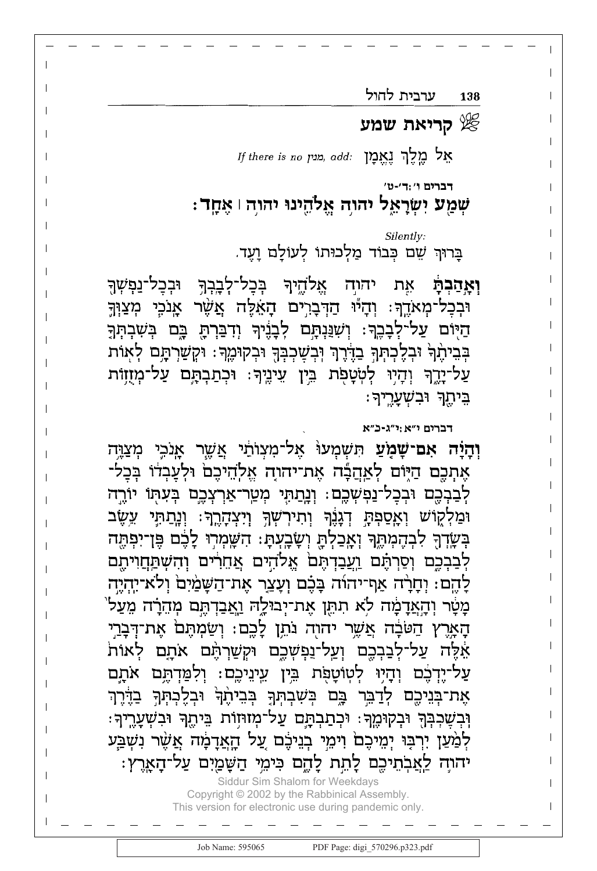### קריאת שמע $\mathscr{\mathscr{L}}$

אֵל מֵיַלְךְ נֵאֲמָן add: מִנִּין f there is no מֵנִין

דברים ו':ד'-ט'

שמע ישראל יהוה אלהינו יהוה ו אחד:

Silently:

בַּרוּךְ שֵׁם כִּבוֹד מַלְכוּתוֹ לְעוֹלַם וַעֵד.

יהוּהָ אֱלֹהֱיִךָּ בְּכָל־לְבָבְךָּ וּבְכַל־נַפְשָׁךָּ אַת ואהכת וּבְבָל־מְאֹדֶךָ: וְהָיוּ הַדְּבָרִים הָאֵלֶּה אֲשֶׁר אֲנֹבִי מְצַוְּךָ הַיּוֹם עַל־לְבָבֶךְ: וְשִׁנַּנְתֶם לְבָנֶיךָ וְדִבַּרְתָּ בֶם בְּשִׁבְתְּךָ בְּבִיתֶךְ וּבְלֶכְתְּךָ בַדֶּׂרֶךְ וּבְשַׁכְבְּךָ וּבְקוּמֶךָ: וּקְשַׁרְתָּם לְאִוֹת עַל־יָדֱךְ וְהָיִוּ לְטְטָפְת בֵּיִן עֵינֵיךָ: וּכְתַבְתָּם עַל־מִזְזוֹת בֵּיתֵךְ וּבִשְׁעֲרֵיךָ:

דברים י"א: י"ג-כ"א

וְהָיָה אִם־שָׁמְעַ תִּשְׁמְעוֹ אֵל־מִצְוֹתַי אֲשֶׁר אָנִכֵי מְצַוֶּה אֶתְכֶם הַיָּוֹם לְאַהֲבָّה אֶת־יהוָה אֱלְהֵיכֶם וּלְעַבְדוֹ בְּכָל־ לְבַבְכֶם וּבְכַל־נַפְשְׁכֶם: וְנָתַתִּי מְטַר־אַרְצְכֶם בְּעִתְּוֹ יוֹרֶה וּמַלְקֵוֹשׁ וְאָסַפְתָּ דְגָנֶךְ וְתִירְשְׁךָ וְיִצְהָרֶךָ: וְנָתַתִּי עֵשֶׂב בְּשֶׂדְךָ לִבְהֶמְתֶּךָ וְאָבַלְתָּ וְשָׂבָעְתָּ: הִשָּׁמְרִוּ לָבֶם פֶּן־יִפְתֶּה לְבַּבְכֶם וְסַרְתֶּם וַעֲבַדְתֶּם אֱלֹהִים אֲחֵרִים וְהִשְׁמַּחֲוִיתֶם לַהֱם: וְחָרָה אֲף־יהוֹה בָּבֶם וְעָצַר אֶת־הַשָּׁמַ֫יִם וְלֹא־יִהְיֶה מָטֶר וְהָאֲדָמָה לְא תִתֵּן אֶת־יְבוּלֶה וַאֲבַדְתֶּם מְהֵדָה מֵעַל ׁ הָאֲרֶץ הַטֹּבָה אֲשֶׁר יהוֹה נֹתֵן לָכֶם: וְשַׂמְתֶּם אֶת־דְּבָרֵי אֵׁלֶּה עַל־לְבַבְבֶם וְעַל־נַפְשְׁכֶם וּקְשַׁרְתֶּם אֹתָם לְאוֹת עַל־יֶדְבֶם וְהָיִוּ לְטְוֹטָפָׂת בֵּיִן עֵינֵיכֶם: וְלִמַּדְתֶּם אֹתָם אֶת־בִּנֵיכֶם לְדַבֵּר בֶּם בְּשִׁבְתְּךָ בְּבֵיתֶֽךְ וּבְלֶכְתְּךָ בַדֶּיֶרֶךְ וְּבְשַׁכְבְּךָ וּבְקוּמֶךָ: וּכְתַבְתָּם עַל־מְזוּזוֹת בֵּיתֶךְ וּבִשְׁעָרֶיךָ: לְמַׁעַן יִרְבִּוּ יְמֵיכֶם וִימֵי בְנֵיכֶם עֲל הָאֲדָמָה אֲשֶׁר נִשְׁבַּעַ יהוה לַאֲבְתֵיכֶם לָתֵת לָהֶם כִּימֵי הַשָּׁמַיִם עַל־הָאָרֶץ: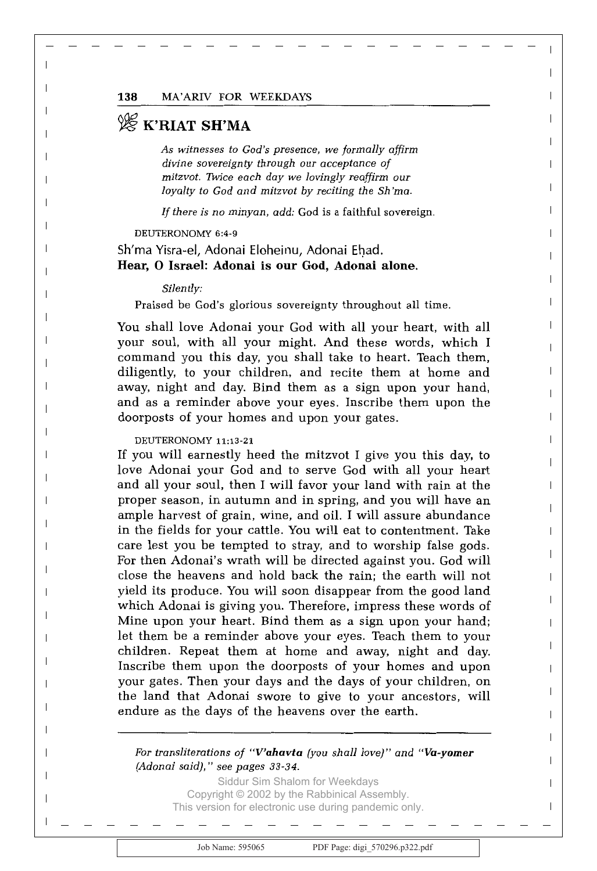### **WE K'RIAT SH'MA**

As witnesses to God's presence, we formally affirm divine sovereignty through our acceptance of mitzvot. Twice each day we lovingly reaffirm our lovalty to God and mitzvot by reciting the Sh'ma.

If there is no minyan, add: God is a faithful sovereign.

DEUTERONOMY 6:4-9

Sh'ma Yisra-el, Adonai Eloheinu, Adonai Ehad. Hear, O Israel: Adonai is our God, Adonai alone.

Silently:

Praised be God's glorious sovereignty throughout all time.

You shall love Adonai your God with all your heart, with all your soul, with all your might. And these words, which I command you this day, you shall take to heart. Teach them, diligently, to your children, and recite them at home and away, night and day. Bind them as a sign upon your hand. and as a reminder above your eyes. Inscribe them upon the doorposts of your homes and upon your gates.

#### DEUTERONOMY 11:13-21

If you will earnestly heed the mitzvot I give you this day, to love Adonai your God and to serve God with all your heart and all your soul, then I will favor your land with rain at the proper season, in autumn and in spring, and you will have an ample harvest of grain, wine, and oil. I will assure abundance in the fields for your cattle. You will eat to contentment. Take care lest you be tempted to stray, and to worship false gods. For then Adonai's wrath will be directed against you. God will close the heavens and hold back the rain: the earth will not yield its produce. You will soon disappear from the good land which Adonai is giving you. Therefore, impress these words of Mine upon your heart. Bind them as a sign upon your hand; let them be a reminder above your eyes. Teach them to your children. Repeat them at home and away, night and day. Inscribe them upon the doorposts of your homes and upon your gates. Then your days and the days of your children, on the land that Adonai swore to give to your ancestors, will endure as the days of the heavens over the earth.

For transliterations of "V'ahavta (you shall love)" and "Va-yomer (Adonai said)," see pages 33-34.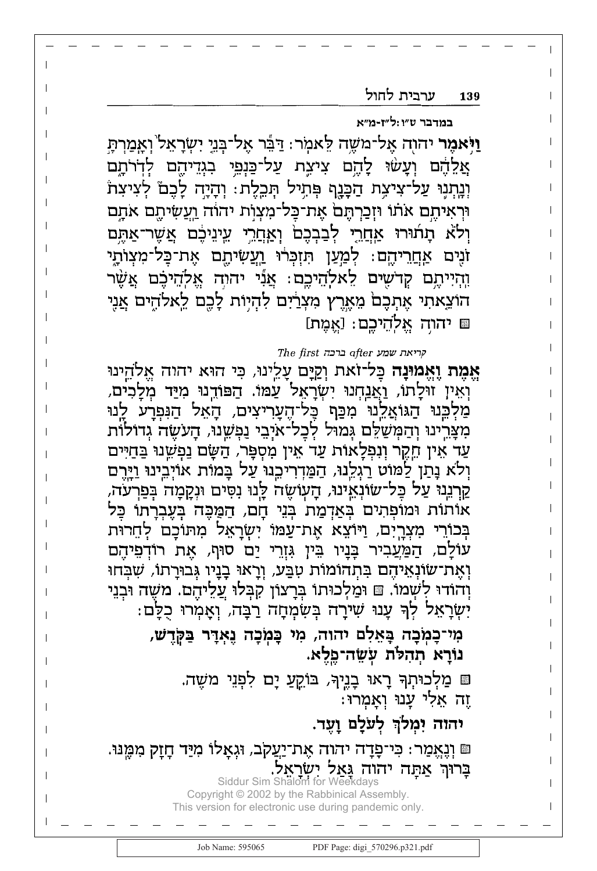#### במדבר ט״ו:ל״ז-מ״א

וַיֹּאמֶר יהוָה אֶל־משֶה לֵאמְר: דַּבֶּר אֶל־בְּנֵי יִשְׂרָאֵל וְאָמַרְתָּ אֲלֵהֶם וְעָשוּ לָהֶם צִיצָת עַל־כַּנְפֵי בִגְדֵיהֶם לְדִוֹתָם וְנָהְנַוּ עַל־צִיצָת הַכָּנָף פְּתִיל תִּכֵלֶת: וְהָיָה לָכֶם לְצִיצִת וּרְאִיתֶם אֹתוֹ וּזְכַרְתֶּם אֶת־כַּל־מִצְוֹת יהוֹה וַעֲשִׂיתֶם אֹתֶם וְלֹא תָתוּרוּ אַחֲרֵי לְבַבְבֶם וְאַחֲרֵי עֵינֵיבֶם אֲשֶׁר־אַתֶּם וֹנֵים אַחֲרֵיהֶם: לְמַעֲן תִּזְבְּרוּ וַעֲשִׂיהֶם אֶת־כַּל־מִצְוֹתַי וָהִיִּיתֶם קָדֹשִים לֵאלְהֵיכֶם: אֲנִי יהוִה אֱלֹהֵיכֶם אֲשֶׁר הוֹצֵאתִי אֶתְכֶם מֵאֶרֶץ מִצְרַיִם לִהְיָוֹת לָכֶם לֵאלֹהָים אֲנֶי ◙ יהוה אֱלְהֵיכֶם: [אֱמֶת]

 $The\ first$ ברכה  $after$ שמע

אֵמֶת וֶאֱמוּנָה כַּל־זֹאת וְקַיָּם עָלֵינוּ, כִּי הוּא יהוה אֱלֹהֵינוּ וְאִין זוּלַתוֹ, וַאֲנַחְנוּ יִשְׂרָאֵל עַמּוֹ. הַפּוֹדֵנוּ מִיַּד מְלָכִים, מַלְכֵּנוּ הַגּוֹאֲלֵנִוּ מִכַּף כָּל־הֶעָרִיצִים, הָאֵל הַנִּפְרָע לָנוּ מִצָּרֵינוּ וְהַמְּשַׁלֵּם גְּמוּל לְכַל־אֹיְבֵי נַפְשֶנוּ, הָעֹשֶה גְדוֹלוֹת עַר אִין חֵקֶר וְנִפְלָאוֹת עַד אִין מִסְפָּר, הַשָּׂם נַפְשֵׁנוּ בַּחַיִּים וְלֹא נָתַן לַמּוָט רַגְלֵנוּ, הַמַּדְרִיכְנוּ עַל בָמוֹת אוֹיְבִינוּ וַיָּרֶם קַרְנְנִוּ עַל כָּל־שׂוֹנְאִינוּ, הָעְוֹשֶׁה לֶנוּ נִסִּים וּנְקָמָה בְּפַרְעֹה, אותות ומופתים באַדְמַת בְּנֵי חָם, הַמַּכֶּה בְּעֶבְרָתוֹ כַּל בְּכוֹרֵי מִצְרָיִם, וַיּוֹצֵא אֶת־עַמּוֹ יִשְׂרָאֵל מִתּוֹכָם לְחֵרוּת עוֹלָם, הַמַּעֲבִיר בָּנָיו בֵּין גִּזְרֵי יַם סוּף, אֶת רוֹדְפֵיהֶם וְאֶת־שׂוֹנְאֵיהֶם בִּתְהוֹמוֹת טִבַּע, וְרָאוּ בָנָיו גְּבוּרָתוֹ, שִׁבְּחוּ וְהוֹדוּ לִשְמוֹ. ◙ וּמַלְכוּתוֹ בְּרָצוֹן קִבְּלוּ עֲלֵיהֶם. משֶׁה וּבְנֵי יִשְׂרָאֵל לְךָ עָנוּ שִׁירָה בְּשִׂמְחָה רַבָּה, וְאָמְרוּ כֻלָּם:

מִי־כָמְבָה בָּאֵלִם יהוה, מִי בָּמְבָה נֶאְדָר בַּקְרֶשׁ, נוֹרָא תְהִלֹּת עְשָׂה־פֶלֶא.

◙ מַלְכוּתְךָ רָאוּ בָנֶיְךָּ, בּוֹקֵעַ יָם לִפְנֵי משֶׁה. ָזֶה אֵלִי עָנוּ וְאֲמְרוּ:

יהוה ימְלךְ לְעֹלָם וָעֶד.

■ וְנֶאֱמַר: כִּי־פָדָה יהוה אֶת־יַעֲקֹב, וּגְאָלוֹ מִיַּד חָזָק מִמֶּנּוּ. בַרוּךְ אַתָּה יהוה גַאַל יִשְרַאַל. Siddur Sim Shalom for Weekdays

Copyright © 2002 by the Rabbinical Assembly. This version for electronic use during pandemic only.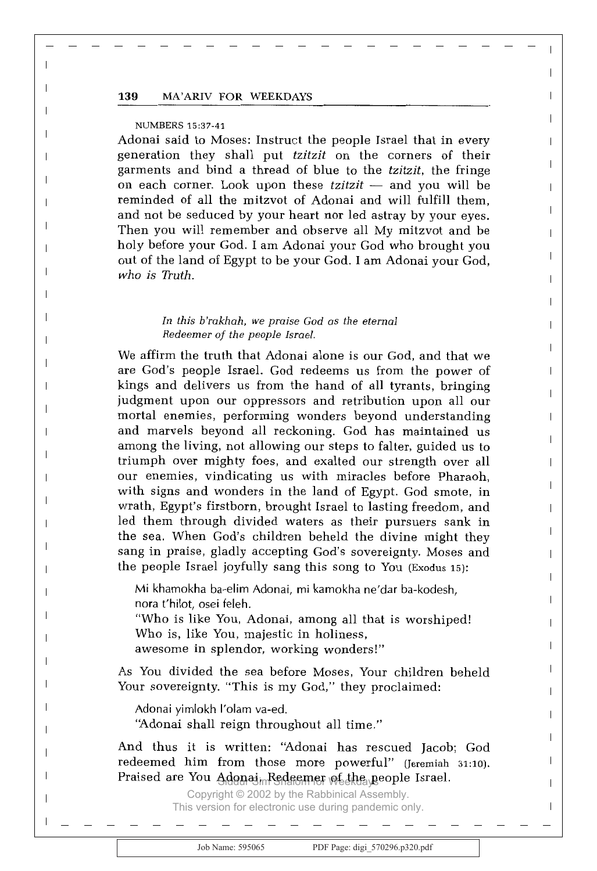#### NUMBERS 15:37-41

Adonai said to Moses: Instruct the people Israel that in every generation they shall put tzitzit on the corners of their garments and bind a thread of blue to the tzitzit, the fringe on each corner. Look upon these tzitzit - and you will be reminded of all the mitzvot of Adonai and will fulfill them. and not be seduced by your heart nor led astray by your eyes. Then you will remember and observe all My mitzyot and be holy before your God. I am Adonai your God who brought you out of the land of Egypt to be your God. I am Adonai your God. who is Truth.

#### In this b'rakhah, we praise God as the eternal Redeemer of the people Israel.

We affirm the truth that Adonai alone is our God, and that we are God's people Israel. God redeems us from the power of kings and delivers us from the hand of all tyrants, bringing judgment upon our oppressors and retribution upon all our mortal enemies, performing wonders beyond understanding and marvels beyond all reckoning. God has maintained us among the living, not allowing our steps to falter, guided us to triumph over mighty foes, and exalted our strength over all our enemies, vindicating us with miracles before Pharaoh, with signs and wonders in the land of Egypt. God smote, in wrath, Egypt's firstborn, brought Israel to lasting freedom, and led them through divided waters as their pursuers sank in the sea. When God's children beheld the divine might they sang in praise, gladly accepting God's sovereignty. Moses and the people Israel joyfully sang this song to You (Exodus 15):

Mi khamokha ba-elim Adonai, mi kamokha ne'dar ba-kodesh, nora t'hilot, osei feleh. "Who is like You, Adonai, among all that is worshiped! Who is, like You, majestic in holiness. awesome in splendor, working wonders!"

As You divided the sea before Moses. Your children beheld Your sovereignty. "This is my God," they proclaimed:

Adonai yimlokh l'olam va-ed.

"Adonai shall reign throughout all time."

And thus it is written: "Adonai has rescued Jacob; God redeemed him from those more powerful" (Jeremiah 31:10). Praised are You Adonai<sub>m</sub>Redeemer of the people Israel.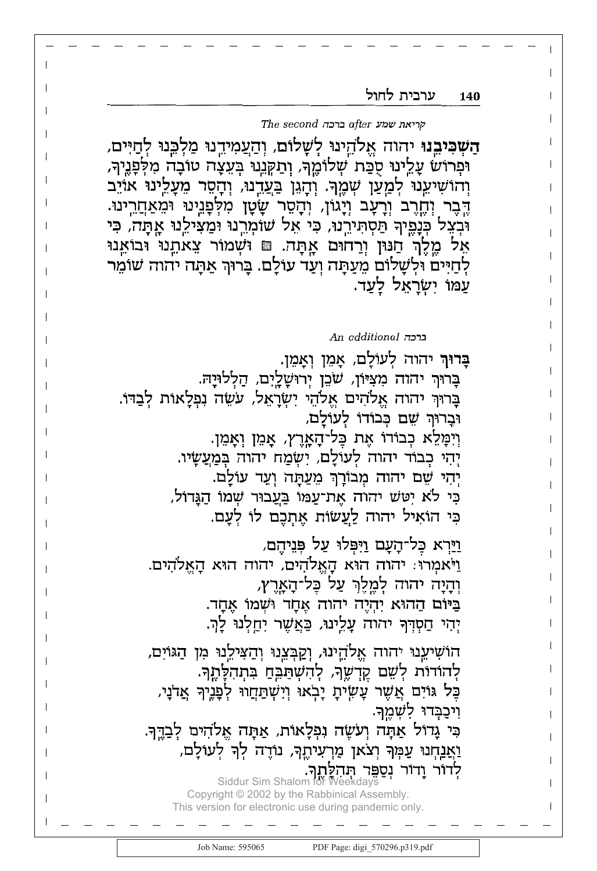הַשְׁבִּיבֵנוּ יהוה אֱלֹהֵינוּ לְשַׁלוֹם, וְהַעֲמִידֵנוּ מַלְבֵּנוּ לְחַיִּים, וּפְרוֹשׂ עָלֵינוּ סֻכֵּת שְׁלוֹמֶךְ, וְתַקְּנֵנוּ בְּעֵצָה טוֹבָה מִלְפָּנֵיךָ, וְהוֹשִׁיעֵנוּ לְמַעַן שְׁמֵךְ. וְהַגֵן בַּעֲדֵנוּ, וְהַסֶר מֵעַלֵינוּ אוֹיִב דֶּבֶר וְחֶרֶב וְרָעָב וְיָגוֹן, וְהָסֶר שָׂטָן מִלְפָנֵינוּ וּמֵאַחֲרֵינוּ. וּבְצֵל כִּנָפֵיךְ תַּסְתִּירֵנוּ, כִּי אֵל שׁוֹמְרֵנוּ וּמַצִילֵנוּ אֲתָה, כִּי אֵל מֶלֶךְ חַנּוּן וְרַחוּם אֳתָה. ■ וּשְמוֹר צֵאתֵנוּ וּבוֹאֵנוּ לְחַיִּים וּלְשָׁלוֹם מֵעֲתָּה וְעַד עוֹלָם. בְּרוּךְ אַתָּה יהוה שומֵר עמו ישראל לעד.

#### ברכה An additional

בָרוּךְ יהוה לְעוֹלַם, אָמֵן וְאָמֵן. בָרוּךְ יהוה מִצִיּוֹן, שֹׁבֵן יְרוּשָׁלֵיִם, הַלְלוּיָה. בָּרוּךְ יהוה אֱלֹהִים אֱלֹהֵי יִשְׂרָאֵל, עֹשֵׂה נִפְלָאוֹת לְבַדּוּ. וּבָרוּךְ שֵׁם כִּבוּדוֹ לְעוֹלַם, וְיִמָּלֵא כְבוֹדוֹ אֶת כָּל־הָאָרֶץ, אָמֵן וְאָמֵן. יְהִי כְבוֹד יהוה לְעוֹלָם, יִשְׂמַח יהוה בִּמַעֲשָׂיו. יִהִי שֵׁם יהוה מִבוֹרַךְ מֵעֲתָּה וְעַד עוֹלַם. כִּי לֹא יִטּשׁ יהוה אֶת־עַמּוֹ בַּעֲבוּר שָׁמוֹ הַגָּדוֹל, כִּי הוֹאִיל יהוה לַעֲשׂוֹת אֶתְכֶם לוֹ לִעָם.

וַיַּרְא כַּל־הָעָם וַיִּפְלוּ עַל פְּנֵיהֶם, וַיֹּאמְרוּ: יהוה הוּא הָאֱלֹהִים, יהוה הוּא הָאֱלֹהִים. וְהָיָה יהוה לְמֶלֶךְ עַל כָּל־הָאָרֶץ, בַּיּוֹם הַהוּא יִהְיֶה יהוה אֶחָד וּשְׁמוֹ אֵחָד. יְהִי חַסְדְּךָ יהוה עָלֵינוּ, כַּאֲשֶׁר יִחַלְנוּ לַךְ.

הוֹשִׁיעִנוּ יהוה אֱלֹהֵינוּ, וְקַבְּצֵנוּ וְהַצִּילֵנוּ מִן הַגּוֹיִם, לְהוֹדוֹת לְשֵׁם קַדְשֶׁךָּ, לְהִשְׁתַּבֵּחַ בִּתְהִלָּתֶךָ. כָּל גּוֹיִם אֲשֶׁר עָשְׂיתָ יָבְאוּ וְיִשְׁתַּחֲווּ לְפָנֶיךָ אֲדֹנָי, וִיכַבְּדוּ לִשְׁמֶךָ.

כִּי גָדוֹל אַתָּה וְעֹשֶׂה נִפְלָאוֹת, אַתָּה אֱלֹהִים לְבַדֱךָ. וַאֲנַחְנוּ עַמְּךָ וְצֹאן מַרְעִיהֶךָ, נוֹדֶה לְךָ לְעוֹלָם, **לְדוֹר וְדוֹר נְסַפֵּר הַהִלְהֵךְ.**<br>Siddur Sim Shalom for Weekdays

Copyright © 2002 by the Rabbinical Assembly. This version for electronic use during pandemic only.

The second ברכה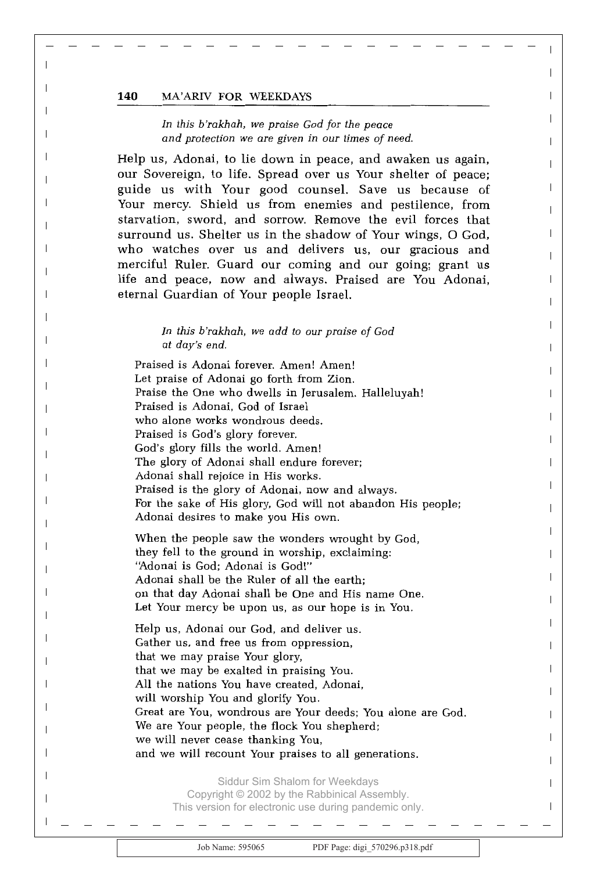In this b'rakhah, we praise God for the peace and protection we are given in our times of need.

Help us, Adonai, to lie down in peace, and awaken us again, our Sovereign, to life. Spread over us Your shelter of peace: guide us with Your good counsel. Save us because of Your mercy. Shield us from enemies and pestilence, from starvation, sword, and sorrow. Remove the evil forces that surround us. Shelter us in the shadow of Your wings, O God. who watches over us and delivers us, our gracious and merciful Ruler. Guard our coming and our going; grant us life and peace, now and always. Praised are You Adonai. eternal Guardian of Your people Israel.

#### In this b'rakhah, we add to our praise of God at day's end.

Praised is Adonai forever. Amen! Amen! Let praise of Adonai go forth from Zion. Praise the One who dwells in Jerusalem. Halleluyah! Praised is Adonai. God of Israel who alone works wondrous deeds. Praised is God's glory forever. God's glory fills the world. Amen! The glory of Adonai shall endure forever; Adonai shall rejoice in His works. Praised is the glory of Adonai, now and always. For the sake of His glory, God will not abandon His people; Adonai desires to make you His own.

When the people saw the wonders wrought by God, they fell to the ground in worship, exclaiming: "Adonai is God: Adonai is God!" Adonai shall be the Ruler of all the earth; on that day Adonai shall be One and His name One. Let Your mercy be upon us, as our hope is in You.

Help us, Adonai our God, and deliver us. Gather us, and free us from oppression, that we may praise Your glory, that we may be exalted in praising You. All the nations You have created, Adonai, will worship You and glorify You. Great are You, wondrous are Your deeds; You alone are God. We are Your people, the flock You shepherd; we will never cease thanking You, and we will recount Your praises to all generations.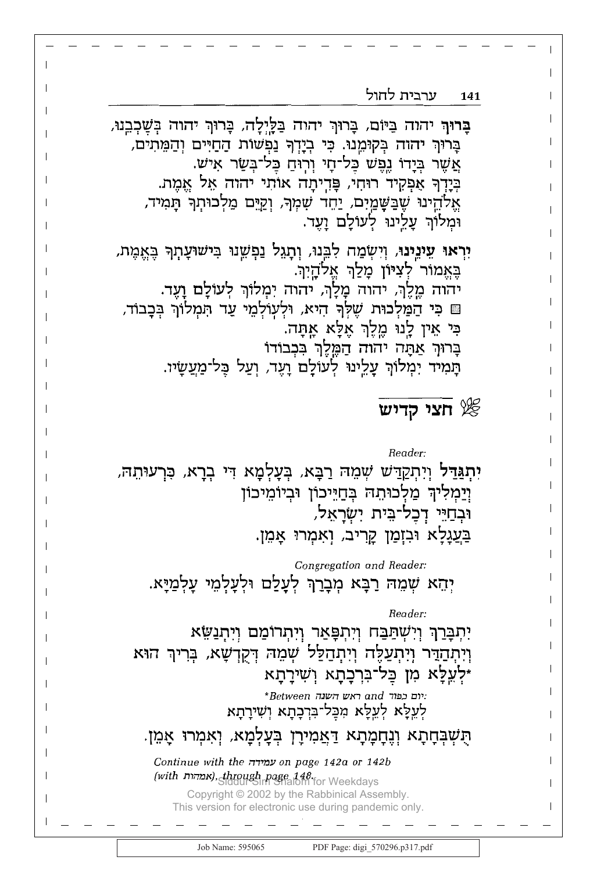בַּרוּךְ יהוה בַיּוֹם, בַּרוּךְ יהוה בַּלֵיִלַה, בַּרוּךְ יהוה בִּשַׁבְבֵנוּ, בַרוּךְ יהוה בִקוּמֶנוּ. כִּי בְיַדְךָ נַפְשׁוֹת הַחַיִּים וְהַמֵּתִים, אֲשֶׁר בְּיָדוֹ נֵפֶּשׁ בַּל־חָי וְרִוּחַ בַּל־בְּשַׂר אִישׁ. בְּיָדְךָ אַפְקִיד רוּחִי, פָּדְיתָה אוֹתִי יהוה אֵל אֱמֶת. אֵלֹהֵינוּ שֵׁבַּשָּׁמַיִם, יַחֵד שִׁמְךָּ, וְקַיֵּם מֵלְבוּתְךָּ תַּמִיד, וּמִלוֹךְ עַלֵינוּ לְעוֹלַם וַעֲד. יִרְאוּ עֵינֵינוּ, וְיִשְׂמַח לְבֵנוּ, וְתָגֵל נַפְשֵׁנוּ בִּישׁוּעָתְךָ בָּאֵמֶת, בָּאֱמוֹר לְצִיּוֹן מָלַךְ אֱלֹהָיִךְ.

יהוה מֶלֶךְ, יהוה מָלָךְ, יהוה יִמְלוֹךְ לְעוֹלָם וָעֶד. ■ כִּי הַמַּלְכוּת שֶׁלְךָ הִיא, וּלִעְוֹלְמֵי עַד תִּמְלוֹךְ בִּבָבוֹד, כִּי אֵין לָנוּ מֶלֶךְ אֶלָּא אֱתָּה. בַרוּךְ אַתַּה יהוה הַמֵּלֵךְ בִּבְבוֹדוֹ תָּמִיד יִמְלוֹךְ עָלֵינוּ לְעוֹלָם וָעֵד, וְעַל בַּל־מַעֲשָׂיו.

⊗ חצי קדיש

יִתְגַּדַּל וְיִתְקַדַּשׁ שְׁמֵהּ רַבָּא, בִּעַלְמָא דִּי בִרַא, כִּרְעוּתֵה, וְיַמְלִיהְ מַלְכוּתֵה בְּחַיֵּיכוֹן וּבִיוֹמֵיכוֹן וּבְחַיֵּי דְכַל־בֵּית יִשְׂרָאֵל, בַּעֲגָלָא וּבִזְמַן קָרִיב, וְאִמְרוּ אָמֵן.

יְהָא שְׁמֵהּ רַבָּא מִבָרַךְ לְעָלַם וּלְעָלְמֵי עָלְמַיָּא.

וְיִתְהַדֵּר וְיִתְעַלֶּה וְיִתְהַלַּל שְׁמֵהּ דְּקֻדְשָׁא, בְּרִיךְ הוּא

הָשְׁבְּחָתָא וְנֶחָמָתָא דַּאֲמִירָן בְּעָלְמָא, וְאִמְרוּ אָמֵן.

Copyright © 2002 by the Rabbinical Assembly. This version for electronic use during pandemic only.

Continue with the עמידה on page 142a or 142b (with אמהות), through page 148.<br>Siddur Sim Shalom for Weekdays

יִתְבָּרַךְ וְיִשְׁתַּבַּח וְיִתְפָּאַר וְיִתְרוֹמַם וְיִתְנַשֵּׂא

Reader:

Congregation and Reader:

יּלְעֵלָּא מִן כַּל־בִּרְבָתָא וְשִׁירָתָא

\*Between ראש השנה Between לְעֵלָא לְעֵלָּא מִכָּל־בִּרְבָתָא וְשִׁירָתָא

Reader: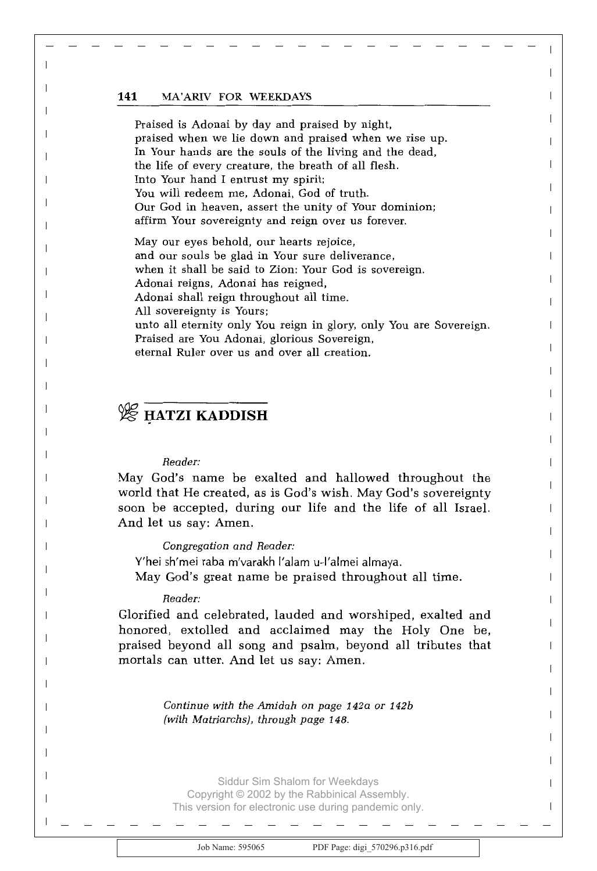Praised is Adonai by day and praised by night, praised when we lie down and praised when we rise up. In Your hands are the souls of the living and the dead. the life of every creature, the breath of all flesh. Into Your hand I entrust my spirit: You will redeem me. Adonai, God of truth. Our God in heaven, assert the unity of Your dominion: affirm Your sovereignty and reign over us forever.

May our eyes behold, our hearts rejoice, and our souls be glad in Your sure deliverance, when it shall be said to Zion: Your God is sovereign. Adonai reigns, Adonai has reigned, Adonai shall reign throughout all time. All sovereignty is Yours: unto all eternity only You reign in glory, only You are Sovereign. Praised are You Adonai, glorious Sovereign, eternal Ruler over us and over all creation.

### **WE HATZI KADDISH**

#### Reader:

Mav God's name be exalted and hallowed throughout the world that He created, as is God's wish. May God's sovereignty soon be accepted, during our life and the life of all Israel. And let us sav: Amen.

Congregation and Reader:

Y'hei sh'mei raba m'varakh l'alam u-l'almei almaya. May God's great name be praised throughout all time.

#### Reader:

Glorified and celebrated, lauded and worshiped, exalted and honored, extolled and acclaimed may the Holy One be, praised beyond all song and psalm, beyond all tributes that mortals can utter. And let us say: Amen.

> Continue with the Amidah on page 142a or 142b (with Matriarchs), through page 148.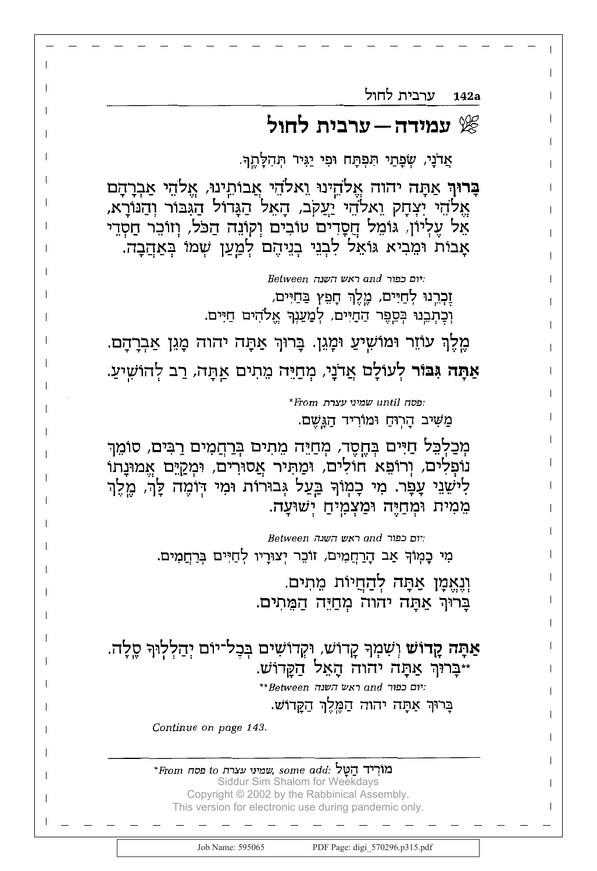\*From מסח to שמיני עצרת some add: שמין Siddur Sim Shalom for Weekdays Copyright © 2002 by the Rabbinical Assembly. This version for electronic use during pandemic only.

Continue on page 143.

אַתָּה קָדוֹשׁ וְשִׁמְרָּ קָדוֹשׁ, וּקְדוֹשִׁים בְּכָל־יוֹם יְהַלְלוּךָ סֶלָה. \*\*בָרוּךְ אַתָּה יהוה הָאֵל הַקָּדוֹשׁ.  $^{\star\star}$ Between יום כפור  $and$ 

וְנֶאֱמָן אַתָּה לְהַחֲיוֹת מֵתִים. בַרוּךְ אַתָּה יהוה מְחַיֶּה הַמֵּתִים.

בָּרוּךְ אַתָּה יהוה הַמֱלֶךְ הַקֲדוֹש.

מִי כָמְוֹךְ אַב הַרַחֲמִים, זוֹכֶר יְצוּרֵיו לְחַיִּים בִּרַחֲמִים.

נופלים, ורופא חולים, ומתיר אַסוּרִים, וּמְקַיֵּם אֱמוּנָתוֹ לִישֶׁנֵי עָפָר. מִי כָמְוֹךָ בַּעֲל גְּבוּרוֹת וּמִי דְוֹמֶה לַךְ, מֱלֶךְ מֵמִית וּמִחַיֵּה וּמַצִמִיחַ יִשׁוּעַה.  $Between$  השנה  $and$ כפור  $and$ 

אַתָּה גִּבּוֹר לְעוֹלָם אֲדֹנָי, מְחַיֵּה מֵתִים אַתָּה, רַב לְהוֹשִיעַ.  $*$ From שמיני עצרת: until שמיני מַשִּׁיב הָרְוּחַ וּמוֹרִיד הַגֶּשֶׁם.

מִכַלְבֶּל חַיִּים בְּחֵסֶד, מִחַיֵּה מֶתִים בְּרַחֲמִים רַבִּים, סוֹמֵךְ

מֶלֶךְ עוֹזֵר וּמוֹשִׁיעַ וּמָגֵן. בָּרוּךְ אַתָּה יהוה מָגֵן אַבְרָהָם.

ויום כפור and ראש השנה Between וָכְרֵנוּ לְחַיִּים, מֶלֶךְ חָפֵץ בַּחַיִּים, וְכַתְבֵנוּ בְּסֵפֶר הַחַיִּים, לְמַעַנְךָ אֱלֹהִים חַיִּים.

בָּרוּךְ אַתָּה יהוה אֱלֹהֵינוּ וֵאלֹהֵי אֲבוֹתֵינוּ, אֱלֹהֵי אַבְרָהָם אֵלֹהֵי יִצְחַק וֶאלֹהֵי יַעֲקֹב, הָאֵל הַגֲרוֹל הַגְּבּוֹר וְהַנּוֹרָא, אֵל עֵלִיוֹן, גּוֹמֵל חֲסָדִים טוֹבִים וִקוֹנֵה הַכֹּל, וְזוֹכֵר חַסְדֵי אָבוֹת וּמֵבִיא גּוֹאֵל לִבְנֵי בְנֵיהֶם לְמֵעַן שְׁמוֹ בְּאַהֲבָה.

אֲדֹנָי, שְׂפָתַי תִּפְתָח וּפִי יַגִּיד תְּהִלָּהֶךָ.

### עמידה $-$  ערבית לחול  $\mathscr C$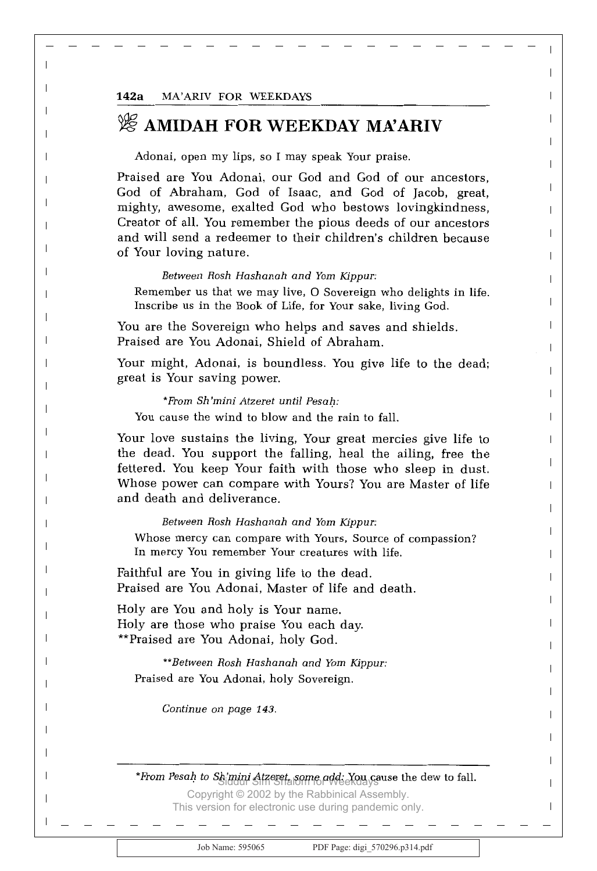### **WE AMIDAH FOR WEEKDAY MA'ARIV**

Adonai, open my lips, so I may speak Your praise.

Praised are You Adonai, our God and God of our ancestors, God of Abraham, God of Isaac, and God of Jacob, great, mighty, awesome, exalted God who bestows lovingkindness, Creator of all. You remember the pious deeds of our ancestors and will send a redeemer to their children's children because of Your loving nature.

Between Rosh Hashanah and Yom Kippur:

Remember us that we may live, O Sovereign who delights in life. Inscribe us in the Book of Life, for Your sake, living God.

You are the Sovereign who helps and saves and shields. Praised are You Adonai. Shield of Abraham.

Your might, Adonai, is boundless. You give life to the dead; great is Your saving power.

\*From Sh'mini Atzeret until Pesah:

You cause the wind to blow and the rain to fall.

Your love sustains the living, Your great mercies give life to the dead. You support the falling, heal the ailing, free the fettered. You keep Your faith with those who sleep in dust. Whose power can compare with Yours? You are Master of life and death and deliverance.

Between Rosh Hashanah and Yom Kippur: Whose mercy can compare with Yours, Source of compassion? In mercy You remember Your creatures with life.

Faithful are You in giving life to the dead. Praised are You Adonai. Master of life and death.

Holy are You and holy is Your name. Holy are those who praise You each day. \*\*Praised are You Adonai, holy God.

\*\*Between Rosh Hashanah and Yom Kippur: Praised are You Adonai, holy Sovereign.

Continue on page 143.

\*From Pesah to Sh'mini Atzeret, some add: You cause the dew to fall.

Copyright © 2002 by the Rabbinical Assembly. This version for electronic use during pandemic only.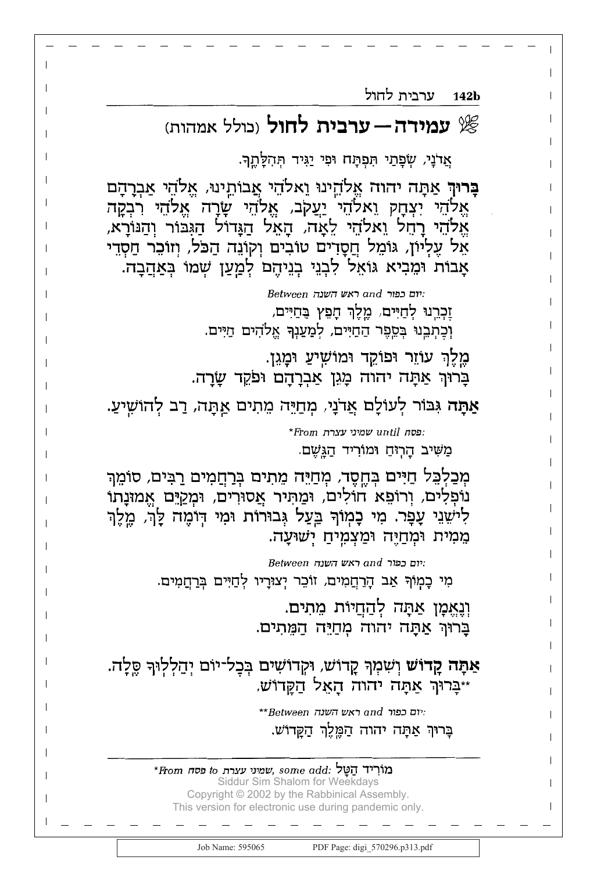אַתָּה קָדוֹשׁ וְשִׁמְרָּ קָדוֹשׁ, וּקְדוֹשִׁים בְּבָל־יוֹם יְהַלְלוּךָ סֶלָה.

\*\*Between ראש השנה Between בָּרוּךְ אַתָּה יהוה הַמֶּלֶךְ הַקֲדוֹשׁ.

ייּבָרוּךְ אַתָּה יהוה הָאֵל הַקַּדוֹשׁ.

וְנֶאֱמָן אַתָּה לְהַחֲיוֹת מֵתִים. בָרוּךְ אַתָּה יהוה מְחַיֵּה הַמֵּתִים.

 $Between$  ראש השנה  $and$ כפור מִי כָמְוֹךְ אַב הָרַחֲמִים, זוֹכֵר יְצוּרָיו לְחַיִּים בְּרַחֲמִים.

מכַלִכֵּל חַיִּים בְחֵסֶד, מִחַיֵּה מֵתִים בְּרַחֲמִים רַבִּים, סוֹמֵךְ נוֹפְלִים, וְרוֹפֵא חוֹלִים, וּמַתְּיר אֲסוּרִים, וּמְקַיֵּם אֱמוּנַתוֹ לִישֵׁנֵי עָפָר. מִי כָמְוֹךָ בַּעַל גְּבוּרוֹת וּמִי דִּוֹמֶה לַרְ, מֵלֵךְ מִמִית וּמְחַיֶּה וּמַצְמִיחַ יְשׁוּעָה.

יפסח until שמיני עצרת From מַשִּׁיב הַרְוּחַ וּמוֹרִיד הַגַּשֵׁם.

אַתַּה גִּבּוֹר לִעוֹלַם אֲדֹנַי, מִחַיֵּה מֶתִים אֲתַּה, רַב לְהוֹשִִיעַ.

מֵלֵךְ עוֹזֵר וּפוֹקֵד וּמוֹשִׁיעַ וּמָגֵן. בַּרוּךְ אַתַּה יהוה מַגֵן אַבְרַהַם וּפֹקֵד שַׂרַה.

וְכַתְבֵנוּ בְּסֵפֶר הַחַיִּים, לְמַעֲנְךָ אֱלֹהִים חַיִּים.

וַכְרֵנוּ לְחַיִּים, מֶלֶךְ חָפֵץ בַּחַיִּים,

Petween ראש השנה.

ברור אַתַּה יהוה אֱלֹהֵינוּ וֵאלֹהֵי אֲבוֹתֵינוּ, אֱלֹהֵי אַבְרַהַם אֱלֹהֵי יִצְחָק וֵאלֹהֵי יַעֲקֹב, אֱלֹהֵי שָׂרָה אֱלֹהֵי רִבְקַה אֱלֹהֵי רָחֵל וֵאלֹהִי לֵאָה, הָאֵל הַגְּרוֹל הַגְּבּוֹר וְהַנּוֹרָא, אֵל עֵלִיוֹן, גּוֹמֵל חֲסָדִים טוֹבִים וִקוֹנֵה הַכֹּל, וְזוֹבֵר חַסְדֵי אָבוֹת וּמֵבִיא גּוֹאֵל לִבְנֵי בְנֵיהֶם לְמַעַן שְׁמוֹ בְּאַהֲבָה.

אֲדֹנָי, שְׂפָתַי תִּפְתָח וּפִי יַגִּיד תִּהְלַתֵךָ.

### ש עמידה – ערבית לחול (כולל אמהות)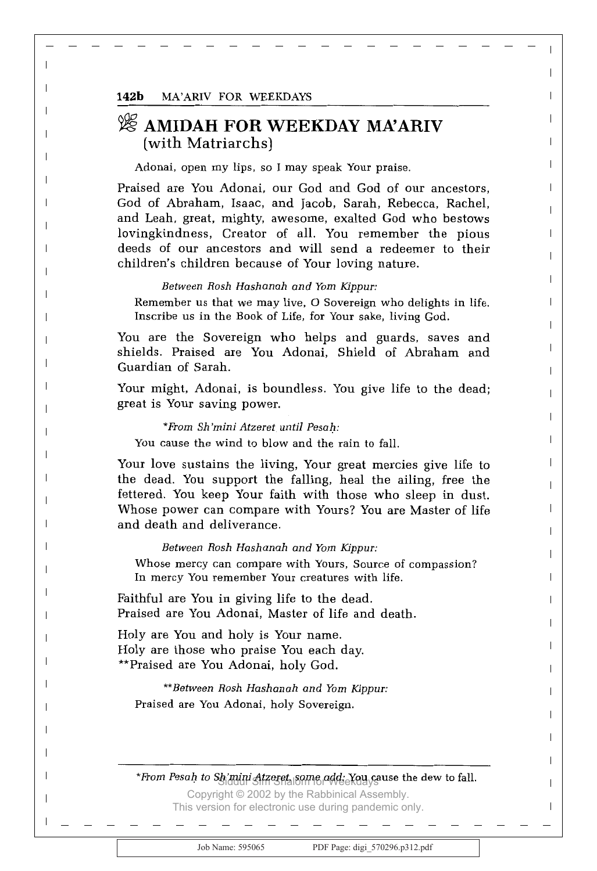### **WE AMIDAH FOR WEEKDAY MA'ARIV** (with Matriarchs)

Adonai, open my lips, so I may speak Your praise.

Praised are You Adonai, our God and God of our ancestors. God of Abraham, Isaac, and Jacob, Sarah, Rebecca, Rachel. and Leah, great, mighty, awesome, exalted God who bestows lovingkindness, Creator of all. You remember the pious deeds of our ancestors and will send a redeemer to their children's children because of Your loving nature.

Between Rosh Hashanah and Yom Kippur:

Remember us that we may live, O Sovereign who delights in life. Inscribe us in the Book of Life, for Your sake, living God.

You are the Sovereign who helps and guards, saves and shields. Praised are You Adonai, Shield of Abraham and Guardian of Sarah.

Your might, Adonai, is boundless. You give life to the dead; great is Your saving power.

\*From Sh'mini Atzeret until Pesah:

You cause the wind to blow and the rain to fall.

Your love sustains the living, Your great mercies give life to the dead. You support the falling, heal the ailing, free the fettered. You keep Your faith with those who sleep in dust. Whose power can compare with Yours? You are Master of life and death and deliverance.

Between Rosh Hashanah and Yom Kippur:

Whose mercy can compare with Yours, Source of compassion? In mercy You remember Your creatures with life.

Faithful are You in giving life to the dead. Praised are You Adonai, Master of life and death.

Holy are You and holy is Your name. Holy are those who praise You each day. \*\*Praised are You Adonai, holy God.

\*\* Between Rosh Hashanah and Yom Kippur: Praised are You Adonai, holy Sovereign.

\*From Pesah to Shimini Atzeret, some add: You cause the dew to fall.

Copyright © 2002 by the Rabbinical Assembly. This version for electronic use during pandemic only.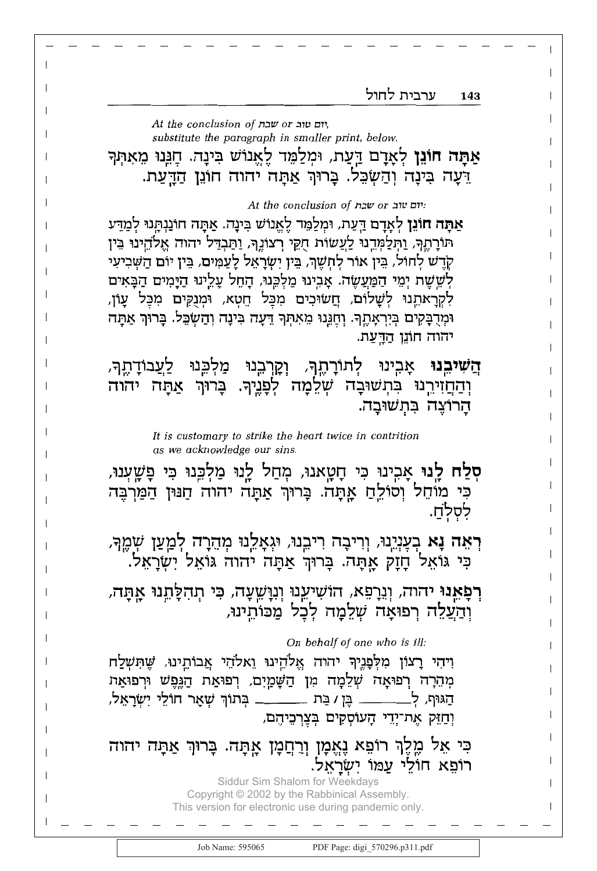At the conclusion of שבת or יום טוב substitute the paragraph in smaller print, below.

אַתַּה חוֹנֵן לְאַדַם דֵּעֲת, וּמִלַמֶּד לֵאֲנוֹשׁ בִּינַה. חַנֵּנוּ מָאִתְּךָ דֵעָה בִּינָה וְהַשְׂבֵל. בָרוּךְ אַתָּה יהוה חוֹנֵן הַדֵּעַת.

 $\it At$  the conclusion of ייזם  $\it or$  <br/>יזם ייזם

אַתַּה חוֹנֵן לְאַדָם דֵּעַת, וּמְלַמֵּר לֵאֱנוֹשׁ בִּינָה. אַתַּה חוֹנַנְתֵּנוּ לְמַדֵּע תּוֹרָתֶךּ, וַתְּלַמְּדֶנוּ לַעֲשׂוֹת חֻקֵּי רְצוֹנֶךָ, וַתַּבְדֵּל יהוה אֱלֹהֵינוּ בֵּין קְרֵשׁ לְחוֹל, בֵּין אוֹר לְחִשֶׁךְ, בֵּין יְשְׂרָאֵל לַעֲמִים, בֵּין יוֹם הַשָּׁבִיעִי לְשֵׁשֶׁת יְמֵי הַמַּעֲשֶׂה. אָבְינוּ מַלְבֵּנוּ, הָחֵל עָלֵינוּ הַיָּמִים הַבָּאִים לִקְרָאתֵנוּ לְשָׁלוֹם, חֲשׂוּכִים מִכַּל חֵטְא, וּמְנֻקִּים מִכַּל עָוֹן, וּמְרֻבָּקִים בְּיִרְאָתֶךָ. וְחַגֵּנוּ מֵאִתְּךָ דֵעָה בִּינָה וְהַשְׁבֵל. בָּרוּךְ אַתָּה יהוה חוֹנֵן הַדְּעַת.

**ְהַשִׁיבִנוּ** אָבְינוּ לְתוֹרָהֶךְּ, וְקָרְבְנוּ מַלְבְנוּ לַעֲבוֹדָהֶךְ, וְהַחֲזִירֵנוּ בִּתְשׁוּבָה שְׁלֵמָה לְפָנֶיךָ. בָּרוּךְ אַתָּה יהוה הָרוֹצֶה בִּתְשׁוּבָה.

> It is customary to strike the heart twice in contrition as we acknowledge our sins.

**סְלַח לָנוּ** אָבִינוּ כִּי חָטָאנוּ, מְחַל לָנוּ מַלְבֵּנוּ כִּי פָשָׁעְנוּ, כִּי מוֹחֵל וְסוֹלֵהַ אֶתָּה. בָּרוּךְ אַתָּה יהוה הַנּוּן הַמַּרְבֶּה לְסְלִהַ.

רְאָה נָא בְעָנְיִנְוּ, וְרִיבָה רִיבִנוּ, וּגְאָלֵנוּ מְהֵרָה לְמַעַן שְׁמֶךָ, כִּי גּוֹאֵל חָזָק אָתָה. בָּרוּךְ אַתָּה יהוה גּוֹאֵל יִשְׂרָאֵל.

רְפָאֵנוּ יהוה, וְנֵרָפֵא, הוֹשִׁיעֵנוּ וְנִוָּשֵׁעָה, כִּי תְהִלָּתֵנוּ אֲתָה, וְהַעֲלֵה רְפוּאָה שְׁלֵמָה לְבָל מַכּוֹתֵינוּ,

On behalf of one who is ill:

וִיהִי רָצוֹן מִלְפָנֶיךָ יהוה אֱלֹהֵינוּ וֵאלֹהֵי אֲבוֹתֵינוּ, שֶׁתִּשְׁלַח מְהֵרָה רְפוּאָה שְׁלֵמָה מִן הַשָּׁמַיִם, רְפוּאַת הַנֶּפֶשׁ וּרְפוּאַת דַגּוּף, לְ\_ וְחַזֵּק אֶת־יְדֵי הָעוֹסְקִים בְּצָרְבִיהֶם,

כִּי אֵל מֶלֶךְ רוֹפֵא נֶאֱמָן וְרַחֲמָן אֶתָּה. בָּרוּךְ אַתָּה יהוה רוֹפֵא חוֹלֵי עַמּוֹ יִשְׂרָאֵל.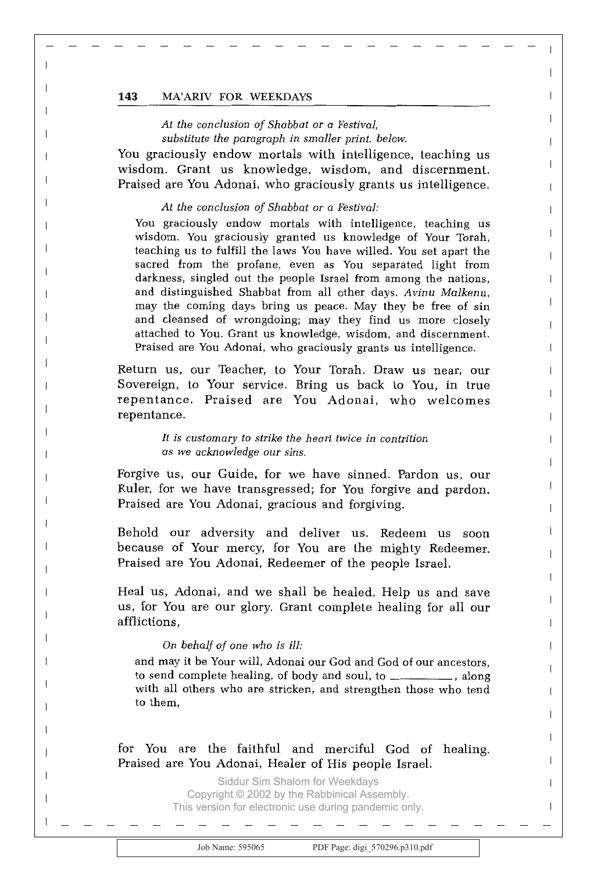At the conclusion of Shabbat or a Festival. substitute the paragraph in smaller print, below.

You graciously endow mortals with intelligence, teaching us wisdom. Grant us knowledge, wisdom, and discernment. Praised are You Adonai, who graciously grants us intelligence.

#### At the conclusion of Shabbat or a Festival:

You graciously endow mortals with intelligence, teaching us wisdom. You graciously granted us knowledge of Your Torah, teaching us to fulfill the laws You have willed. You set apart the sacred from the profane, even as You separated light from darkness, singled out the people Israel from among the nations, and distinguished Shabbat from all other days. Avinu Malkenu, may the coming days bring us peace. May they be free of sin and cleansed of wrongdoing; may they find us more closely attached to You. Grant us knowledge, wisdom, and discernment. Praised are You Adonai, who graciously grants us intelligence.

Return us, our Teacher, to Your Torah. Draw us near, our Sovereign, to Your service. Bring us back to You, in true repentance. Praised are You Adonai, who welcomes repentance.

> It is customary to strike the heart twice in contrition as we acknowledge our sins.

Forgive us, our Guide, for we have sinned. Pardon us, our Ruler, for we have transgressed; for You forgive and pardon. Praised are You Adonai, gracious and forgiving.

Behold our adversity and deliver us. Redeem us soon because of Your mercy, for You are the mighty Redeemer. Praised are You Adonai, Redeemer of the people Israel.

Heal us, Adonai, and we shall be healed. Help us and save us, for You are our glory. Grant complete healing for all our afflictions.

#### On behalf of one who is ill:

and may it be Your will, Adonai our God and God of our ancestors, to send complete healing, of body and soul, to \_\_\_\_\_\_\_\_, along with all others who are stricken, and strengthen those who tend to them.

for You are the faithful and merciful God of healing. Praised are You Adonai, Healer of His people Israel.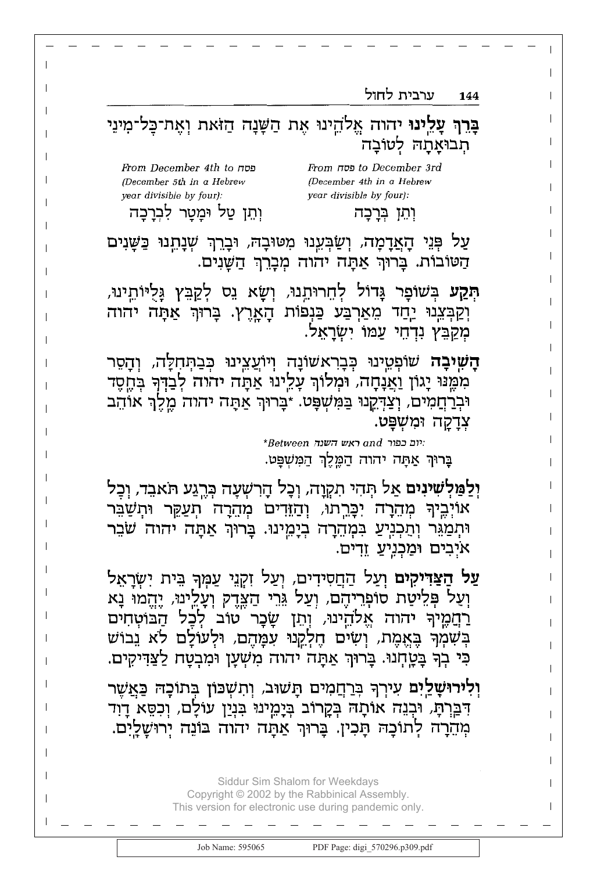### בָּרֵךְ עָלֵינוּ יְהוּה אֱלֹהִינוּ אֶת הַשָּׁנָה הַזֹּאת וְאֶת־כָּל־מִינֵי תִבוּאָתָה לְטוֹבָה

to December 3rd פסח (December 4th in a Hebrew year divisible by four):

From December 4th to חס (December 5th in a Hebrew year divisible by four):

וְתֵן בְּרָכָה

וְתֵן טַל וּמֲטָר לְבְרָבָה

עַל פְּנֵי הָאֲדָמָה, וְשַׂבְּעֵנוּ מִטּוּבָהּ, וּבָרֵךְ שְׁנָחֵנוּ כַּשָּׁנִים הַטּוֹבוֹת. בַּרוּךְ אַתָּה יהוה מִבָרֶךְ הַשָּׁנִים.

- תִּקַע בְּשׁוֹפָר גָּדוֹל לְחֵרוּתֵנוּ, וְשָׂא נֵס לְקַבֵּץ גַּלְיּוֹתֵינוּ, וְקַבְּצֵנוּ יָחֲד מֵאַרְבַּע כַּנְפוֹת הָאָרֵץ. בָּרוּךְ אַתָּה יהוה מִקַבֵּץ נִדְחֵי עַמּוֹ יִשְׂרָאֵל.
- **הַשִׁיּבָה** שׁוֹפִטֵינוּ כִּבָרָאשׁוֹנָה וְיוֹעֲצֵינוּ כִּבַתְּחִלַּה, וְהָסֶר מִמֶּנּוּ יָגוֹן וַאֲנָחָה, וּמְלוֹךְ עָלֵינוּ אַתָּה יהוה לִבַדְּךָ בִּחֶסֶד וּבְרַחֲמִים, וְצַדְקֵנוּ בַּמִּשְׁפָּט. \*בָרוּךְ אַתָּה יהוה מֶלֶךְ אוֹהֵב צְדָקָה וּמִשְׁפָּט.

 ${}^{\star}Between$  ראש השנה:  $and$ כפור בָרוּךְ אַתָּה יהוה הַמֱלֶךְ הַמִּשְׁפָּט.

- וְלַ**מַּלְשִׁיגִים** אַל הְּהִי תִקְוָה, וְבָל הָרִשְׁעָה בְּרֶגַע תֹּאבֵד, וְבָל אוֹיְבֶיךָ מְהֵרָה יִכָּרֶתוּ, וְהַזֵּדִים מְהֵרָה תְעַקֵּר וּתְשַׁבֵּר וּתְמַגֵּר וְתַכְנִיעַ בִּמְהֵרָה בְיָמֵינוּ. בָּרוּךְ אַתָּה יהוה שֹׁבֵר איְבִים וּמַכְנִיעַ זֵדִים.
- עַל הַצֲדִּיקִים וְעַל הַחֲסִידִים, וְעַל זִקְנֵי עַמְּךָ בֵּית יִשְׂרָאֵל וְעַל פְּלִיטַת סוֹפְרֵיהֶם, וְעַל גֵּרֵי הַצֶּדֶק וְעָלֵינוּ, יֶהֱמוּ נָא רַחֲמֶיךָ יהוה אֱלֹהֵינוּ, וְתֵן שָׂכָר טוֹב לְכָל הַבּוֹטְחִים בְּשִׁמְךָ בֶּאֱמֶת, וְשִׂים חֶלְקֶנוּ עִמָּהֶם, וּלְעוֹלָם לֹא נֵבוֹשׁ כִּי בְךָ בָּטֶחְנוּ. בָּרוּךְ אַתָּה יהוה מִשְׁעָן וּמִבְטָח לַצַּדִּיקִים.
- וְלִירוּשָׁלֵיִם עִירְךָּ בְּרַחֲמִים תָּשׁוּב, וְתִשְׁכּוֹן בְּתוֹכָהּ כַּאֲשֶׁר דִּבְּרְתָּ, וּבְנֵה אוֹתָהּ בְּקָרוֹב בְּיָמֵינוּ בִּנְיַן עוֹלָם, וְכִסֵּא דָוִד מְהֵרָה לְתוֹכָהּ תָּכִין. בָּרוּךְ אַתָּה יהוה בּוֹנֵה יְרוּשָׁלֵיִם.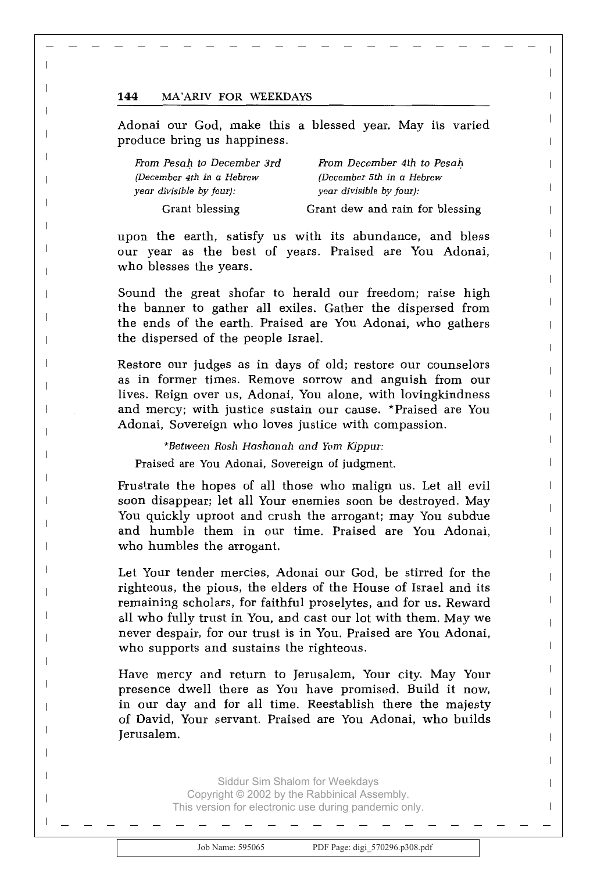Adonai our God, make this a blessed vear. May its varied produce bring us happiness.

| From Pesah to December 3rd | From December 4th to Pesah      |
|----------------------------|---------------------------------|
| (December 4th in a Hebrew  | (December 5th in a Hebrew       |
| year divisible by four):   | year divisible by four):        |
| Grant blessing             | Grant dew and rain for blessing |

upon the earth, satisfy us with its abundance, and bless our vear as the best of vears. Praised are You Adonai, who blesses the years.

Sound the great shofar to herald our freedom: raise high the banner to gather all exiles. Gather the dispersed from the ends of the earth. Praised are You Adonai, who gathers the dispersed of the people Israel.

Restore our judges as in days of old; restore our counselors as in former times. Remove sorrow and anguish from our lives. Reign over us, Adonai, You alone, with lovingkindness and mercy; with justice sustain our cause. \*Praised are You Adonai, Sovereign who loves justice with compassion.

\*Between Rosh Hashanah and Yom Kippur:

Praised are You Adonai, Sovereign of judgment.

Frustrate the hopes of all those who malign us. Let all evil soon disappear; let all Your enemies soon be destroved. May You quickly uproot and crush the arrogant; may You subdue and humble them in our time. Praised are You Adonai, who humbles the arrogant.

Let Your tender mercies, Adonai our God, be stirred for the righteous, the pious, the elders of the House of Israel and its remaining scholars, for faithful proselytes, and for us. Reward all who fully trust in You, and cast our lot with them. May we never despair, for our trust is in You. Praised are You Adonai, who supports and sustains the righteous.

Have mercy and return to Jerusalem, Your city. May Your presence dwell there as You have promised. Build it now, in our day and for all time. Reestablish there the majesty of David, Your servant. Praised are You Adonai, who builds Jerusalem.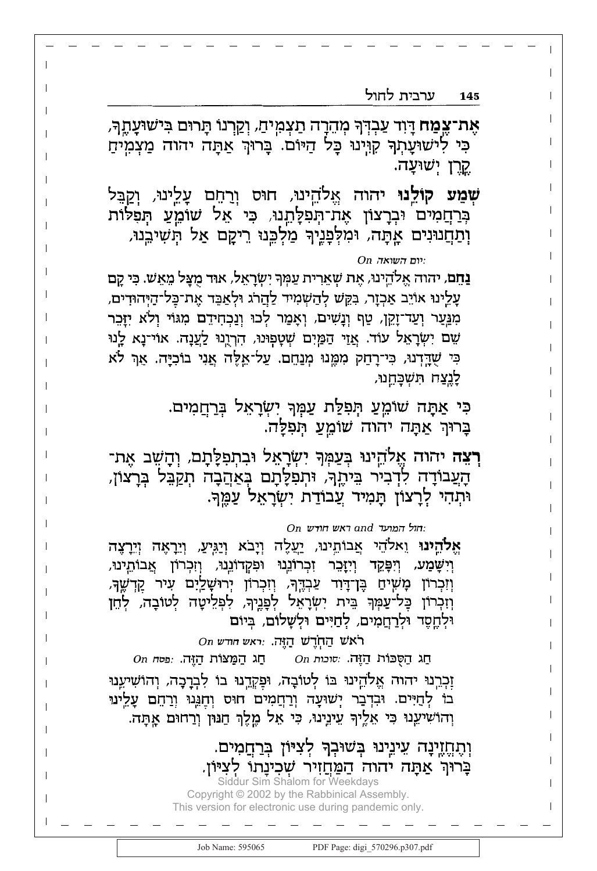- אָת־**אֶמַח** דָּוִד עַבְדְּךָ מְהֵרָה תַצְמִיחַ, וְקַרְנוֹ תָּרוּם בִּישׁוּעָתֶךְ, כִּי לִישׁוּעָתְךָ קִוּיְנוּ כָּל הַיּוֹם. בְרוֹךְ אַתָּה יהוה מַצְמִיחַ קֵרֶן יְשׁוּעָה.
- **שְׁמַע קוֹלֵנוּ** יהוה אֱלֹהֵינוּ, חוּס וְרַחֵם עַלֵינוּ, וְקַבֵּל בְּרַחֲמִים וּבְרָצוֹן אֶת־תְפִלָּתֶנוּ, כִּי אֵל שוֹמֵעַ תְפִלּוֹת וְתַחֲנוּנִים אֱתָּה, וּמִלְפָנֶיךָ מַלְכֵּנוּ רֵיקָם אַל תְּשִׁיבֵנוּ,

 $On$  יום השואה:

- ַ**נַחֵם**, יהוה אֱלֹהֱינוּ, אֶת שְׁאֵרִית עַמְּךָ יִשְׂרָאֵל, אוּד מֻצָּל מֵאֵשׁ. כִּי קָם עָלִינוּ אוֹיֵב אַכְזָר, בִּקֵשׁ לְהַשְׁמִיד לַהֲרֹג וּלְאַבֵּד אֶת־כַּל־הַיְּהוּדִים, מִנַּעֲר וְעַד־זָקֵן, טַף וְנָשִׁים, וְאָמַר לְכוּ וְנַכְחִידֵם מִגּוֹי וְלֹא יִזָּבֵר שֵׁם יִשְׂרָאֵל עוֹד. אֲזַי הַמַּיִם שְׁטָפְוּנוּ, הִרְוֻנוּ לַעֲנָה. אוֹי־נָא לֶנוּ כִּי שֻׁדֶּדְנוּ, כִּי־רָחַק מִמֶּנוּ מְנַחֵם. עַל־אֵלֶה אֲנִי בוֹכִיַּה. אַךְ לֹא לַגֵצַח תִּשְׁכַּחֱֵנוּ,
	- כִּי אַתָּה שׁוֹמֵעַ תְּפִלֵּת עַמְּךָ יִשְׂרָאֵל בְּרַחֲמִים. בָרוּךְ אַתָּה יהוה שׁוֹמֵעַ תְּפִלָּה.
- רְצֵה יהוה אֱלֹהֵינוּ בְּעַמְּךָ יִשְׂרָאֵל וּבִתְפִלָּתָם, וְהָשֵׁב אֵת־ הָעֲבוֹדָה לִדְבִיר בֵּיתֶךְ, וּתְפִלָּתָם בְּאַהֲבָה תִקַבֵּל בְּרָצוֹן, וּתְהִי לְרָצוֹן תָּמִיד עֲבוֹדַת יִשְׂרָאֵל עַמֶּךְ.

 $On$  יחול המועד  $and$  המועד  $\ldots$ 

אֱלֹהֶינוּ וֵאלֹהֵי אֲבוֹתֵינוּ, יַעֲלֶה וְיָבֹא וְיַגִּיעַ, וְיֵרָאֶה וְיֵרָצֶה וְיִשָּׁמַע, וְיִפָּקֵד וְיָזָבֵר זִכְרוֹגְנוּ וּפִקְדוֹגְנוּ, וְזִכְרוֹן אֲבוֹתֵינוּ, וְזִכְרוֹן מָשִׁיחַ בֶּן־דָּוִד עַבְדֶּךָ, וְזִכְרוֹן יְרוּשָׁלֵיִם עִיר קַדְשֶׁךָ, וְזִכְרוֹן בָּל־עַמְּךָ בֵּית יִשְׂרָאֵל לְפָנֵיךָ, לִפְלֵיטָה לְטוֹבָה, לְחֵן וּלְחֶסֶד וּלְרַחֲמִים, לְחַיִּים וּלְשָׁלוֹם, בִּיוֹם

 $On\,$ ראש הידש הַחְרֶשׁ הַזֶּה.  $On$  בַּתֲלוֹת בַּזֶּהָ. :סוכות מ $On$  בַּג בַּמֲצוֹת בַזֶּה. :פּסח זָכְרֵנוּ יהוה אֱלֹהֵינוּ בּוֹ לְטוֹבָה, וּפַקְרֵנוּ בוֹ לִבְרָבָה, וְהוֹשִׁיעֵנוּ בוֹ לְחַיִּים. וּבִדְבַר יְשׁוּעָה וְרַחֲמִים חוּס וְחַגְּנוּ וְרַחֵם עָלֵינוּ וְהוֹשִׁיעֵנוּ כִּי אֵלֶיךָ עֵינֵינוּ, כִּי אֵל מֱלֶךְ חַנּוּן וְרַחוּם אֲתָה.

> וְהֶחֱזֶיְנָה עֵינִיְנוּ בְּשׁוּּבְךָ לְצִיּוֹן בְּרַחֲמִים. בָּרוּךְ אַתָּה יהוה הַמַּחֲזִיר שְׁכִינָתו לְצִיּוֹן.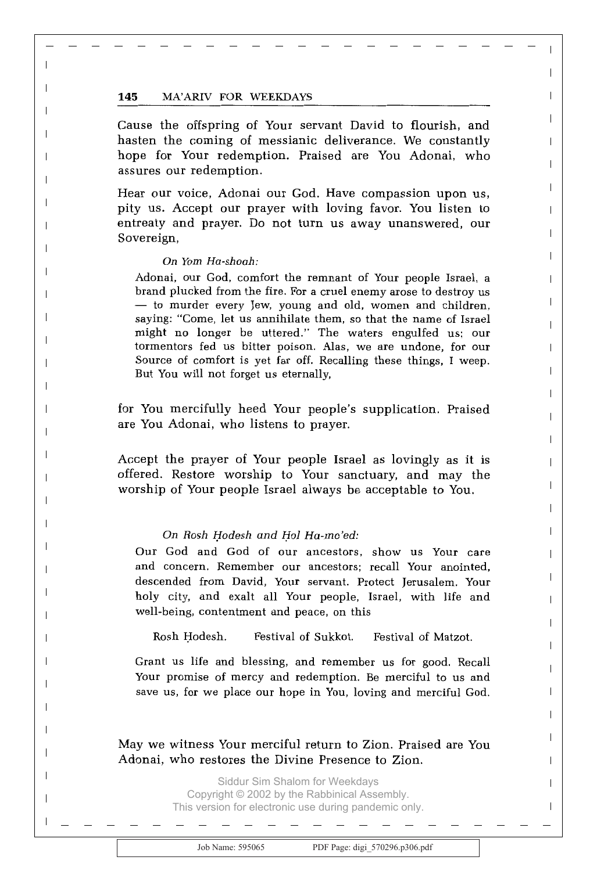Cause the offspring of Your servant David to flourish, and hasten the coming of messianic deliverance. We constantly hope for Your redemption. Praised are You Adonai, who assures our redemption.

Hear our voice. Adonai our God. Have compassion upon us, pity us. Accept our prayer with loving favor. You listen to entreaty and prayer. Do not turn us away unanswered, our Sovereign,

#### On Yom Ha-shoah:

Adonai, our God, comfort the remnant of Your people Israel, a brand plucked from the fire. For a cruel enemy arose to destroy us - to murder every Jew, young and old, women and children, saying: "Come, let us annihilate them, so that the name of Israel might no longer be uttered." The waters engulfed us; our tormentors fed us bitter poison. Alas, we are undone, for our Source of comfort is yet far off. Recalling these things, I weep. But You will not forget us eternally.

for You mercifully heed Your people's supplication. Praised are You Adonai, who listens to praver.

Accept the prayer of Your people Israel as lovingly as it is offered. Restore worship to Your sanctuary, and may the worship of Your people Israel always be acceptable to You.

#### On Rosh Hodesh and Hol Ha-mo'ed:

Our God and God of our ancestors, show us Your care and concern. Remember our ancestors; recall Your anointed, descended from David, Your servant. Protect Jerusalem, Your holy city, and exalt all Your people, Israel, with life and well-being, contentment and peace, on this

Rosh Hodesh. Festival of Sukkot. Festival of Matzot.

Grant us life and blessing, and remember us for good. Recall Your promise of mercy and redemption. Be merciful to us and save us, for we place our hope in You, loving and merciful God.

May we witness Your merciful return to Zion. Praised are You Adonai, who restores the Divine Presence to Zion.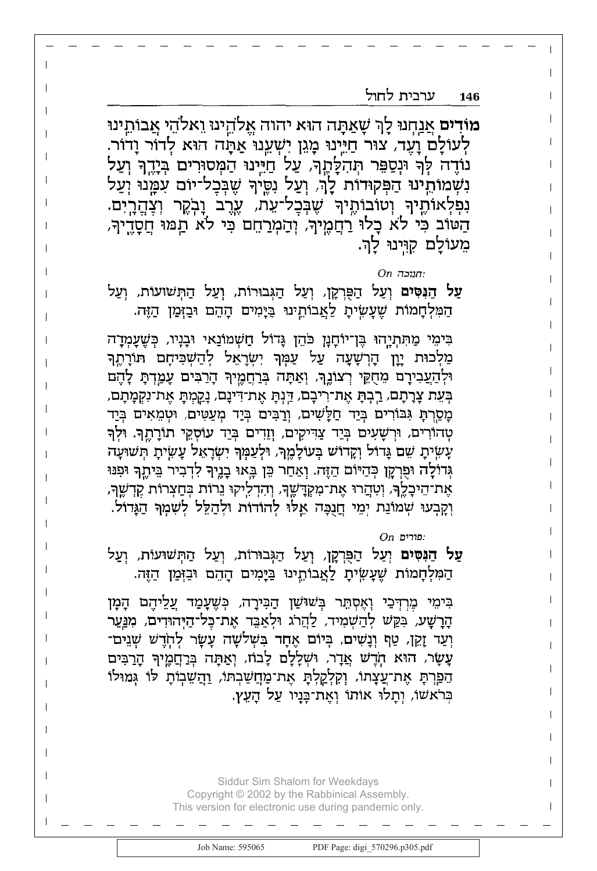מוֹדִים אֲנֵחְנוּ לַךְ שָׁאַתָּה הוּא יהוה אֱלֹהֵינוּ וֵאלֹהֵי אֲבוֹתֵינוּ לְעוֹלָם וָעֶד, צוּר חַיֵּינוּ מָגֶן יִשְׁעֵנוּ אַתָּה הוּא לְדוֹר וַדוֹר. נוֹדֵה לְךְ וּנְסַפֵּר תְּהִלָּתֵךְ, עַל חֲיֵינוּ הַמְּסוּרִים בְּיָדֵךְ וְעַל נשמותינו הַפִּקוּדוֹת לַךְ, וְעַל נְסֵיךְ שֵׁבְּכַל־יוֹם עִמֲנוּ וְעַל וִפְלְאוֹתֶיךָ וְטוֹבוֹתֶיךָ שֶׁבְּכָל־עֵת, עֶרֶב וָבְקֶר וְצַהֲרָיִם. הַטּוֹב כִּי לֹא כָלוּ רַחֲמֶיךָ, וְהַמְרַחֵם כִּי לֹא תַמּוּ חֲסָדֶיךָ, מֵעוֹלָם קִוּיְנוּ לָךָ.

On תנוכה:

עַל הַגִּסִּים וְעַל הַפְּרְקָן, וְעַל הַגְּבוּרוֹת, וְעַל הַתְּשׁוּעוֹת, וְעַל הַמִּלְחָמוֹת שֶׁעָשְׂיתָ לַאֲבוֹתֵינוּ בַּיָּמִים הָהֵם וּבַזְּמַן הַזֶּה.

בִּימִי מַתִּתְיָהוּ בֶּן־יוֹחָנָן כֹּהֵן גָּדוֹל חַשְׁמוֹנַאי וּבָנָיו, כְּשֶׁעָמְדָה מַלְכוּת יָיָן הָרְשָׁעָה עַל עַמְּךָ יִשְׂרָאֵל לְהַשְׁבִּיחָם תּוֹרָהֶךָ וּלְהַעֲבִירָם מֵחֻקֵּי רְצוֹנֶךָ, וְאַתָּה בְּרַחֲמֶיךָ הָרַבִּים עָמַדְתָּ לָהֶם בְּעֵת צָרָתָם, רַבְתָּ אֶת־רִיבָם, דֵּנְתָּ אֶת־דִּינָם, נָקַמְתָּ אֶת־נִקְמָתָם, מָסֵרְתָּ גִּבּוֹרִים בְּיַד חַלָּשִׁים, וְרַבִּים בְּיַד מְעַטִּים, וּטְמֵאִים בְּיַד טְהוֹרִים, וּרְשָׁעִים בְּיַד צַדִּיקִים, וְזֵדִים בְּיַד עוֹסְקֵי תוֹרָתֶךָ. וּלְךָ עָשִׂיתָ שֵׁם גָּדוֹל וְקָדוֹשׁ בְּעוֹלָמֶךְ, וּלְעַמְּךָ יִשְׂרָאֵל עָשְׂיתָ תְּשׁוּעָה גְּדוֹלָה וּפְרְקָן כְּהַיּוֹם הַזֶּה. וְאַחַר כֵּן בְּאוּ בָנֶיךָ לִדְבִיר בֵּיתֶךְ וּפִנּוּ אָת־הֵיכָלֶךְ, וְטִהֲרוּ אֶת־מִקְדָשֶׁךָּ, וְהִדְלִיקוּ נֵרוֹת בְּחַצְרוֹת קַדְשֶׁךָּ, וְקָבְעוּ שְׁמוֹנַת יְמֵי חֲנֻבָּה אֵלוּ לְהוֹדוֹת וּלְהַלֵּל לְשִׁמְךָ הַגָּדוֹל.

 $On$  פורים:

עַל הַגְּסִּים וְעַל הַפְּרְקָן, וְעַל הַגְּבוּרוֹת, וְעַל הַתְּשׁוּעוֹת, וְעַל הַמִּלְחָמוֹת שֶׁעָשְׂיתָ לַאֲבוֹתֵינוּ בַּיָּמִים הָהֵם וּבַזְּמַן הַזֶּה.

בִּימֵי מַַּוְדְּבֵי וְאֶסְתֵּר בְּשׁוּשַׁן הַבִּירָה, בְּשֶׁעֲמַד עֲלֵיהֶם הָמָן הָרָשָׁע, בִּקֵּשׁ לְהֵשְׁמִיד, לַהֲרֹג וּלְאַבֵּד אֶת־כַּל־הַיְּהוּדִים, מִנַּעַר יְעַד זָקֵן, טַף וְנָשִׁים, בְּיוֹם אֶחָד בִּשְׁלֹשָׁה עָשָׂר לְחְדֶשׁ שְׁנֵים־ עָשָׂר, הוּא חִׂרֶשׁ אֲדָר, וּשְׁלָלָם לָבוֹז, וְאַתָּה בְּרַחֲמֶיךָ הָרַבִּים הַפַּרְתָּ אֶת־עֲצָתוֹ, וְקִלְקֵלְתָּ אֶת־מַחֲשַׁבְתּוֹ, וַהֲשֵׁבְוֹתָ לּוֹ גְּמוּלוֹ בְּרֹאשׁוֹ, וְתָלוּ אוֹתוֹ וְאֶת־בָּנָיו עַל הָעֵץ.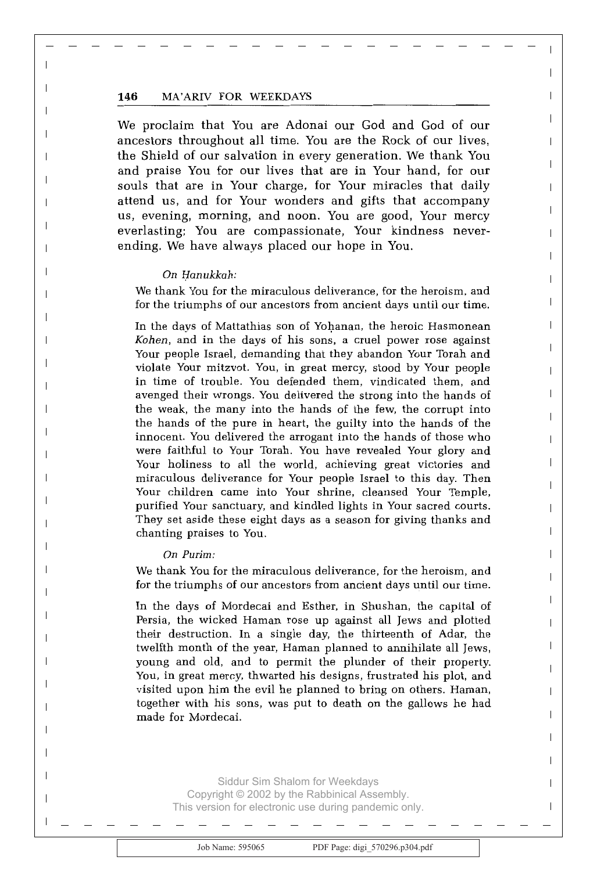We proclaim that You are Adonai our God and God of our ancestors throughout all time. You are the Rock of our lives, the Shield of our salvation in every generation. We thank You and praise You for our lives that are in Your hand, for our souls that are in Your charge, for Your miracles that daily attend us, and for Your wonders and gifts that accompany us, evening, morning, and noon. You are good, Your mercy everlasting: You are compassionate. Your kindness neverending. We have always placed our hope in You.

#### On Hanukkah:

We thank You for the miraculous deliverance, for the heroism, and for the triumphs of our ancestors from ancient days until our time.

In the days of Mattathias son of Yohanan, the heroic Hasmonean Kohen, and in the days of his sons, a cruel power rose against Your people Israel, demanding that they abandon Your Torah and violate Your mitzvot. You, in great mercy, stood by Your people in time of trouble. You defended them, vindicated them, and avenged their wrongs. You delivered the strong into the hands of the weak, the many into the hands of the few, the corrupt into the hands of the pure in heart, the guilty into the hands of the innocent. You delivered the arrogant into the hands of those who were faithful to Your Torah. You have revealed Your glory and Your holiness to all the world, achieving great victories and miraculous deliverance for Your people Israel to this day. Then Your children came into Your shrine, cleansed Your Temple, purified Your sanctuary, and kindled lights in Your sacred courts. They set aside these eight days as a season for giving thanks and chanting praises to You.

#### On Purim:

We thank You for the miraculous deliverance, for the heroism, and for the triumphs of our ancestors from ancient days until our time.

In the days of Mordecai and Esther, in Shushan, the capital of Persia, the wicked Haman rose up against all Jews and plotted their destruction. In a single day, the thirteenth of Adar, the twelfth month of the year, Haman planned to annihilate all Jews, young and old, and to permit the plunder of their property. You, in great mercy, thwarted his designs, frustrated his plot, and visited upon him the evil he planned to bring on others. Haman, together with his sons, was put to death on the gallows he had made for Mordecai.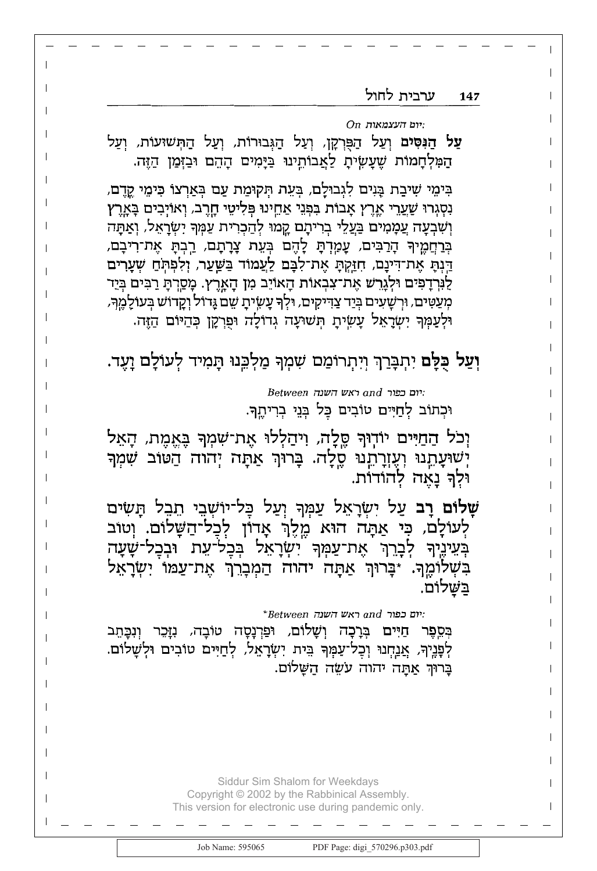${}^{\star}$ Between יום כפור  $and$  מו בְּסֵפֶר חַיִּים בְּרָבָה וְשָׁלוֹם, וּפַרְנָסָה טוֹבָה, גִזָּבֵר וְגִבָּתֵב לְפָנֶיךָ, אֲנֵחְנוּ וְכָל־עַמְךָ בִּית יִשְׂרָאֵל, לְחַיִּים טוֹבִים וּלִשָּׁלוֹם. בָרוּךְ אַתָּה יהוה עֹשֶׂה הַשָּׁלוֹם.

שָׁלוֹם רָב עַל יִשְׂרָאֵל עַמְּךָ וְעַל כַּל־יוֹשְׁבֵי חֵבֵל תָּשִׂים לְעוֹלָם, כִּי אַתָּה הוּא מֶלֶךְ אָדוֹן לְכָל־הַשָּׁלוֹם. וְטוֹב בְּעֵינֶיְךָ לְבָרֵךְ אֶת־עַמְּךָ יִשְׂרָאֵל בְּבָל־עָת וּבְבָל־שָׁעָה בִּשְׁלוֹמֶךָ. \*בָּרוּךְ אַתָּה יהוה הַמְבָרֵךְ אֶת־עַמּוֹ יִשְׂרָאֵל בַּשַׁלוֹם.

וְכֹל הַחַיִּים יוֹדְוּךְ סֶלָה, וִיהַלְלוּ אֶת־שִׁמְךָ בֶּאֱמֶת, הָאֵל יְשׁוּעָתֶנוּ וְעֶזְרָתֶנוּ סֶלָה. בָּרוּךְ אַתָּה יְהוּה הַטּוֹב שִׁמְךָ וּלִךְ נָאֵה לְהוֹדוֹת.

וְעַל בְּלָם יִתְבָּרַךְ וְיִתְרוֹמַם שִׁמְךָ מַלְבֵּנוּ תָּמִיד לְעוֹלָם וָעֶד.

 $Between$  השנה  $and$ כפור  $and$ וּכְתוֹב לְחַיִּים טוֹבִים כַּל בְּנֵי בִרִיתֶךָ.

בִּימֵי שִׁיּבַת בַּנִים לְגִבוּלֵם, בִּעֵת תִּקוּמַת עַם בִּאַרְצוֹ כִּימֵי קֱדֶם, נִסְגְרוּ שַׁעֲרֵי אֶרֶץ אָבוֹת בִּפְנֵי אַחֵינוּ פְּלִיטֵי חָרֵב, וְאוֹיִבִים בַּאַרֵץ וְשְׁבְעָה עֲמָמִים בַּעֲלֵי בְרִיתָם קֵמוּ לְהַבְרִית עַמְּךָ יִשְׂרָאֵל, וְאַתָּה בְּרַחֲמֶיךָ הָרַבִּים, עָמַדְתָּ לָהֶם בְּעֵת צָרָתָם, רַבְתָּ אֶת־רִיבָם, דֵּנְתָּ אֶת־דִּינָם, חִזַּקְתָּ אֶת־לִבָּם לַעֲמוֹד בַּשֵּׁעַר, וְלִפְתְּחַ שְׁעָרִים לַנְּרְדָפִים וּלְגֶרֵשׁ אֶת־צִבְאוֹת הָאוֹיֵב מִן הָאָרֶץ. מָסֵרְתָּ רַבִּים בְּיַד מְעַטִּים, וּרְשָׁעִים בִּיַד צַדִּיקִים, וּלְךָ עָשְׂיתָ שֵם גַּדוֹל וְקָדוֹשׁ בִּעוֹלָמֵךְ, וּלְעַמְךָ יְשָׂרָאֵל עָשִׂיתָ תְּשׁוּעָה גְדוֹלָה וּפַרְקָן כְּהַיּוֹם הַזֶּה.

 $On$  יום העצמאות: **עַל הַנִּסִּים** וְעַל הַפְּרְקֵן, וְעַל הַגְּבוּרוֹת, וְעַל הַתְּשׁוּעוֹת, וְעַל הַמְּלְחָמוֹת שֶׁעָשְׂיתָ לַאֲבוֹתֵינוּ בַּיָּמִים הָהֵם וּבַזְּמַן הַזֶּה.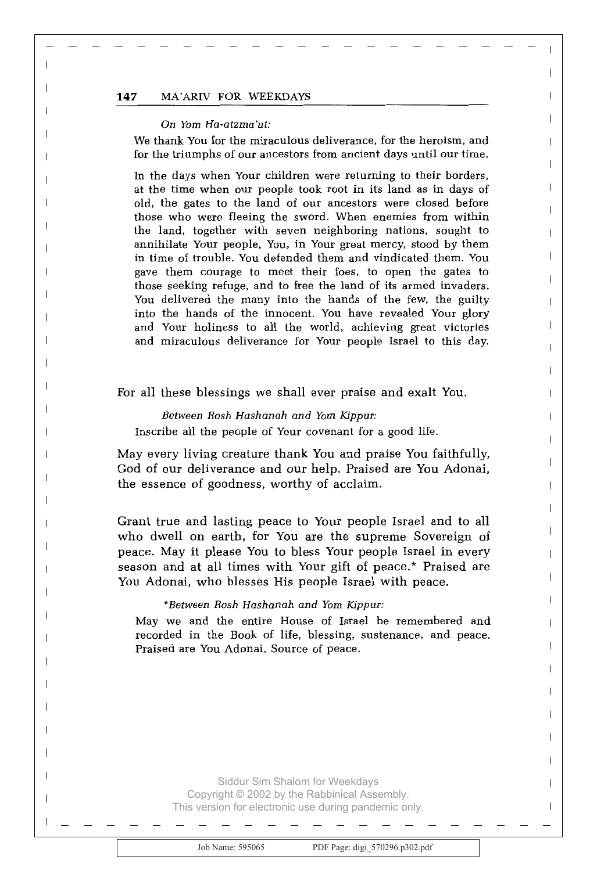#### On Yom Ha-atzma'ut:

We thank You for the miraculous deliverance, for the heroism, and for the triumphs of our ancestors from ancient days until our time.

In the days when Your children were returning to their borders, at the time when our people took root in its land as in days of old, the gates to the land of our ancestors were closed before those who were fleeing the sword. When enemies from within the land, together with seven neighboring nations, sought to annihilate Your people, You, in Your great mercy, stood by them in time of trouble. You defended them and vindicated them. You gave them courage to meet their foes, to open the gates to those seeking refuge, and to free the land of its armed invaders. You delivered the many into the hands of the few, the guilty into the hands of the innocent. You have revealed Your glory and Your holiness to all the world, achieving great victories and miraculous deliverance for Your people Israel to this day.

For all these blessings we shall ever praise and exalt You.

Between Rosh Hashanah and Yom Kippur:

Inscribe all the people of Your covenant for a good life.

May every living creature thank You and praise You faithfully. God of our deliverance and our help. Praised are You Adonai, the essence of goodness, worthy of acclaim.

Grant true and lasting peace to Your people Israel and to all who dwell on earth, for You are the supreme Sovereign of peace. May it please You to bless Your people Israel in every season and at all times with Your gift of peace.\* Praised are You Adonai, who blesses His people Israel with peace.

#### \*Between Rosh Hashanah and Yom Kippur:

May we and the entire House of Israel be remembered and recorded in the Book of life, blessing, sustenance, and peace. Praised are You Adonai, Source of peace.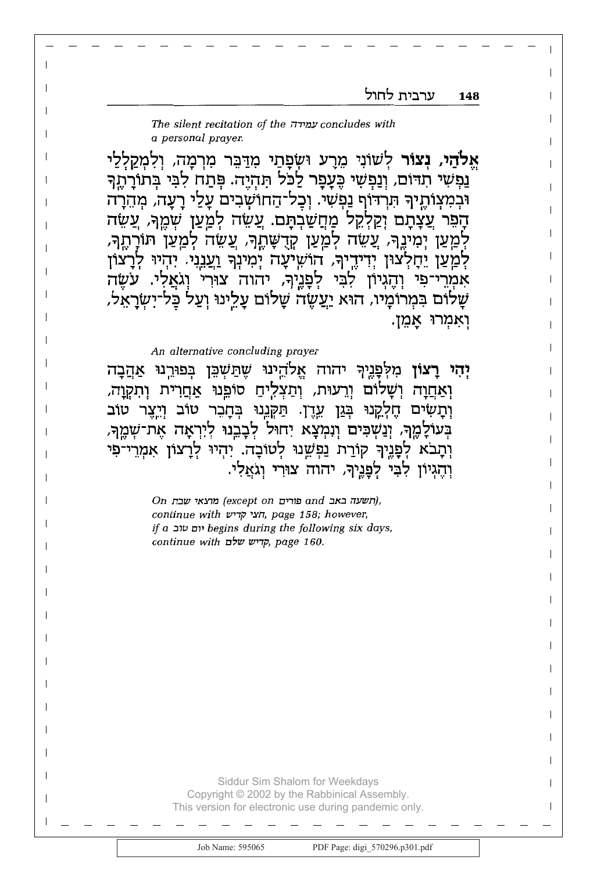The silent recitation of the עמידה concludes with a personal prayer.

**אֵלהַי, נִצוֹר** לִשׁוֹנִי מֵרָע וּשִׂפָּתַי מִדַּבֵּר מִרְמַה, וְלִמְקַלְלַי נַפִּשִׁי תִדּוֹם, וְנַפְשִׁי כֵּעֲפַר לַכֹּל תִּהְיֶה. פִּתַח לִבִּי בְּתוֹרַתֵּךָ וּבְמִצְוֹתֵיךָ תְּרְדּוֹף נַפְשִׁי. וְכָל־הַחוֹשבים עלי רַעֲה, מהרה וְקַלְקֶל מַחֲשַׁבְתַּם. עֲשֶׂה לְמֵעַן שְׁמֶךָ, עֲשֶׂה הפר עצתם יִמְינֵךָ, עֲשֶׂה לְמַַעַן קְרָשָׁתֶךָ, עֲשֶׂה לְמַעַן תּוֹרָתֶךָ, יִדְידֵיךָ, הוֹשִׁיעַה יִמִינַךְ וענני. יהיו לרצוז מען יחל צון לִבִּי לִפַּנֵיךָ, יהוה צוּרִי והגיון אמרי־פי שַׁלוֹם בִּמְרוֹמֵיו, הוּא יַעֲשֶׂה שַׁלוֹם עַלֵינוּ ועַ ואמרו אמן.

An alternative concluding prayer

יְהִי רַצוֹן מִלְפָנֶיךָ יהוה אֱלֹהֵינוּ שֶׁתַּשְׁבֵּן בְּפוּרֵנוּ אַהֲבָה וְאַחֲוַה וְשַׁלוֹם וְרֵעוּת, וְתַצְלִיחַ סוֹפֵנוּ אַחֲרִית וְתִקְוָה, וְתָשִׂים חֶלְקֵנוּ בְּגַן עֵדֵן. תַּקְנֵנוּ בְּחַבֶר טוֹב וְיֵצֵר טוב בִּעוֹלַמֱךָ, וְנַשְׁבִּים וְנִמְצַא יְחוּל לִבָבֶנוּ לִירְאַה אַת־שָׁמֵךָ, וְתַבֹא לְפָּנֵיךְ קוֹרַת נַפְשֵׁנוּ לְטוֹבָה. יִהְיוּ לְרַצוֹן אִמְרֵי־פִי וְהֵגִיוֹן לְבִי לִפַּנֵיךָ, יהוה צוּרִי וְגֹאֲלִי.

> On סוצאי שבת) (except on פורים), continue with חצי קדיש, page 158; however,  $if a$  יום טוב begins during the following six days, continue with קדיש שלם, page 160.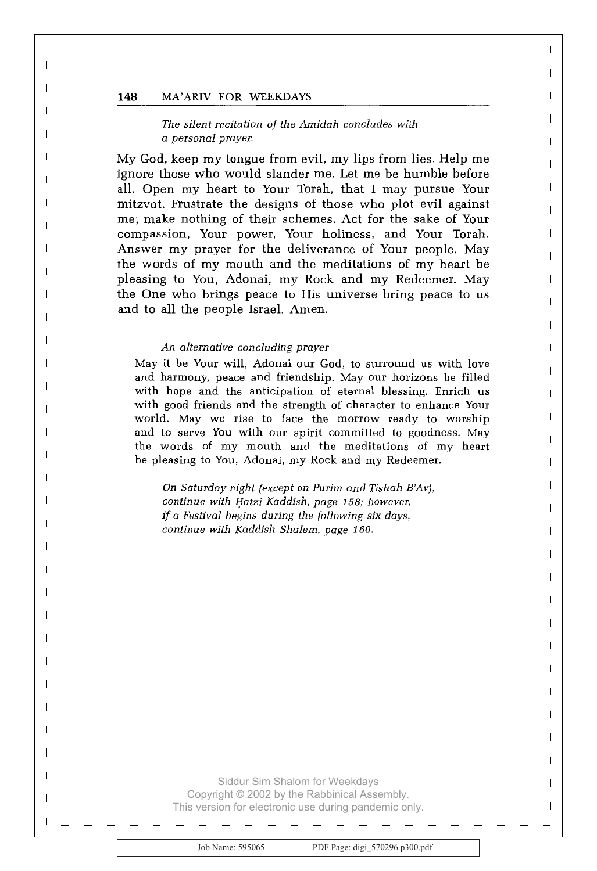The silent recitation of the Amidah concludes with a personal prayer.

My God, keep my tongue from evil, my lips from lies. Help me ignore those who would slander me. Let me be humble before all. Open my heart to Your Torah, that I may pursue Your mitzvot. Frustrate the designs of those who plot evil against me: make nothing of their schemes. Act for the sake of Your compassion, Your power, Your holiness, and Your Torah. Answer my prayer for the deliverance of Your people. May the words of my mouth and the meditations of my heart be pleasing to You, Adonai, my Rock and my Redeemer. May the One who brings peace to His universe bring peace to us and to all the people Israel. Amen.

#### An alternative concluding praver

May it be Your will, Adonai our God, to surround us with love and harmony, peace and friendship. May our horizons be filled with hope and the anticipation of eternal blessing. Enrich us with good friends and the strength of character to enhance Your world. May we rise to face the morrow ready to worship and to serve You with our spirit committed to goodness. May the words of my mouth and the meditations of my heart be pleasing to You, Adonai, my Rock and my Redeemer.

On Saturday night (except on Purim and Tishah B'Av), continue with Hatzi Kaddish, page 158; however, if a Festival begins during the following six days. continue with Kaddish Shalem, page 160.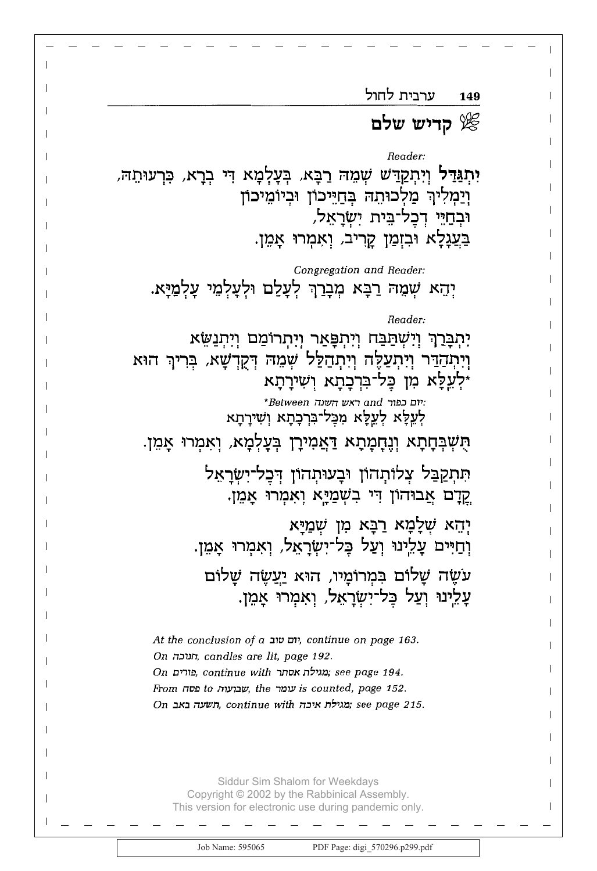ערבית לחול 149

### קדיש שלם $\%$

Reader: יִתְגַּדַל וְיִתְקַדַּשׁ שְׁמֵהּ רַבָּא, בְּעַלְמָא דִּי בְרָא, כִּרְעוּתֶה, וְיַמְלִיהְ מַלְכוּתֶה בְּחַיֵּיכוֹן וּבְיוֹמֵיכוֹן וּבְחֲיֵי דְכַל־בֵּית יְשָׂרָאֵל, בַּעֲנָלַא וּבִזְמַן קַרִיב, וְאִמְרוּ אָמֵן.

Congregation and Reader: יִהֵא שִׁמֵהּ רַבָּא מִבָרַךְ לְעָלַם וּלְעָלְמֵי עָלְמַיָּא. Reader: יִתְבָּרַךְ וְיִשְׁתַּבַּח וְיִתְפָּאַר וְיִתְרוֹמַם וְיִתְנַשֵּׂא וְיִתְהַדֵּר וְיִתְעַלֶּה וְיִתְהַלַּל שְׁמֵהּ דְּקָדְשָׁא, בְּרִיךָ הוּא יּלְעֵלָּא מִן כָּל־בִּרְבָתָא וְשִׁירָתָא יום כפור and ראש השנה Between\* לְעֵלָּא לְעֵלָּא מִכָּל־בִּרְכָתָא וְשִׁירָתָא תִּשְׁבְּחָתָא וְנֵחָמָתָא דַּאֲמִירָן בְּעָלְמָא, וְאִמְרוּ אָמֵן. תִּתְקַבַּל צְלוֹתְהוֹן וּבָעוּתְהוֹן דְּכַל־יִשְׂרָאֵל ַקַדָם אֲבוּהוֹן דִּי בִשְׁמַיֶּא וְאִמְרוּ אָמֵן. יְהֵא שְׁלָמָא רַבָּא מִן שְׁמַיָּא וְחַיִּים עָלֵינוּ וְעַל כַּל־יִשְׂרָאֵל, וְאִמְרוּ אָמֵן. עֹשֶׂה שָׁלוֹם בִּמְרוֹמָיו, הוּא יַעֲשֶׂה שָׁלוֹם עָלֵינוּ וְעַל כַּל־יִשְׂרָאֵל, וְאִמְרוּ אָמֵן.

At the conclusion of a יום טוב, continue on page 163. On העוכה, candles are lit, page 192. On פורים, continue with מגילת אסתר; see page 194. From שבועות to שבועות the שבועות is counted, page 152. On משעה באב, continue with מגילת איכה, see page 215.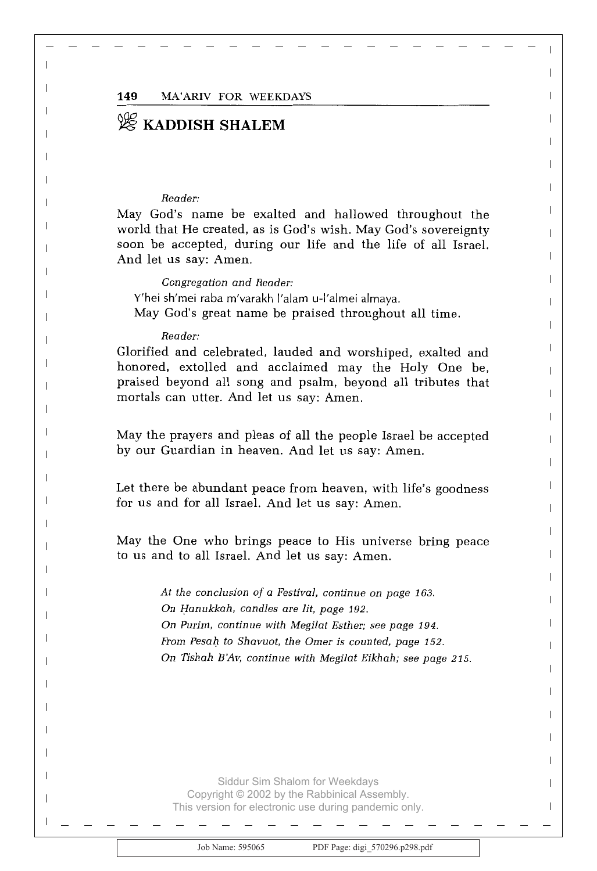### **WE KADDISH SHALEM**

#### **Beader:**

May God's name be exalted and hallowed throughout the world that He created, as is God's wish. May God's sovereignty soon be accepted, during our life and the life of all Israel. And let us say: Amen.

Congregation and Reader: Y'hei sh'mei raba m'varakh l'alam u-l'almei almava. May God's great name be praised throughout all time.

#### Reader:

Glorified and celebrated, lauded and worshiped, exalted and honored, extolled and acclaimed may the Holy One be, praised beyond all song and psalm, beyond all tributes that mortals can utter. And let us say: Amen.

May the prayers and pleas of all the people Israel be accepted by our Guardian in heaven. And let us say: Amen.

Let there be abundant peace from heaven, with life's goodness for us and for all Israel. And let us say: Amen.

May the One who brings peace to His universe bring peace to us and to all Israel. And let us say: Amen.

> At the conclusion of a Festival, continue on page 163. On Hanukkah, candles are lit, page 192. On Purim, continue with Megilat Esther; see page 194. From Pesah to Shavuot, the Omer is counted, page 152. On Tishah B'Av, continue with Megilat Eikhah; see page 215.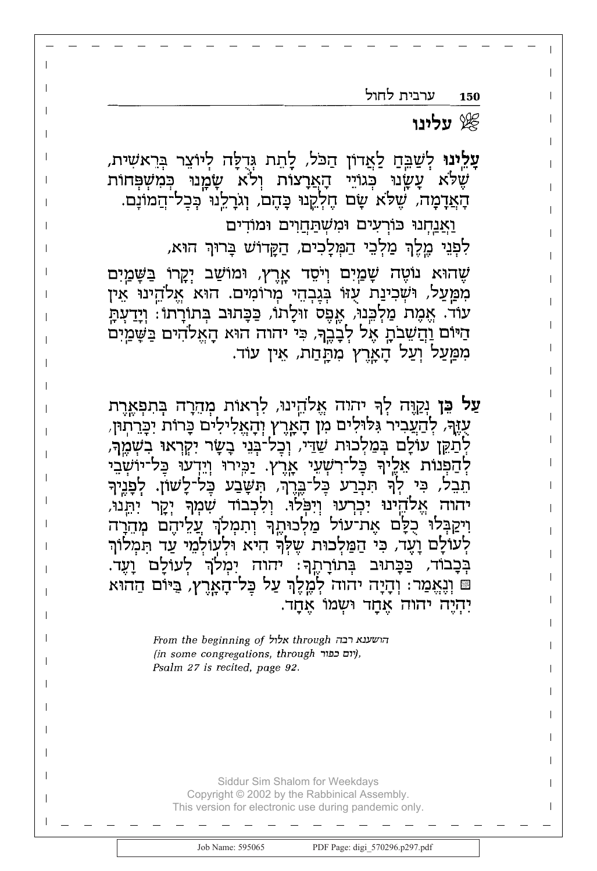### ש עלינו#

עָלֵינוּ לְשַׁבֵּחַ לַאֲדוֹן הַכֹּל, לָחֵת גְּדֻלָּה לְיוֹצֵר בְּרֵאשִׁית, עֲשֶׂנוּ כְּגוֹיֵי הָאֲרָצוֹת וְלֹא שָׂמָנוּ כְּמִשְׁפְּחוֹת שלא הָאֲדָמָה, שֶׁלֹּא שָׂם הֶלְקֵנוּ כָּהֶם, וְגֹרָלֵנוּ כְּכָל־הֲמוֹנָם.

וַאֲנַחְנוּ כּוֹרְעִים וּמִשְׁתַּחֲוִים וּמוֹדִים

לִפְנֵי מֶלֶךְ מַלְבֵי הַמְּלָכִים, הַקָּדוֹשׁ בָּרוּךְ הוּא,

שֶׁהוּא נוֹטֶה שָׁמַיִם וְיֹסֵד אֲרֶץ, וּמוֹשַׁב יִקָרוֹ בַּשָּׁמַיִּם מִמַּעֲל, וּשְׁבִינֵת עָזוֹ בְּגַבְהֵי מְרוֹמִים. הוּא אֱלֹהֵינוּ אֵין עוֹד. אֱמֶת מַלְכֵּנוּ, אֱפֶס זוּלָתוֹ, כַּבָּתוּב בְּתוֹרָתוֹ: וְיָדַעְתָּ היום וַהַשֵׁבֹתָ אֶל לְבָבֶךְ, כִּי יהוה הוּא הָאֱלֹהִים בַּשָּׁמַיִם מִמֵּעַל וְעַל הָאָרֶץ מִתָּחַת, אֵין עוֹד.

על בֵּן נְקַוֶּה לְךָ יהוה אֱלֹהֱינוּ, לִרְאוֹת מְהֶרָה בְּתִפְאֶרֶת עֻזֶךְ, לְהַעֲבִיר גִּלּוּלִים מִן הָאֱרֶץ וְהָאֱלִילִים כָּרוֹת יִכָּרֵתְוּן, לְתַקֵּן עוֹלָם בְּמַלְכוּת שַׁדֵּי, וְכָל־בְּנֵי בָשָׂר יִקְרָאוּ בִשְׁמֶךָ, לְהַפְנוֹת אֵלֶיךָ כָּל־רִשְׁעֵי אָרֶץ. יַכִּירוּ וְיֵדְעוּ כַּל־יוֹשְׁבֵי תֵבֵל, כִּי לִךְ תִּבְרַע בַּל־בֶּרֶךְ, תִּשָּׁבַע בַּל־לָשׁוֹן. לְפָנֶיךָ אֵלֹהֵינוּ יִכְרִעוּ וְיִפְּלוּ. וְלִכְבוֹד שָׁמְךָ יִהֱנוּ, יִקַר יהוה וִיקַבְּלוּ כָלָם אֶת־עוֹל מַלְכוּתֶךְ וְתִמְלֹךְ עֲלֵיהֶם מְהֵרָה לְעוֹלָם וָעֶד, כִּי הַמַּלְכוּת שֶׁלְּךָ הִיא וּלְעְוֹלְמֵי עַד תִּמְלוֹךְ בְּתוֹרָתֶךְ: יהוה יִמְלֹךְ לְעוֹלַם וַעֵד. כַּכַּתוּב בִּבְבוד, ■ וְנֶאֱמַר: וְהָיָה יהוה לְמֶלֶךְ עַל כַּל־הָאָרֵץ, בַּיּוֹם הַהוּא יִהְיֶה יהוה אֱחָד וּשָמוֹ אֱחָד.

> From the beginning of אלול through הושענא רבה (in some congregations, through יום כפור), Psalm 27 is recited, page 92.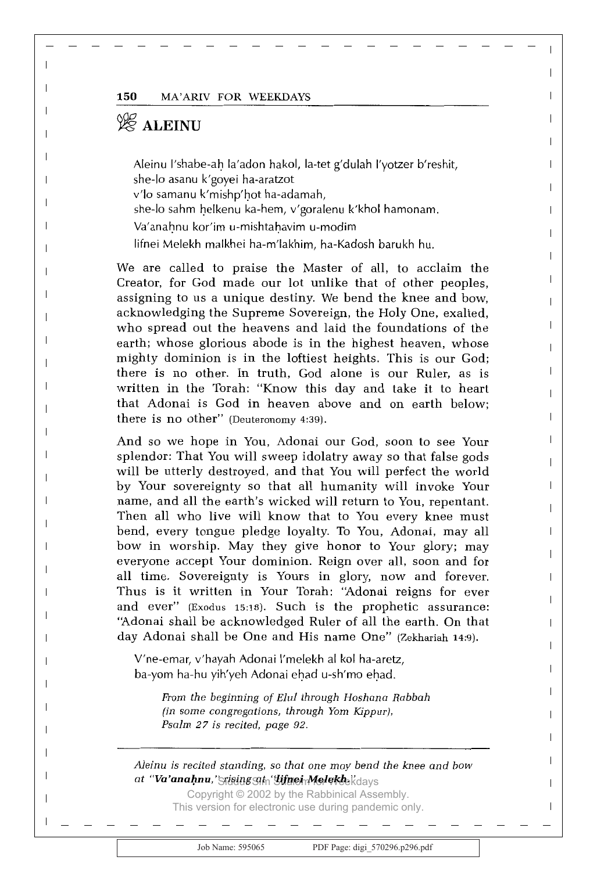### **SE ALEINI**

Aleinu l'shabe-ah la'adon hakol, la-tet g'dulah l'yotzer b'reshit, she-lo asanu k'govei ha-aratzot v'lo samanu k'mishp'hot ha-adamah, she-lo sahm helkenu ka-hem, v'goralenu k'khol hamonam. Va'anahnu kor'im u-mishtahavim u-modim lifnei Melekh malkhei ha-m'lakhim, ha-Kadosh barukh hu.

We are called to praise the Master of all, to acclaim the Creator, for God made our lot unlike that of other peoples, assigning to us a unique destiny. We bend the knee and bow. acknowledging the Supreme Sovereign, the Holy One, exalted, who spread out the heavens and laid the foundations of the earth; whose glorious abode is in the highest heaven, whose mighty dominion is in the loftiest heights. This is our God: there is no other. In truth, God alone is our Ruler, as is written in the Torah: "Know this day and take it to heart that Adonai is God in heaven above and on earth below: there is no other" (Deuteronomy 4:39).

And so we hope in You, Adonai our God, soon to see Your splendor: That You will sweep idolatry away so that false gods will be utterly destroyed, and that You will perfect the world by Your sovereignty so that all humanity will invoke Your name, and all the earth's wicked will return to You, repentant. Then all who live will know that to You every knee must bend, every tongue pledge loyalty. To You, Adonai, may all bow in worship. May they give honor to Your glory; may everyone accept Your dominion. Reign over all, soon and for all time. Sovereignty is Yours in glory, now and forever. Thus is it written in Your Torah: "Adonai reigns for ever and ever" (Exodus 15:18). Such is the prophetic assurance: "Adonai shall be acknowledged Ruler of all the earth. On that day Adonai shall be One and His name One" (Zekhariah 14:9).

V'ne-emar, v'hayah Adonai l'melekh al kol ha-aretz, ba-yom ha-hu yih'yeh Adonai ehad u-sh'mo ehad.

> From the beginning of Elul through Hoshana Rabbah (in some congregations, through Yom Kippur), Psalm 27 is recited, page 92.

Aleinu is recited standing, so that one may bend the knee and bow at "Va'anahnu," susing sim tifarinMelekbekdavs

> Copyright © 2002 by the Rabbinical Assembly. This version for electronic use during pandemic only.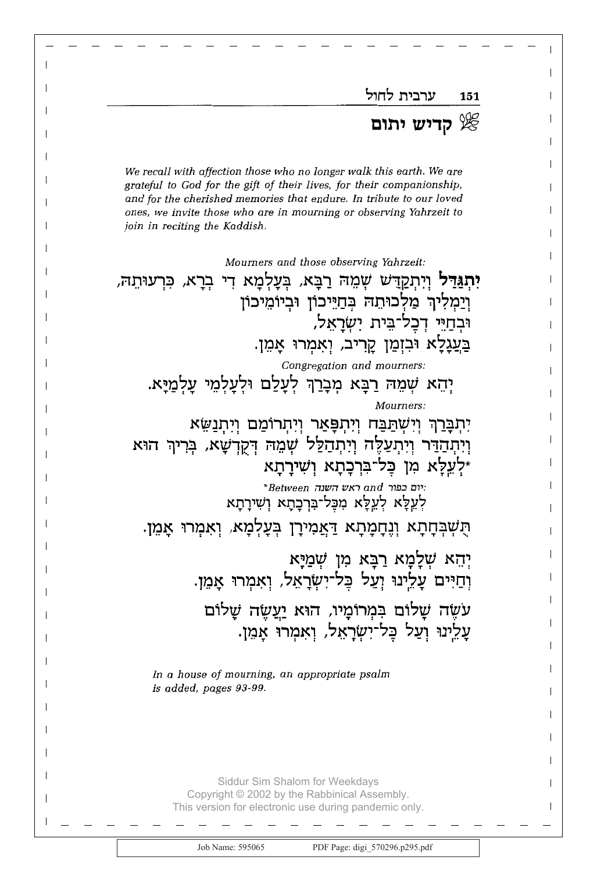### קדיש יתום  $\mathscr{\mathscr{C}}$

We recall with affection those who no longer walk this earth. We are grateful to God for the gift of their lives, for their companionship, and for the cherished memories that endure. In tribute to our loved ones, we invite those who are in mourning or observing Yahrzeit to join in reciting the Kaddish.

Mourners and those observing Yahrzeit: יִתְגַּדֵּל וְיִתְקַדַּשׁ שָׁמֶה רַבָּא, בְּעַלְמַא דִי בְרַא, כִּרְעוּתֶה, וַיַמְלִיהְ מַלְכוּתָה בַחַיִּיכוֹן וּבִיוֹמֵיכוֹן וּבחיי דכל־בית ישראל, בַּעֲגַלַא וּבִזְמַן קַרִיב, וְאָמְרוּ אַמֶן. Congregation and mourners: יְהֵא שָׁמֶה רַבַּא מִבְרָךְ לְעַלַם וּלְעַלְמֵי עַלְמַיַּא. Mourners: יִתְבָּרַךְ וְיִשְׁתַּבַּח וְיִתְפָּאַר וְיִתְרוֹמַם וְיִתְנַשֶּׂא וְיִתְהַדֵּר וְיִתְעַלֵּה וְיִתְהַלַּל שָׁמֶהּ דְּקָדְשָׁא, בְּרִיךְ הוּא ילִעֲלֵא מִן כַּל־בִּרְכַתַא וְשִׁירַתַא \*Between ראש השנה Between\* לִעֲלַא לְעֱלֵא מִכַּל־בִּרְכָתָא וְשִׁירָתָא הָשִׁבְּחָתָא וְנֵחָמָתָא דַּאֲמִירַן בְּעַלְמָא, וְאִמְרוּ אַמֵן. יִהֵא שָׁלַמַא רַבַּא מִן שָׁמַיַּא וחיים עלינו ועל כל־יְשרְאֵל, וְאָמְרוּ אַמֵן. עשה שלום במרומיו, הוא יעשה שלום עלינו ועל כל־יְשַׂרְאַל, וְאמרוּ אמן.

In a house of mourning, an appropriate psalm is added, pages 93-99.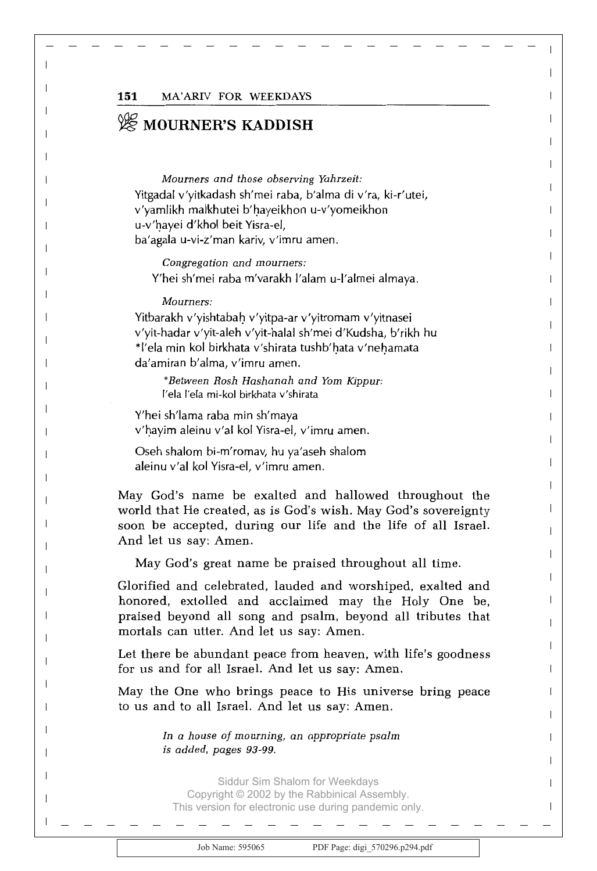### **WE MOURNER'S KADDISH**

Mourners and those observing Yahrzeit: Yitgadal v'yitkadash sh'mei raba, b'alma di v'ra, ki-r'utei, v'yamlikh malkhutei b'hayeikhon u-v'yomeikhon u-v'hayei d'khol beit Yisra-el, ba'agala u-vi-z'man kariv, v'imru amen.

Congregation and mourners: Y'hei sh'mei raba m'varakh l'alam u-l'almei almaya.

#### Mourners:

Yitbarakh v'yishtabah v'yitpa-ar v'yitromam v'yitnasei v'yit-hadar v'yit-aleh v'yit-halal sh'mei d'Kudsha, b'rikh hu \*l'ela min kol birkhata v'shirata tushb'hata v'nehamata da'amiran b'alma, v'imru amen.

\*Between Rosh Hashanah and Yom Kippur: l'ela l'ela mi-kol birkhata v'shirata

Y'hei sh'lama raba min sh'maya v'hayim aleinu v'al kol Yisra-el, v'imru amen.

Oseh shalom bi-m'romay, hu ya'aseh shalom aleinu v'al kol Yisra-el, v'imru amen.

May God's name be exalted and hallowed throughout the world that He created, as is God's wish. May God's sovereignty soon be accepted, during our life and the life of all Israel. And let us say: Amen.

May God's great name be praised throughout all time.

Glorified and celebrated, lauded and worshiped, exalted and honored, extolled and acclaimed may the Holy One be. praised beyond all song and psalm, beyond all tributes that mortals can utter. And let us say: Amen.

Let there be abundant peace from heaven, with life's goodness for us and for all Israel. And let us say: Amen.

May the One who brings peace to His universe bring peace to us and to all Israel. And let us say: Amen.

> In a house of mourning, an appropriate psalm is added, pages 93-99.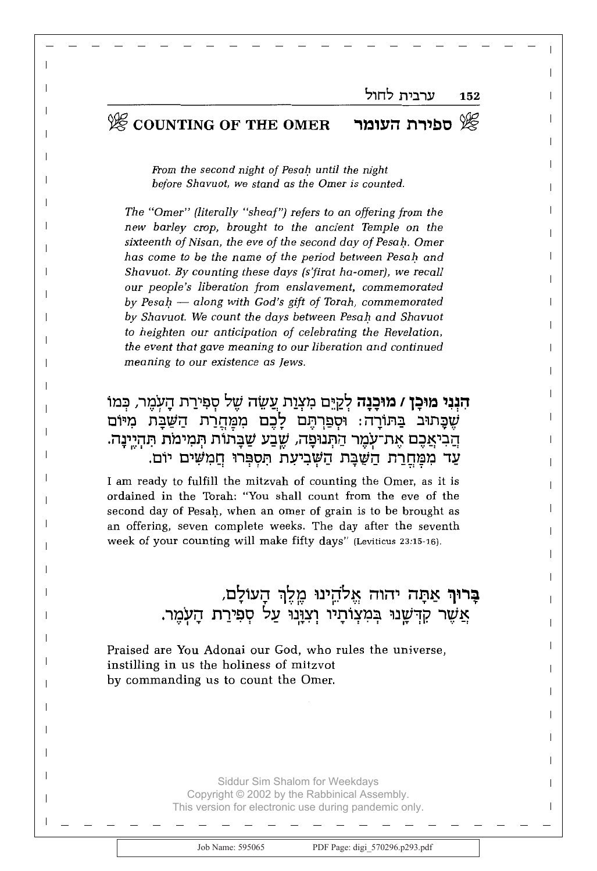#### **WE COUNTING OF THE OMER** ספירת העומר  $\mathscr{\mathscr{C}}$

From the second night of Pesah until the night before Shavuot, we stand as the Omer is counted.

The "Omer" (literally "sheaf") refers to an offering from the new barley crop, brought to the ancient Temple on the sixteenth of Nisan, the eve of the second day of Pesah. Omer has come to be the name of the period between Pesah and Shavuot. By counting these days (s'firat ha-omer), we recall our people's liberation from enslavement, commemorated by Pesah — along with God's gift of Torah, commemorated by Shavuot. We count the days between Pesah and Shavuot to heighten our anticipation of celebrating the Revelation, the event that gave meaning to our liberation and continued meaning to our existence as Jews.

הִנְנִי מוּכָן / מוּכָנָה לְקַיֵּם מִצְוַת עֲשֶׂה שֵׁל סִפְירַת הָעְמֵר, כְּמוֹ שָׁבָּתוּב בַּתּוֹרַה: וּסְפַרְתֵּם לַכֵם מִמּחרת השבת מיום הֲבִיאֲכֶם אֶת־עָמֶר הַתְּנוּפָה, שֱבַע שַׁבָּתוֹת תְּמִימֹת תְּהִיֵינָה. עַד מִמַּחֲרַת הַשַּׁבַּת הַשְּׁבִיעָת תִּסְפְּרוּ חֲמִשִׁים יוֹם.

I am ready to fulfill the mitzvah of counting the Omer, as it is ordained in the Torah: "You shall count from the eve of the second day of Pesah, when an omer of grain is to be brought as an offering, seven complete weeks. The day after the seventh week of your counting will make fifty days" (Leviticus 23:15-16).

> בָרוּךְ אַתָּה יהוה אֱלֹהִינוּ מֶלֶךְ הָעוֹלָם, אֲשֶׁר קִדְּשֶׁנוּ בִּמְצְוֹתַיו וְצְוֶנוּ עַל סְפִירַת הַעְמֶר.

Praised are You Adonai our God, who rules the universe, instilling in us the holiness of mitzvot by commanding us to count the Omer.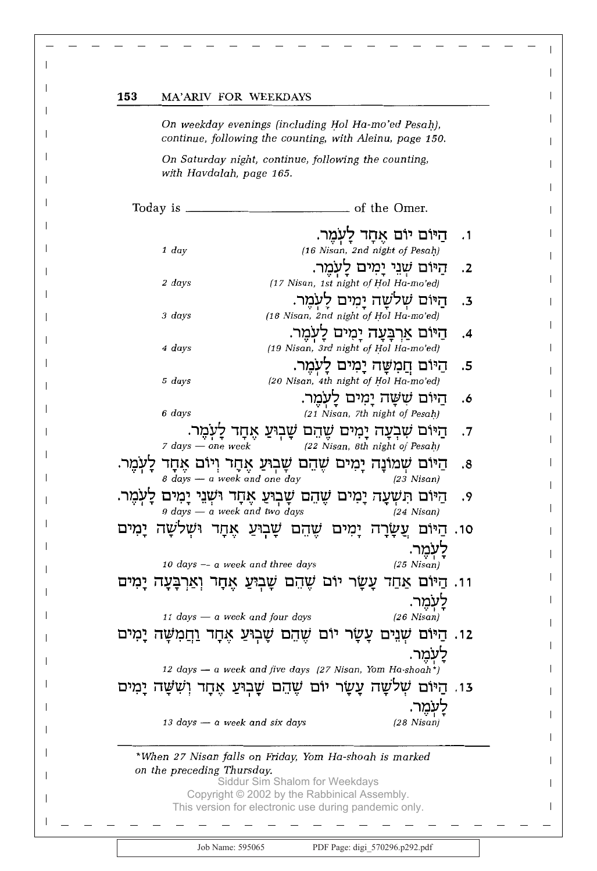On weekday evenings (including Hol Ha-mo'ed Pesah), continue, following the counting, with Aleinu, page 150.

On Saturday night, continue, following the counting, with Havdalah, page 165.

| Today is $\equiv$ |                                         |                                                                            | $\_\_$ of the Omer.                                                |                       |
|-------------------|-----------------------------------------|----------------------------------------------------------------------------|--------------------------------------------------------------------|-----------------------|
|                   | 1 day                                   |                                                                            | הַיּּוֹם יוֹם אֶחָד לָעְמֶר.<br>(16 Nisan, 2nd night of Pesah)     | .1                    |
|                   | 2 days                                  | (17 Nisan, 1st night of Hol Ha-mo'ed)                                      | הַיּוֹם שְׁנֵי יָמִים לַעֹמֵר.                                     | $\cdot$               |
|                   |                                         |                                                                            | הַיּוֹם שִׁלשָה יַמִים לַעֹמֵר.                                    | .3                    |
|                   | 3 days                                  | (18 Nisan, 2nd night of Hol Ha-mo'ed)                                      | הַיּוֹם אַרְבָּעָה יָמִים לַעֹמֶר.                                 | .4                    |
|                   | 4 days                                  | (19 Nisan, 3rd night of Hol Ha-mo'ed)                                      |                                                                    |                       |
|                   | 5 days                                  | (20 Nisan, 4th night of Hol Ha-mo'ed)                                      | הַיּוֹם חֲמִשָּׁה יָמִים לַעְמֶר.                                  | .5                    |
|                   | 6 days                                  |                                                                            | הַיּוֹם שִׁשָּׁה יָמִים לָעְמֶר.<br>(21 Nisan, 7th night of Pesah) | $\cdot$ 6             |
|                   |                                         | הַיּוֹם שִׁבְעָה יָמִים שֶׁהָם שָׁבְוּעַ אֶחָד לָעְמֶר.                    |                                                                    | $\cdot$ .             |
|                   | 7 days — one week                       | הַיּוֹם שְׁמוֹנָה יָמִים שֶׁהֵם שָׁבְוּעַ אֶחָד וְיוֹם אֶחָד לָעְמֶר.      | (22 Nisan, 8th night of Pesah)                                     | $\boldsymbol{\cdot}8$ |
|                   | 8 days - a week and one day             |                                                                            | (23 Nisan)                                                         |                       |
|                   | 9 days - a week and two days            | הַיּוֹם תִּשְׁעָה יָמִים שֶׁהֵם שָׁבְוּעַ אֶחָד וּשְׁנֵי יָמִים לָעְמֶר.   | (24 Nisan)                                                         | .9                    |
|                   |                                         | ּסוּ. הַיּוֹּם עֲשָׂרָה יָמִים שֶׁהֵם שָׁבְוּעַ אֶחָד וּשְׁלֹשָׁה יָמִים   |                                                                    |                       |
|                   | $10 \; days - a \; week$ and three days |                                                                            | ַלְעְמֶר.<br>$(25 \ Nisan)$                                        |                       |
|                   |                                         | ּוּו. הַיּוֹם אַחַד עָשָׂר יוֹם שֶׁהֵם שָׁבְוּעַ אֶחָד וְאַרְבָּעָה יָמִים |                                                                    |                       |
|                   | 11 days - a week and four days          |                                                                            | ַלַעְמֶר.<br>$(26 \text{ Nisan})$                                  |                       |
|                   |                                         | 12. הַיּוֹם שְׁנֵים עָשָׂר יוֹם שֶׁהֵם שָׁבְוּעַ אֶחָד וַחֲמִשָּׁה יָמִים  |                                                                    |                       |
|                   |                                         | 12 days - a week and five days (27 Nisan, Yom Ha-shoah*)                   | ַרַעְמֵר.                                                          |                       |
|                   |                                         | הַיּוֹם שְׁלֹשָה עָשָׂר יוֹם שֶׁהֵם שָׁבְוּעַ אֶחָד וְשִׁשָּׁה יָמִים      |                                                                    | .13                   |
|                   | 13 days - a week and six days           |                                                                            | ָרָעְמֶר.<br>$(28 \ Nisan)$                                        |                       |

\*When 27 Nisan falls on Friday, Yom Ha-shoah is marked on the preceding Thursday.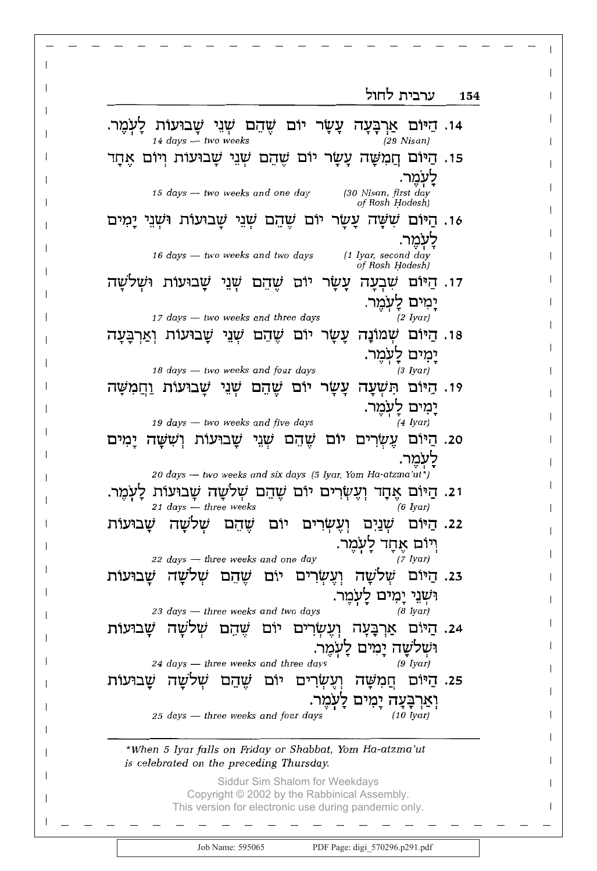(29 Nisan)

14. היום

חמשה עשר יום שהם שני שבועות ויום אחד 15. היום  $15 \; days$  - two weeks and one day (30 Nisan, first day of Rosh Hodesh) שִׁשַּׁה עַשַׂר יוֹם שֵׁהֵם שִׁנֵי שַׁבוּעוֹת וּשְׁנֵי יַמִים 16. היּוֹם  $16 \text{ days} -$  two weeks and two days (1 Iyar, second day of Rosh Hodesh) עַשַׂר יוֹם שֶׁהֵם שָׁנֵי שַׁבוּעוֹת וּשָׁלֹשַה 17. הַיּוֹם שבעה  $17 \text{ days} -$  two weeks and three days  $(2 Ivar)$ 18. הַיּוֹם שְׁמוֹנָה עַשַׂר יוֹם שֶׁהֵם שָׁנֵי שַׁבוּעוֹת וְאַרְבַּעַה יָמִים לָ  $18$  days  $-$  two weeks and four days 19. היום תשעה עשר יום שהם שני שבועות <u>וח</u>משה 19 days  $-$  two weeks and five days (4 Ivar) שני שבועות וששה ימים שהם היום עשרים יום .20 עמר. 20 days - two weeks and six days (5 Iyar, Yom Ha-atzma'ut\*) 21. הַיּוֹם אֲחַד וְעֵשְׂרִים יוֹם שֵׁהֵם שְׁלֹשֵׁה שַׁבוּעוֹת יִ  $21$  days  $-$  three weeks  $(6 \; Ivar)$ שבועות יום שה שהם שנים ועשרים 22. היום וְיוֹם אֶחָד לָעְמֶר.  $22 \text{ days}$  - three weeks and one day  $(7$  Ivar שהם יוֹם ועשׂרים 23. היוֹם שׁלשה שבועות שלשה לַעָמֵר. וּשָׁנֵי יַמִים 23 days - three weeks and two days  $(8$  *lyar*) שבוּעוֹת שלשה 24. הַיּוֹם אַרְבָּעָה וְעֵשְׂרִים יוֹם שהם ושלשה יָמִים לַעְמֶר.  $24 \text{ days}$  - three weeks and three days (9 Ivar) שבועות שלשה יוֹם שהם ועשׂרים חמשה היום  $.25$ בַעַה יַמִים לַ 25 days - three weeks and four days  $(10$  Ivarl \*When 5 Iyar falls on Friday or Shabbat, Yom Ha-atzma'ut

ארבעה עַשַׂר יוֹם שַׁהַם שָׁנֵי שַׁבוּעוֹת לַעָמֵר.

 $14$  days  $-$  two weeks

is celebrated on the preceding Thursday.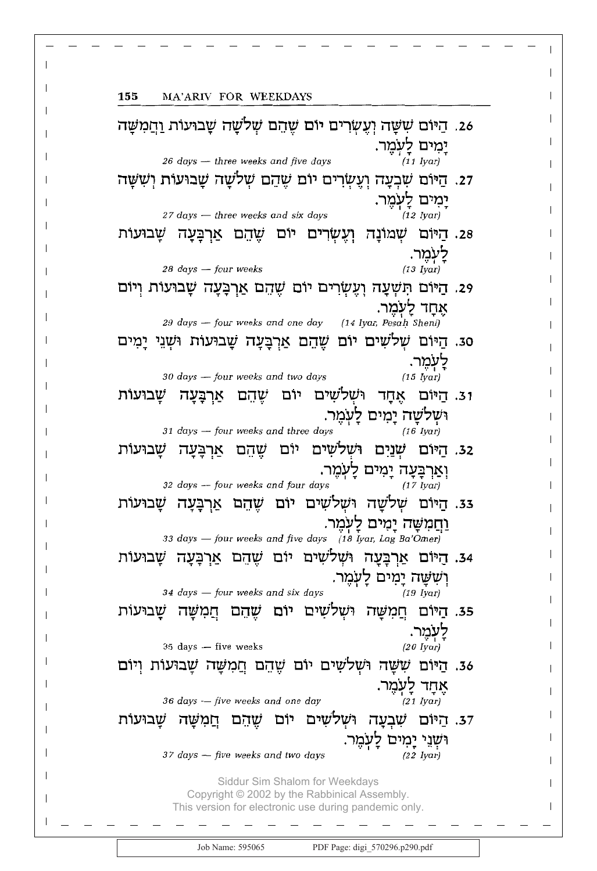| 26. הַיּוֹם שִׁשָּׁה וְעֶשְׂרִים יוֹם שֶׁהֵם שְׁלשָה שָבוּעות וַחֲמִשָּׁה                                                           |
|-------------------------------------------------------------------------------------------------------------------------------------|
| יָמִים לָעְמֶר.<br>26 days - three weeks and five days<br>$(11$ lyar)                                                               |
| 27. הַיּוֹם שִׁבְעָה וְעֶשְׂרִים יוֹם שֶׁהֵם שְׁלֹשָׁה שָׁבוּעוֹת וְשִׁשָּׁה                                                        |
| יָמִים לָעְמֶר.                                                                                                                     |
| 27 days - three weeks and six days<br>$(12 \;lyar)$                                                                                 |
| 28. הַיּוֹם שְׁמוֹנָה וְעֶשְׂרִים יוֹם שֶׁהֵם אַרְבָּעָה שָׁבוּעוֹת<br>לַעָמֵר.                                                     |
| $(13 \;lyar)$<br>$28 \; days$ $-$ four weeks                                                                                        |
| 29. הַיּוֹם תִּשְׁעָה וְעֶשְׂרִים יוֹם שֶׁהֵם אַרְבָּעָה שָׁבוּעוֹת וְיוֹם                                                          |
| אֵחַד לַעְמֵר.                                                                                                                      |
| 29 days — four weeks and one day (14 Iyar, Pesah Sheni)<br>30. הַיּוֹם שְׁלֹשִׁים יוֹם שֶׁהֵם אַרְבָּעָה שָׁבוּעוֹת וּשְׁנֵי יָמִים |
| לַעָמֵר.                                                                                                                            |
| 30 days — four weeks and two days<br>$(15 \;lyar)$                                                                                  |
| נ. הַיּוֹם אֶחָד וּשְׁלֹשִׁים יוֹם שֶׁהֵם אַרְבָּעָה שָׁבוּעוֹת                                                                     |
| ּוּשְׁלֹשָׁה יָמִים לָעְמֶר.<br>$31 \; days \rightharpoonup four \; weeks$ and three days<br>$(16 \; \text{lyar})$                  |
| 32. הַיּוֹם שְׁנַיִם וּשְׁלֹשִׁים יוֹם שֶׁהֵם אַרְבָּעָה שָׁבוּעוֹת                                                                 |
| וְאַרְבָּעַה יָמִים לָעְמֶר.                                                                                                        |
| 32 days -- four weeks and four days<br>$(17 \text{ Iyar})$                                                                          |
| 33. הַיּוֹם שְׁלֹשָה וּשְׁלֹשִים יוֹם שֶׁהֵם אַרְבָּעָה שָׁבוּעוֹת                                                                  |
| וַחֲמִשָּׁה יָמִים לְעְמֶר.<br>33 days — four weeks and five days – (18 Iyar, Lag Ba'Omer)                                          |
| 34. הַיּוֹם אַרְבָּעָה וּשְׁלֹשִׁים יוֹם שֶׁהֵם אַרְבָּעָה שָׁבוּעוֹת                                                               |
| וְשָׁשָׁה יָמִים לָעְמֶר.<br>ווּ 19 זון 19 ז                                                                                        |
| $34 \; days$ — $four \; weeks$ and $six \; days$                                                                                    |
| 35. הַיּוֹם חֲמִשָּׁה וּשְׁלֹשִׁים יוֹם שֶׁהֵם חֲמִשָּׁה שָׁבוּעוֹת<br>ַכְעְמֶר.                                                    |
| 35 days — five weeks<br>$(20 \;lyar)$                                                                                               |
| 36. הַיּוֹם שִׁשָּׁה וּשְׁלֹשִים יוֹם שֶׁהֵם חֲמִשָּׁה שָ <mark>ׁ</mark> בוּעוֹת וְיוֹם                                             |
| אָחָד לָעְמֶר.                                                                                                                      |
| $36 \; days$ — five weeks and one day<br>(21 Iyar)<br>37. הַיּוֹם שִׁבְעָה וּשְׁלֹשִים יוֹם שֶׁהֵם חֲמִשָּׁה שָׁבוּעוֹת             |
| וּשָׁנֵי יָמִים לָ <mark>ע</mark> ְמֶר.                                                                                             |
| 37 days - five weeks and two days<br>$(22 \;lyar)$                                                                                  |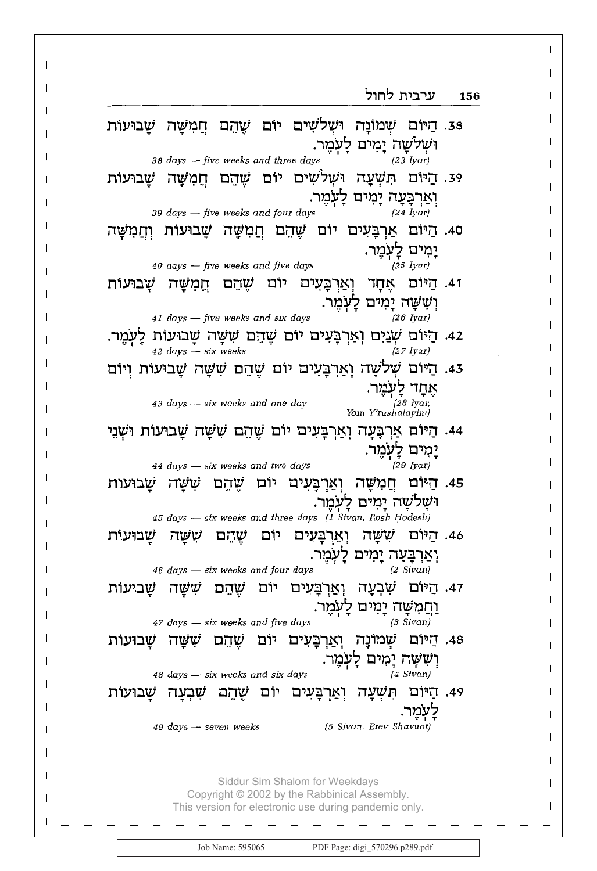| 38. הַיּוֹם שְׁמוֹנָה וּשְׁלֹשִים יוֹם שֶׁהֵם חֲמִשָּׁה שָׁבוּעוֹת                                                          |  |
|-----------------------------------------------------------------------------------------------------------------------------|--|
| וּשְלֹשָה יָמִים לָעְמֶר.<br>38 days - five weeks and three days<br>$(23$ Iyar)                                             |  |
| 39. הַיּוֹם תִּשְׁעָה וּשְׁלֹשִים יוֹם שֶׁהֵם<br>חֲמִשָּׁה שָׁבוּעוֹת                                                       |  |
| וְאַרְבָּעָה יָמִים לְעָמֶר.                                                                                                |  |
| 39 days - five weeks and four days<br>$(24 \;lyar)$<br>40. הַיּוֹם אַרְבָּעִים יוֹם שֶׁהֵם חֲמִשָּׁה שָׁבוּעוֹת וְחֲמִשָּׁה |  |
| יָמִים לָעְמֶר.                                                                                                             |  |
| 40 days - five weeks and five days<br>$(25 \; Iyar)$                                                                        |  |
| 41. הַיּוֹם אֶחָד וְאַךְבָּעִים יוֹם שֶׁהֵם חֲמִשָּׁה שָׁבוּעוֹת                                                            |  |
| וְשִׁשָּׁה יְמִים לָעְמֶר.<br>41 days - five weeks and six days<br>$(26 \; Iyar)$                                           |  |
| 42. הַיּוֹם שְׁנַיִם וְאַרְבָּעִים יוֹם שֶׁהֵם שִׁשָּׁה שָׁבוּעוֹת לָעְמֶר.                                                 |  |
| 42 days - six weeks<br>$(27 \; Iyar)$                                                                                       |  |
| 43. הַיּוֹם שְׁלֹשָה וְאַרְבָּעִים יוֹם שֶׁהֵם שִׁשָּׁה שָׁבוּעוֹת וְיוֹם                                                   |  |
| אֶחָד לָעְמֶר.<br>(28 Iyar)<br>Yom Y'rushalayim)<br>43 days -- six weeks and one day                                        |  |
|                                                                                                                             |  |
| 44. הַיּּוֹם אַרְבָּעָה וְאַרְבָּעִים יוֹם שֶׁהֵם שִׁשָּׁה שָׁבוּעוֹת וּשְׁנֵי<br>יַמִים לַעְמֵר.                           |  |
| $(29$ Iyar)<br>44 days - six weeks and two days                                                                             |  |
| שֲבוּעות<br>יום<br>45. הַיּוֹם חֲמִשָּׁה וְאַרְבָּעִים<br>שֶׁהֵם שִׁשָּׁה                                                   |  |
| וּשִׁלֹשַׁה יָמִים לָעְמֶר.<br>45 days - six weeks and three days (1 Sivan, Rosh Hodesh)                                    |  |
| שָבוּעוֹת<br>וְאַרְבָּעִים יוֹם שֶׁהֶם<br>.46<br>שִׂשָּׁה<br>שְׂשֶׁה<br>היום                                                |  |
| וְאַרְבָּעָה יָמִים לָעְמֶר.                                                                                                |  |
| (2 Sivan)<br>$46 \; days \; - \; six \; weeks \; and \; four \; days$                                                       |  |
| ששה שבועות<br>הַיּוֹם שִׁבְעָה וְאַרְבַּעִים יוֹם<br>.47<br>שִׁהֵם                                                          |  |
| וַחֲמִשָּׁה יָמִים לָעְמֶר.<br>47 days - six weeks and five days<br>(3 Sivan)                                               |  |
| 48. הַיּוֹם שְׁמוֹנָה וְאַרְבָּעִים יוֹם שֶׁהֵם<br>שִשָּׁה שָׁבוּעוֹת                                                       |  |
| וְשִׁשָּׁה יָמִים לַעְמֶר.<br>(4 Sivan)                                                                                     |  |
| 48 days - six weeks and six days<br>הַיּוֹם תִּשְׁעָה וְאַרְבָּעִים יוֹם שֶׁהֵם שִׁבְעָה שָׁבוּעוֹת<br>.49                  |  |
|                                                                                                                             |  |
| (5 Sivan, Erev Shavuot)<br>49 days - seven weeks                                                                            |  |
|                                                                                                                             |  |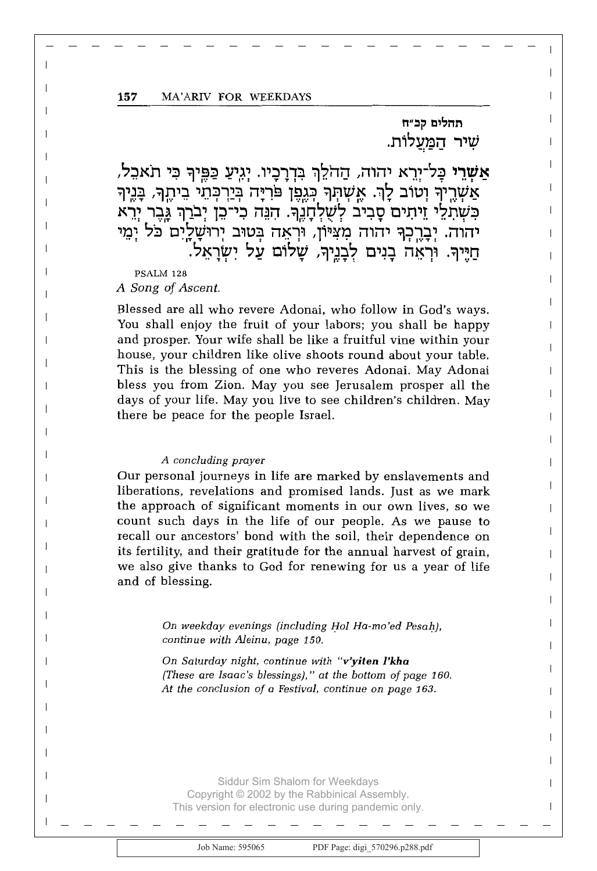תהלים קכ״ח שיר המעלות.

אַשְרֵי כָּל־יְרֵא יהוה, הַהֹלֵךְ בִּדְרָכָיו. יְגִיעַ כַּפֵּיךָ כִּי תֹאכֵל, אַשְׁרֶיךָ וְטֹוֹב לָךָ. אֶשְתְּךָ בְגֶפֶן פֹּרִיָּה בְּיַרְבְּתֵי בִיתֶךָ, בָּנֶיךָ<br>בִּשְׁתִלֵי זֵיתִים סָבִיב לְשֻׁלְחָנֶךָ. הִנֵּה כִי־בֵּן יְבֹרַךְ גֶּבֶר יְרֵא יהוה. יְבָרֶכְךָ יהוה מִצִיּוֹן, וֹרְאָה בְּטוּב יְרוּשָׁלֵיִם "כֹּל יְמֵי<br>חַיֶּיךָ. וּרְאֵה בָנִים לְבָנֵיךָ, שָׁלוֹם עַל יִשְׂרָאֵל.

PSALM 128 A Song of Ascent.

Blessed are all who revere Adonai, who follow in God's ways. You shall enjoy the fruit of your labors; you shall be happy and prosper. Your wife shall be like a fruitful vine within your house, your children like olive shoots round about your table. This is the blessing of one who reveres Adonai. May Adonai bless you from Zion. May you see Jerusalem prosper all the days of your life. May you live to see children's children. May there be peace for the people Israel.

#### A concluding prayer

Our personal journeys in life are marked by enslavements and liberations, revelations and promised lands. Just as we mark the approach of significant moments in our own lives, so we count such days in the life of our people. As we pause to recall our ancestors' bond with the soil, their dependence on its fertility, and their gratitude for the annual harvest of grain, we also give thanks to God for renewing for us a year of life and of blessing.

> On weekday evenings (including Hol Ha-mo'ed Pesah), continue with Aleinu, page 150.

On Saturday night, continue with "v'viten l'kha (These are Isaac's blessings)," at the bottom of page 160. At the conclusion of a Festival, continue on page 163.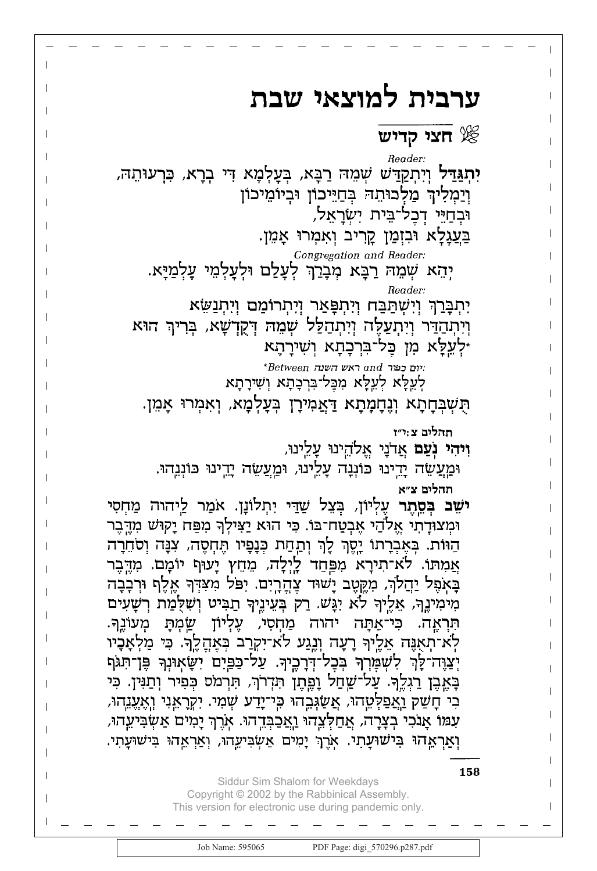## ערבית למוצאי שבת

חצי קדיש  $\mathscr{G}$ Reader: יִתְגַּדֵּל וְיִתְקַדַּשׁ שְׁמֶהּ רַבָּא, בְּעַלְמַא דִּי בְרַא, כִּרְעוּתֶה, וְיַמְלִיךְ מַלְכוּתֵה בְּחַיֵּיכוֹן וּבִיוֹמֵיכוֹן וּּבְחַיֵּי דְכַל־בֵּית יִשְׂרָאֵל, בַּצֲגָלָא וּבִזְמַן קָרִיב וְאִמְרוּ אָמֵן. Congregation and Reader: יְהֵא שְׁמֵהּ רַבָּא מְבָרַךְ לְעָלַם וּלְעָלְמֵי עָלְמַיָּא. Reader: יִתְבָּרַךְ וְיִשְׁתַּבַּח וְיִתְפָּאַר וְיִתְרוֹמַם וְיִתְנַשֵּׂא וְיִתְהַדֵּר וְיִתְעַלֶּה וְיִתְהַלַּל שְׁמֵה דְּקָךְשָׁא, בְּרִיךְ הוּא יִלְעֵלָּא מִן בָּל־בִּרְבָתָא וְשִׁירָתָא  ${}^{\star}Between$  ראש השנה: לְעֵלָא לְעֵלָּא מִכַּל־בִּרְבָתָא וְשִׁירָתָא הָשְׁבְּחָתָא וְנֶחָמָתָא דַּאֲמִירָן בְּעָלְמָא, וְאִמְרוּ אָמֵן. תהלים צ:י״ז וִיהִי נְעַם אֲדֹנָי אֱלֹהֵינוּ עָלֵינוּ, וּמַעֲשֶׂה יָדֵינוּ כּוֹנְנָה עָלֵינוּ, וּמַעֲשֶׂה יָדֵינוּ כּוֹנְגֶהוּ. תהלים צ״א **ישֵׁב בְּסֵתֶר עֶלְיוֹן, בְּצֵל שַׁדֵּי יִתְלוֹנָן. אֹמַר לַיהוה מַחְסִי** וּמְצוּדָתִי אֱלֹהֵי אֶבְטַח־בּוֹ. כִּי הוּא יַצִּילְךָ מִפַּח יָקוּשׁ מְדֶבֶר הַוּוֹת. בְּאֶבְרָתוֹ יָסֶךְ לָךְ וְתַחַת כְּנָפָיו תֶּחְסֶה, צִנָּה וְסֹחֵרָה אֲמִתּוֹ. לא־תִירָא מִפְּחַד לֵיְלָה, מֵחֵץ יָעוּף יוֹמָם. מִדֶּבֶר בָּאְפֶל יַהֲלֹךְ, מְקֱטֶב יָשׁוּד צָהֲרָיִם. יִפּל מִצְדְּךָ אֱלֶף וּרְבָבָה מִימִינֶךְ, אֵלֶיךְ לֹא יִגָּשׁ. רַק בְּעֵינֵיךְ תַבִּיט וְשָׁלָמַת רְשָׁעִים תִּרְאֶה. כִּי־אַתָּה יהוה מַחְסִי, עֶלְיוֹן שֵׂמְתָּ מְעוֹנֶךָ. לְא־תְאָנֶּה אֵלֶיךָ רָעָה וְנֶגַע לֹא־יִקְרַב בְּאַהֲלֶךָ. כִּי מַלְאָבָיו יְצַוֶּה־לָךְ לִשְׁמָּרְךָ בְּכָל־דְּרָכֶיךָ. עַל־כַּפַּיִם יִשָּׂאִוּנְךָ פֶּן־תִּגֹּף בָּאֶבֶן רַגְלֶךָ. עַל־שַׁחַל וָפֶּתֶן תִּדְרֹךְ, תִּרְמֹס כְּפִיר וְחַנִּיןְ. כִּי ָּבִי חָשַׁק וַאֲפַלְטֶהוּ, אֲשַׂגְּבֶהוּ כְּי־יָדַע שְׁמִי. יִקְרָאֵנִי וְאֶעֱנְהוּ, עמו אָנֹכִי בְצָרָה, אֲחַלְצֵהוּ וַ<u>אֲ</u>כַבְּדֵהוּ. אְרֶךְ יָמִים אַשְׂבִּיעֵהוּ, וְאַרְאֶהוּ בִּישׁוּעָתִי. אְרֶךְ יָמִים אַשְׂבִּיעֵהוּ, וְאַרְאֶהוּ בִּישׁוּעָתִי.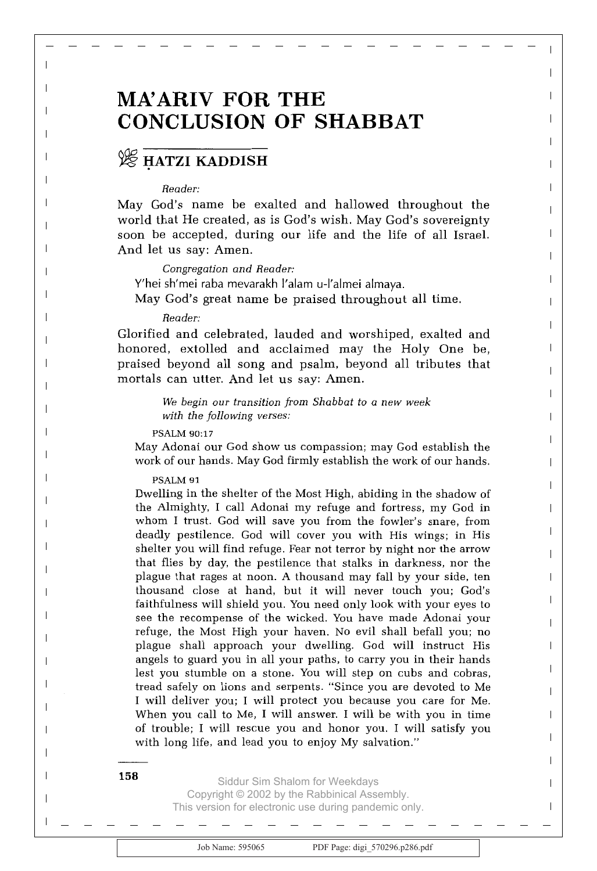### **MA'ARIV FOR THE CONCLUSION OF SHABBAT**

### **SE HATZI KADDISH**

#### Reader:

May God's name be exalted and hallowed throughout the world that He created, as is God's wish. May God's sovereignty soon be accepted, during our life and the life of all Israel. And let us say: Amen.

Congregation and Reader: Y'hei sh'mei raba mevarakh l'alam u-l'almei almaya. May God's great name be praised throughout all time.

**Beader:** 

Glorified and celebrated, lauded and worshiped, exalted and honored, extolled and acclaimed may the Holy One be. praised beyond all song and psalm, beyond all tributes that mortals can utter. And let us say: Amen.

> We begin our transition from Shabbat to a new week with the following verses:

**PSALM 90:17** 

May Adonai our God show us compassion; may God establish the work of our hands. May God firmly establish the work of our hands.

#### PSALM 91

Dwelling in the shelter of the Most High, abiding in the shadow of the Almighty, I call Adonai my refuge and fortress, my God in whom I trust. God will save you from the fowler's snare, from deadly pestilence. God will cover you with His wings; in His shelter you will find refuge. Fear not terror by night nor the arrow that flies by day, the pestilence that stalks in darkness, nor the plague that rages at noon. A thousand may fall by your side, ten thousand close at hand, but it will never touch you; God's faithfulness will shield you. You need only look with your eyes to see the recompense of the wicked. You have made Adonai your refuge, the Most High your haven. No evil shall befall you: no plague shall approach your dwelling. God will instruct His angels to guard you in all your paths, to carry you in their hands lest you stumble on a stone. You will step on cubs and cobras, tread safely on lions and serpents. "Since you are devoted to Me I will deliver you; I will protect you because you care for Me. When you call to Me, I will answer. I will be with you in time of trouble; I will rescue you and honor you. I will satisfy you with long life, and lead you to enjoy My salvation."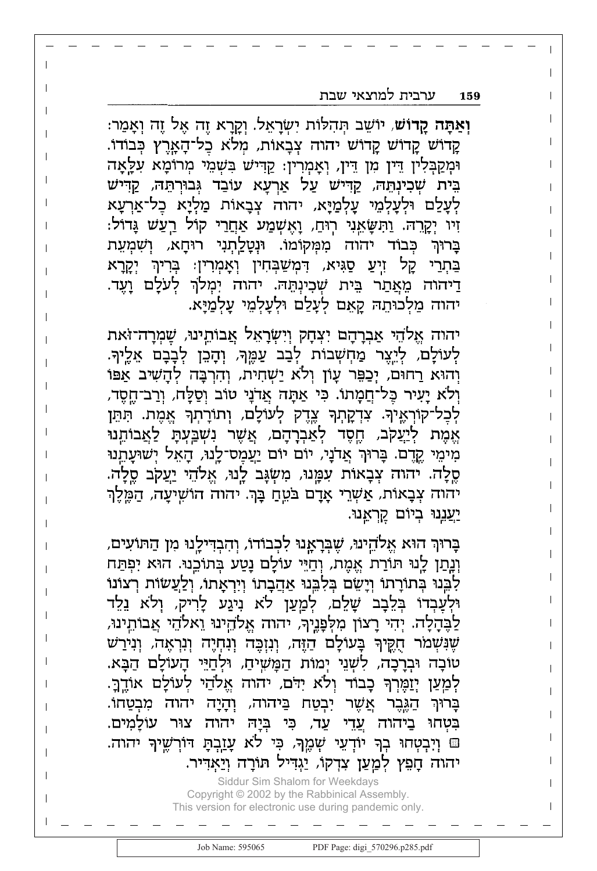וְאַתָּה קָרוֹשׁ, יוֹשֵׁב תְּהִלוֹת יִשְׂרָאֵל. וְקָרָא זֶה אֶל זֶה וְאָמֵר: קָרוֹשׁ קָרוֹשׁ קָרוֹשׁ יהוה צְבָאוֹת, מְלֹא כַל־הָאָרֶץ בְּבוֹדוֹ. וּמְקַבְּלִין דֵּין מִן דֵּין, וְאָמְרִין: קַדִּישׁ בְּשָׁמֵי מִרוֹמַא עְלֵאֲה בֵּית שִׁכִינְתֵּהּ, קַדִּישׁ עַל אַרְעָא עוֹבַד גְּבוּרְתֵּהּ, קַדִּישׁ לְעָלַם וּלְעָלְמֵי עָלְמַיָּא, יהוה צִבָאוֹת מַלְיָא כַל־אַרְעָא זִיו יְקָרֵהּ. וַתִּשָּׂאֵנִי רְוּחַ, וָאֶשְׁמַע אַחֲרֵי קוֹל רַעֲשׁ גָּדוֹל: בָרוּךְ כְּבוֹד יהוה מִמְּקוֹמוֹ. וּנְטָלֵתְנִי רוּחָא, וְשָׁמְעֵת בַּתְרֵי קָל זִיְעַ סַגִּיא, דִּמְשַׁבְּחִין וְאָמְרִין: בְּרִיךְ יְקָרָא דַיהוה מֵאֲתַר בֵּית שְׁבִינְתֵּהּ. יהוה יִמְלֹךְ לִעֹלַם וַעֵּד. יהוה מַלְכוּתֵהּ קָאֵם לְעָלַם וּלְעָלְמֵי עָלְמַיָּא.

יהוה אֱלֹהֵי אַבְרָהָם יִצְחָק וְיִשְׂרָאֵל אֲבוֹתֵינוּ, שַׁמְרָה־וֹאת לְעוֹלָם, לְיֵצֶר מַחְשְבוֹת לְבַב עַמֶּךְ, וְהָבֶן לִבָבָם אֵלֵיךָ. וְהוּא רַחוּם, יְכַפֵּר עָוֹן וְלֹא יַשְׁחִית, וְהִרְבָּה לְהָשִׁיב אַפּוֹ וְלֹא יָעִיר כַּל־חֲמָתוֹ. כִּי אַתָּה אֲדֹנָי טוֹב וְסַלָּח, וְרַב־חֶסֶד, לְכָל־קוֹרְאֶיךָּ. צִדְקָתְךָ צֶדֶק לְעוֹלָם, וְתוֹרָתְךָ אֱמֶת. תִּתֵּן אֱמֶת לִיַעֲקֹב, חֱסֶד לְאַבְרָהָם, אֲשֶׁר נְשָׁבֲעָתָּ לַאֲבוֹתֵנוּ מִימֵי קֱדֶם. בָּרוּךְ אֲדֹנָי, יוֹם יוֹם יַעֲמָס־לֶנוּ, הָאֵל יְשׁוּעָתֵנוּ סֶלָה. יהוה צְבָאוֹת עִמֶּנוּ, מִשְׂגָּב לֶנוּ, אֱלֹהֵי יַעֲקֹב סֶלָה. יהוה צְבָאוֹת, אַשְׁרֵי אָדָם בֹּטֵחַ בָּךְ. יהוה הוֹשִיעָה, הַמֶּלֶךְ יַעֲנֵנוּ בְיוֹם קָרְאֵנוּ.

בָרוּךְ הוּא אֱלֹהֵינוּ, שֶׁבְּרָאֲנוּ לִכְבוֹדוֹ, וְהִבְדִּילֵנוּ מִן הַתּוֹעִים, וְנְרַן לָנוּ תּוֹרַת אֱמֶת, וְחַיֵּי עוֹלָם נָטַע בְּתוֹכֵנוּ. הוּא יִפְתַּח לִבְּנוּ בְּתוֹרָתוֹ וְיָשֵׂם בְּלִבְּנוּ אַהֲבָתוֹ וְיִרְאָתוֹ, וְלַעֲשׂוֹת רְצוֹנוֹ וּלְעַבְדוֹ בְּלֵבָב שָׁלֵם, לְמַעַן לֹא נִיגַע לָרִיק, וְלֹא נֵלֵד לַבֶּהָלָה. יְהִי רָצוֹן מִלְפָנֶיךָ, יהוה אֱלֹהֵינוּ וֵאלֹהֵי אֲבוֹתֵינוּ, שָׁנִּשְׁמֹר חֻקֱיִךָּ בְּעוֹלָם הַזֶּה, וְנִזְבֶּה וְנִחְיֶה וְנִרְאֶה, וְנִירַשׁ טוֹבָה וּבְרָבָה, לִשְׁנֵי יְמוֹת הַמָּשִׁיהַ, וּלְחַיֵּי הָעוֹלָם הַבָּא. לְמַעַן יְזַמֶּרְךָּ בָבוֹד וְלֹא יִדֹם, יהוה אֱלֹהַי לְעוֹלָם אוֹדֶךָ. בָּרוּךְ הַגֶּבֶר אֲשֶׁר יִבְטַח בַּיהוה, וְהָיָה יהוה מִבְטַחוֹ. בִּטְחוּ בַיהוּה עֲדֵי עַד, כִּי בְּיָה יהוּה צוּר עוֹלָמִים. ■ וְיִבְטְחוּ בְךָ יוֹדְעֵי שְׁמֶךְ, כִּי לֹא עָזַבְתָּ דּוֹרְשֵׁיךָ יהוה. יהוה חָפִץ לְמַעַן צִדְקוֹ, יַגְדִּיל תּוֹרָה וְיַאְדִיר.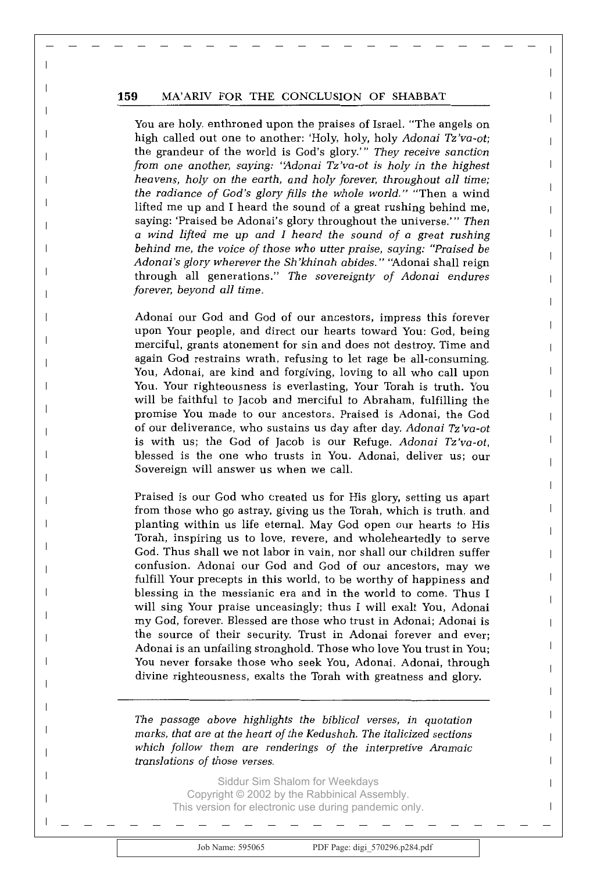You are holy, enthroned upon the praises of Israel. "The angels on high called out one to another: 'Holy, holy, holy Adonai Tz'va-ot: the grandeur of the world is God's glory.'" They receive sanction from one another, saying: "Adonai Tz'va-ot is holy in the highest heavens, holy on the earth, and holy forever, throughout all time: the radiance of God's glory fills the whole world." "Then a wind lifted me up and I heard the sound of a great rushing behind me. saving: 'Praised be Adonai's glory throughout the universe.'" Then a wind lifted me up and I heard the sound of a great rushing behind me, the voice of those who utter praise, saving: "Praised be Adonai's glory wherever the Sh'khinah abides." "Adonai shall reign through all generations." The sovereignty of Adonai endures forever, bevond all time.

Adonai our God and God of our ancestors, impress this forever upon Your people, and direct our hearts toward You: God, being merciful, grants atonement for sin and does not destroy. Time and again God restrains wrath, refusing to let rage be all-consuming. You, Adonai, are kind and forgiving, loving to all who call upon You. Your righteousness is everlasting, Your Torah is truth. You will be faithful to Jacob and merciful to Abraham, fulfilling the promise You made to our ancestors. Praised is Adonai, the God of our deliverance, who sustains us day after day, Adonai Tz'va-ot is with us; the God of Jacob is our Refuge. Adonai Tz'va-ot, blessed is the one who trusts in You. Adonai, deliver us: our Sovereign will answer us when we call.

Praised is our God who created us for His glory, setting us apart from those who go astray, giving us the Torah, which is truth, and planting within us life eternal. May God open our hearts to His Torah, inspiring us to love, revere, and wholeheartedly to serve God. Thus shall we not labor in vain, nor shall our children suffer confusion. Adonai our God and God of our ancestors, may we fulfill Your precepts in this world, to be worthy of happiness and blessing in the messianic era and in the world to come. Thus I will sing Your praise unceasingly; thus I will exalt You, Adonai my God, forever. Blessed are those who trust in Adonai; Adonai is the source of their security. Trust in Adonai forever and ever: Adonai is an unfailing stronghold. Those who love You trust in You; You never forsake those who seek You, Adonai. Adonai, through divine righteousness, exalts the Torah with greatness and glory.

The passage above highlights the biblical verses, in quotation marks, that are at the heart of the Kedushah. The italicized sections which follow them are renderings of the interpretive Aramaic translations of those verses.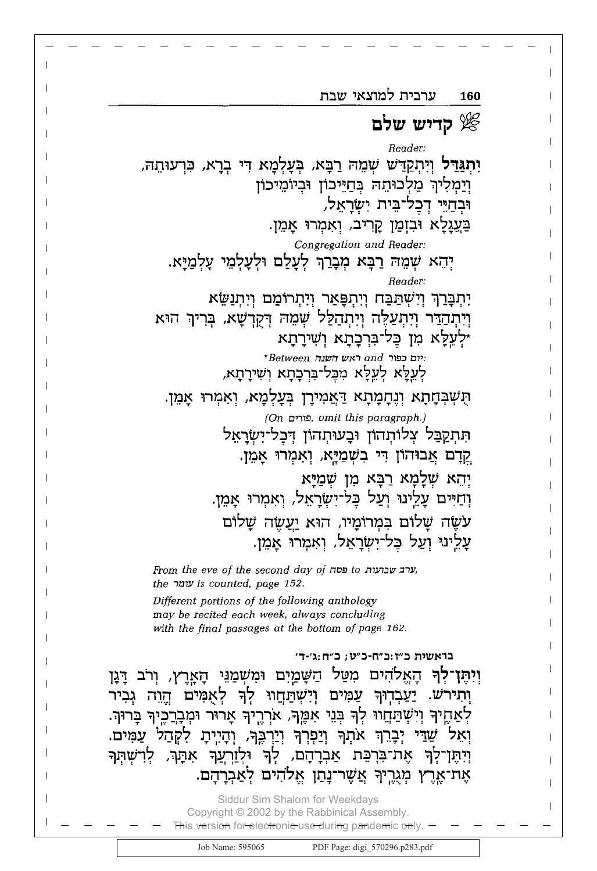% קדיש שלם Reader: יִתְגַּדֵּל וְיִתְקַדַּשׁ שְׁמֶהּ רַבָּא, בְּעַלְמַא דִּי בְרַא, כִּרְעוּתֶה, וְיַמְלִיךְ מַלְכוּתֶה בְּחַיֵּיכוֹן וּבְיוֹמֵיכוֹן וּבְחַיֵּי דְכַל־בֵּית יִשְׂרָאֵל, בַּעֲנָלַא וּבִזְמַן קַרִיב, וְאִמְרוּ אָמֵן. Congregation and Reader: יִהֵא שִׁמֵהּ רַבָּא מְבָרַךְ לְעָלַם וּלְעָלְמֵי עָלְמַיָּא. Reader: יִתְבָּרַךְ וְיִשְׁתַּבַּח וְיִתְפָּאַר וְיִתְרוֹמֵם וְיִתְנַשֵּׂא וְיִתְהַדֵּר וְיִתְעַלֶּה וְיִתְהַלֵּל שְׁמֵהּ דְּקָדְשָׁא, בְּרִיךְ הוּא יּלְעֵלָּא מִן כַּל־בִּרְכָתָא וְשִׁירָתָא  $*$ Between יום כפור  $and$  מו $i$ לְעֵלָא לְעֵלָּא מִכַּל־בִּךְבָתָא וְשִׁירָתָא, הָשְׁבְּחָתָא וְנֶחָמָתָא דַּאֲמִירָן בְּעָלְמָא, וְאִמְרוּ אָמֵן. (On פורים, omit this paragraph.) תִּתְקַבַּל צְלוֹתָהוֹן וּבָעוּתְהוֹן דְּכַל־יִשְׂרָאֵל ְקֵדָם אֲבוּהוֹן דִי בִשְׁמַיָּא, וְאִמְרוּ אָמֵן. יִהֵא שָׁלַמַא רַבַּא מִן שִׁמַיַּא וְחַיִּים עָלֵינוּ וְעַל כַּל־יִשְׂרָאֵל, וְאִמְרוּ אָמֵן. עֹשֵׂה שָׁלוֹם בִּמְרוֹמַיו, הוּא יַעֲשֶׂה שָׁלוֹם עָלֵינוּ וְעַל כָּל־יִשְׂרָאֵל, וְאִמְרוּ אָמֵן.

From the eve of the second day of ערב שבועות, the שומר is counted, page 152.

Different portions of the following anthology may be recited each week, always concluding with the final passages at the bottom of page 162.

בראשית כ"ז:כ"ח-כ"ט; כ"ח:ג'-ד' וִיתֵּן־לִךְ הָאֱלֹהִים מִטֵּל הַשָּׁמֲיִם וּמִשְׁמַנֵּי הָאֲרֵץ, וִרֹב דַּגֲן וְחִירשׁ. יַעֲבְדִוּךְּ עֲמִים וְיִשְׁתַּחֲווּ לִךְ לְאֻמִּים הֱזֶה גִבְיר לִאַחֵיךָ וִיִשְׁתַּחֲווּ לְךָ בְּנֵי אִמֶּךָ, אֹרְרֶיךָ אָרוּר וּמְבָרֲכֶיךָ בָּרוּךְ. וְאֵל שֲדֵי יִבָרֵךְ אֹתִךְ וְיַפְרִךְ וְיַרְבֵּךְ, וְהָיִיתָ לִקְהַל עַמִּים. וְיִתֶּן־לְךָ אֶת־בִּרְבַּת אַבְרָהָם, לְךָ וּלְזַרְעֵךְ אִתָּךְ, לִרְשִׁתִּךְ אָת־אֱרֶץ מְגָרֱיִךָּ אֲשֶׁר־נָתַן אֱלֹהִים לְאַבְרָהָם.

> Siddur Sim Shalom for Weekdays Copyright © 2002 by the Rabbinical Assembly.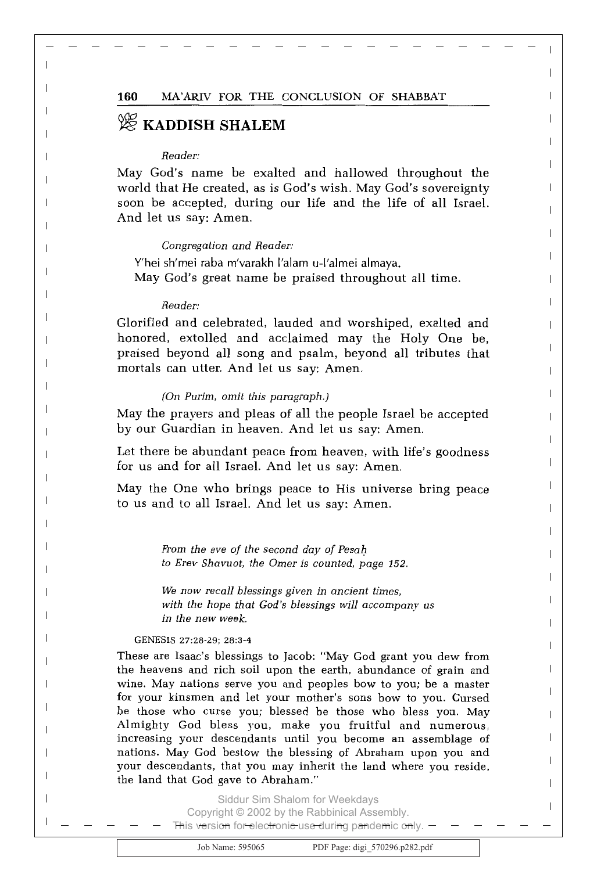### **W** KADDISH SHALEM

#### Reader:

May God's name be exalted and hallowed throughout the world that He created, as is God's wish. May God's sovereignty soon be accepted, during our life and the life of all Israel. And let us say: Amen.

Congregation and Reader: Y'hei sh'mei raba m'varakh l'alam u-l'almei almaya. May God's great name be praised throughout all time.

#### **Beader:**

Glorified and celebrated, lauded and worshiped, exalted and honored, extolled and acclaimed may the Holy One be, praised beyond all song and psalm, beyond all tributes that mortals can utter. And let us say: Amen.

#### (On Purim, omit this paragraph.)

May the prayers and pleas of all the people Israel be accepted by our Guardian in heaven. And let us say: Amen.

Let there be abundant peace from heaven, with life's goodness for us and for all Israel. And let us say: Amen.

May the One who brings peace to His universe bring peace to us and to all Israel. And let us say: Amen.

> From the eve of the second day of Pesah to Erev Shavuot, the Omer is counted, page 152.

We now recall blessings given in ancient times, with the hope that God's blessings will accompany us in the new week.

GENESIS 27:28-29; 28:3-4

These are Isaac's blessings to Jacob: "May God grant you dew from the heavens and rich soil upon the earth, abundance of grain and wine. May nations serve you and peoples bow to you; be a master for your kinsmen and let your mother's sons bow to you. Cursed be those who curse you; blessed be those who bless you. May Almighty God bless you, make you fruitful and numerous, increasing your descendants until you become an assemblage of nations. May God bestow the blessing of Abraham upon you and your descendants, that you may inherit the land where you reside, the land that God gave to Abraham."

> Siddur Sim Shalom for Weekdays Copyright © 2002 by the Rabbinical Assembly.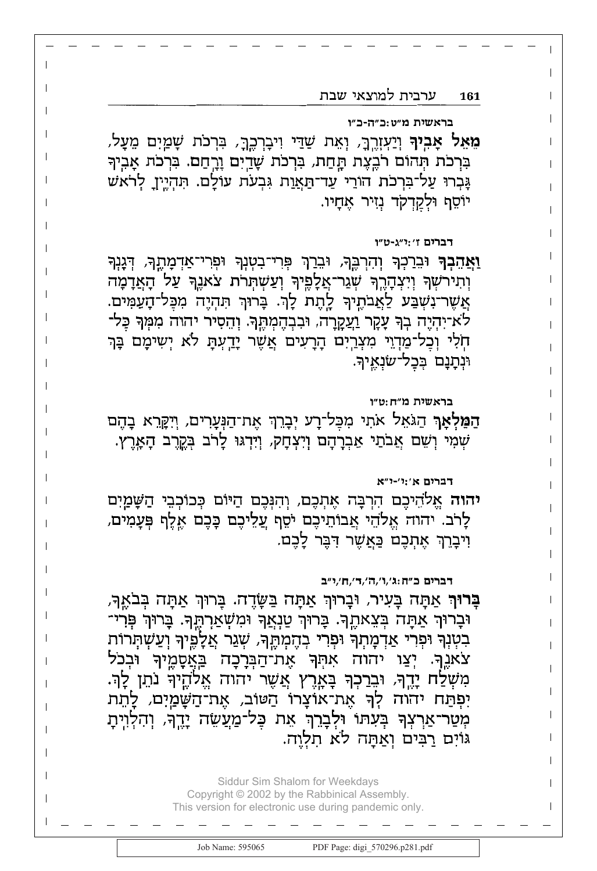בְּרוּךְ אַתָּה בָּעִיר, וּבָרוּךְ אַתָּה בַּשָּׂדֶה. בַּרוּךְ אַתָּה בִּבֹאֵךְ, וּבָרוּךְ אַתָּה בְּצֵאתֶךְ. בָּרוּךְ טַנְאֲךָ וּמִשְׁאַרְתֶּךְ. בָּרוּךְ פְּרִי־ בִטְנְךָ וּפְרִי אַדְמָתְךָ וּפְרִי בְהֶמְתֶךָ, שְׁנֵר אֲלָפֶיךָ וְעַשְׁתְּרוֹת צֹאנֶךָ. יְצַו יהוה אִתְּךָ אֶת־הַבְּרָכָה בַּאֲסָמֶיךָ וּבְכֹל מִשְׁלַח יָדֶךָ, וּבֵרַכְךָ בָּאָרֶץ אֲשֶׁר יחוה אֱלֹהֶיךָ נֹתֵן לָךָ. יִפְתַּח יהוה לְךָ אֶת־אוֹצָרוֹ הַטּוֹב, אֶת־הַשָּׁמַיִם, לָתֵת מְטַר־אַרְצְךָ בְּעִתּוֹ וּלְבָרֵךְ אֵת כָּל־מַעֲשָׂה יָדֶךָ, וְהִלְוִיתָ גוים רבים ואַתַּה לא תִלְוָה.

דברים א׳:י׳-י״א יהוה אֱלֹהֵיכֶם הִרְבָּה אֶתְכֶם, וְהִנְּכֶם הַיּוֹם כְּכוֹכְבֵי הַשָּׁמַיִם לָרֹב. יהוה אֱלֹהֵי אֲבוֹתֵיכֶם יֹסֵף עֲלֵיכֶם בָּכֶם אֶלֶף פְּעָמִים, וִיּבָרֵךְ אֶתְכֶם כַּאֲשֶׁר דִּבֶּר לָכֶם.

בראשית מ״ח:ט״ו הַמַּלְאָךְ הַגֹּאֵל אֹתִי מִכְּל־רָע יְבָרֵךְ אֶת־הַנְּעָרִים, וְיִקָּרֵא בָהֶם שְׁמִי וְשֵׁם אֲבֹתַי אַבְרָהָם וְיִצְחָק, וְיִדְגּוּ לָרֹב בְּקֱרֶב הָאָרֶץ.

וּנְתָנָם בִּכַל־שׂנְאֵיךָ.

דברים כ"ח:ג',ו',ה',ד',ח',י"ב

דברים ז':י"ג-ט"ו **וַאֲהֵבְךָ** וּבֵרַכְךָ וְהִרְבֶּךָ, וּבֵרַךְ פְּרִי־בִטְנְךָ וּפְרִי־אַדְמָתֶךָ, דְגָנְךָ וְתִירֹשְׁךָ וְיִצְהָרֶךְ שְׁגַר־אֲלָפֶיךָ וְעַשְׁתְּרֹת צֹאנֶךְ עַל הָאֲדָמָה אֲשֶׁר־נִשְׁבַּע לַאֲבֹתֶיךָ לָתֶת לָךְ. בָּרוּךְ תִּהְיֶה מִכַּל־הָעַמִּים. לא־יִהְיֶה בְךָ עָקָר וַעֲקָרָה, וּבִבְהֶמְתֶּךְ. וְהֵסִיר יהוה מִמְּךָ כָּל־ חלי וכל־מַדְוֵי מִצְרֵיִם הָרָעִים אֲשֶׁר יָדֵעְתָּ לֹא יְשִימָם בָּךְ

יוֹסֵף וּלִקַדְקֹד נְזִיר אֶחָיו.

בראשית מ״ט:כ״ה-כ״ו מֵאֵל אָבִיךָּ וְיַעְזְרֶךָּ, וְאֵת שַׁדֵּי וִיבָרְכֶךָּ, בִּרְכֹת שָׁמַיִם מֵעָל, בִּרְכֹת תְּהוֹם רֹבֶצֶת תֲחַת, בִּרְכֹת שָׁדֵיִם וָרָחַם. בִּרְכֹת אָבְיךָ גָּבְרוּ עַל־בִּרְכֹת הוֹרֵי עַד־תַּאֲוַת גִּבְעֹת עוֹלָם. תִּהְיֶין לְרֹאשׁ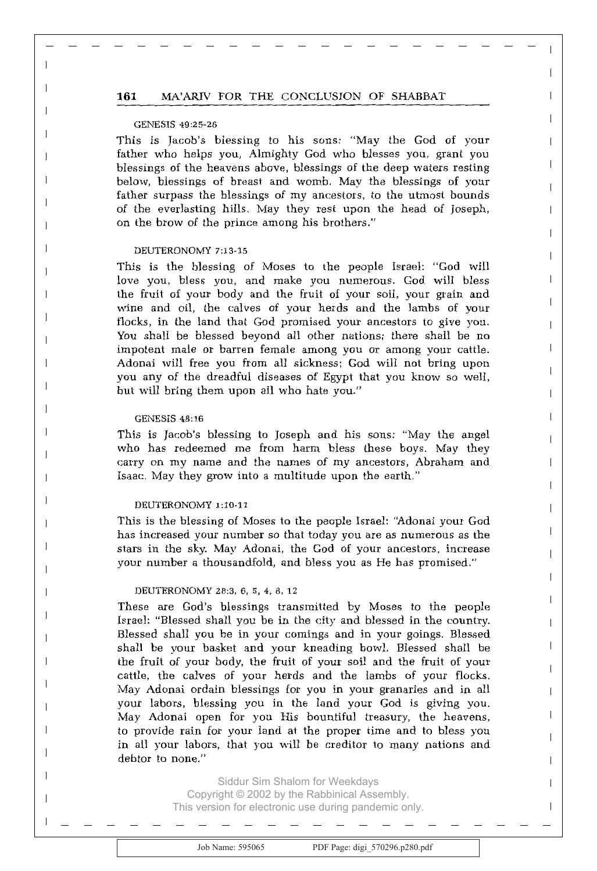#### GENESIS 49:25-26

This is Jacob's blessing to his sons: "May the God of your father who helps you, Almighty God who blesses you, grant you blessings of the heavens above, blessings of the deep waters resting below, blessings of breast and womb. May the blessings of your father surpass the blessings of my ancestors, to the utmost bounds of the everlasting hills. May they rest upon the head of Joseph. on the brow of the prince among his brothers."

#### DEUTERONOMY 7:13-15

This is the blessing of Moses to the people Israel: "God will love you, bless you, and make you numerous. God will bless the fruit of your body and the fruit of your soil, your grain and wine and oil, the calves of your herds and the lambs of your flocks, in the land that God promised your ancestors to give you. You shall be blessed beyond all other nations; there shall be no impotent male or barren female among you or among your cattle. Adonai will free you from all sickness; God will not bring upon you any of the dreadful diseases of Egypt that you know so well, but will bring them upon all who hate you."

#### **GENESIS 48:16**

This is Jacob's blessing to Joseph and his sons: "May the angel who has redeemed me from harm bless these boys. May they carry on my name and the names of my ancestors, Abraham and Isaac. May they grow into a multitude upon the earth."

#### DEUTERONOMY 1:10-11

This is the blessing of Moses to the people Israel: "Adonai your God has increased your number so that today you are as numerous as the stars in the sky. May Adonai, the God of your ancestors, increase your number a thousandfold, and bless you as He has promised."

#### DEUTERONOMY 28:3, 6, 5, 4, 8, 12

These are God's blessings transmitted by Moses to the people Israel: "Blessed shall you be in the city and blessed in the country. Blessed shall you be in your comings and in your goings. Blessed shall be your basket and your kneading bowl. Blessed shall be the fruit of your body, the fruit of your soil and the fruit of your cattle, the calves of your herds and the lambs of your flocks. May Adonai ordain blessings for you in your granaries and in all your labors, blessing you in the land your God is giving you. May Adonai open for you His bountiful treasury, the heavens, to provide rain for your land at the proper time and to bless you in all your labors, that you will be creditor to many nations and debtor to none."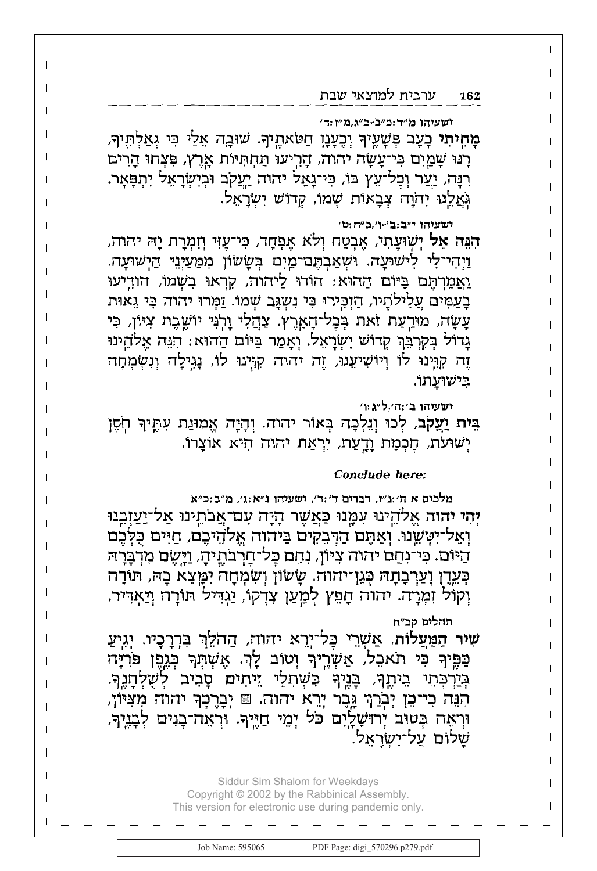ישעיהו מ״ד:כ״ב-כ״ג,מ״ז:ד׳

מָחִיתִי כָעָב פְּשָׁעֶיךָ וְכֶעָנָן חַטֹּאתֶיךָ. שוּבָה אֵלַי כִּי גְאַלְתִּיךָ, רָנּוּ שָׁמַיִם כִּי־עָשָׂה יהוה, הָרְיעוּ תַּחְתִּיוֹת אֲרֶץ, פִּצְחוּ הָרִים רִנָּה, יַעֲר וְכַל־עֵץ בּוֹ, כִּי־גָאַל יהוה יַעֲקֹב וּבְיִשְׂרָאֵל יִתְפָּאָר. גְאֲלֵנוּ יְהֹוָה צְבָאוֹת שְׁמוֹ, קְדוֹשׁ יִשְׂרָאֵל.

ישעיהו י"ב: ב'-ו', כ"ה: ט'

הִנֵּה אֵל יְשְׁוּעָתִי, אֶבְטַח וְלֹא אֶפְחָד, כִּי־עָזִי וְזִמְרָת יָהּ יהוה, וַיְהִי־לִי לִישוּעָה. וּשְׁאַבְהֶם־מֵיִם בִּשָּׂשוֹן מִמַּעַיְנֵי הַיְשוּעָה. וַאֲמַרְתֶּם בַּיּוֹם הַהוּא: הוֹדוּ לַיהוה, קִרְאוּ בִשְׁמוֹ, הוֹדְיעוּ בָעַמִּים עֲלִילֹתָיו, הַזְכִּירוּ כִּי נִשְׂגָּב שְׁמוֹ. זַמְּרוּ יהוה כִּי גֵאוּת עָשָׂה, מוּדֵעַת זֹאת בְּבַל־הָאָרֶץ. צַהֲלִי וָרְׂנִּי יוֹשֶׁבֶת צִיּוֹן, כִּי גָדוֹל בְּקִרְבֵּךְ קְדוֹשׁ יִשְׂרָאֵל. וְאָמַר בַּיּוֹם הַהוּא: הִנֵּה אֱלֹהֵינוּ זֶה קִוּיְנוּ לוֹ וְיוֹשִׁיעֵנוּ, זֶה יהוה קְוִיִנוּ לוֹ, נָגִילָה וְנִשְׂמְחָה בִּישׁוּעַתו.

ישעיהו ב׳:ה׳,ל"ג:ו׳

בִּית יַעֲקֹב, לְכוּ וְגַלְבָה בְּאוֹר יהוה. וְהָיָה אֱמוּנַת עִתֱיךָ חְסֶן יְשוּעת, חַכְמַת וָדְעַת, יִרְאַת יהוה הִיא אוֹצָרוֹ.

Conclude here:

מלכים א ח׳:נ״ז, דברים ד׳:ד׳, ישעיהו נ״א:ג׳, מ״ב:כ״א

יְהִי יהוה אֱלֹהֵינוּ עִמֲנוּ כַּאֲשֶׁר הָיָה עִם־אֲבֹתֵינוּ אַל־יַעַזְבְנוּ וְאַל־יִטְשֵׁנוּ. וְאַתֶּם הַדְּבֵקִים בַּיהוּה אֱלֹהֵיכֶם, חַיִּים כַּלְּכֶם הַיּוֹם. כִּי־נִחַם יהוה צִיּוֹן, נִחַם כָּל־חָרְבֹתֶיהָ, וַיָּשֶׂם מִדְבָּרָהּ כְּעֵרֶן וְעַרְבָתָהּ כְּגַן־יהוה. שָשוֹן וְשִׂמְחָה יִמָּצֵא בָהּ, תּוֹדָה וְקוֹל זִמְרָה. יהוה חָפִץ לְמַעַן צִדְקוֹ, יַגְדִיל תּוֹרָה וְיַאְדִיר.

תהלים קכ״ח

שִׁיר הַמַּעֲלוֹת. אַשְׁרֵי כַּל־יְרֵא יהוה, הַהֹלֵךְ בִּדְרָכָיו. יְגִיעַ בַּפֶּיךָ כִּי תֹאַבֵל, אַשְׁרֶיךָ וְטוּב לַךְ. אֶשְתְּךָ בְּגֶפֶן פֹּרִיָּה בְּיַרְבְּתֵי בִּיתֶךָּ, בָּנֶיךָ בִּשְׁתִלֵי זֵיתִים סָבִיב לְשָׁלְחָנֶךָּ. הִנֵּה כִי־כֵן יְבְרַךְ גֶּבֶר יְרֵא יהוה. ◙ יְבָרֶכְךָ יהוה מְצִיּוֹן, וּרְאֶה בְּטוּב יְרוּשָׁלֵיִם כֹּל יְמֵי חַיֶּיְךָּ. וּרְאֵה־בָנִים לְבָנֶיךָ, שָׁלוֹם עַל־יִשְׂרָאֵל.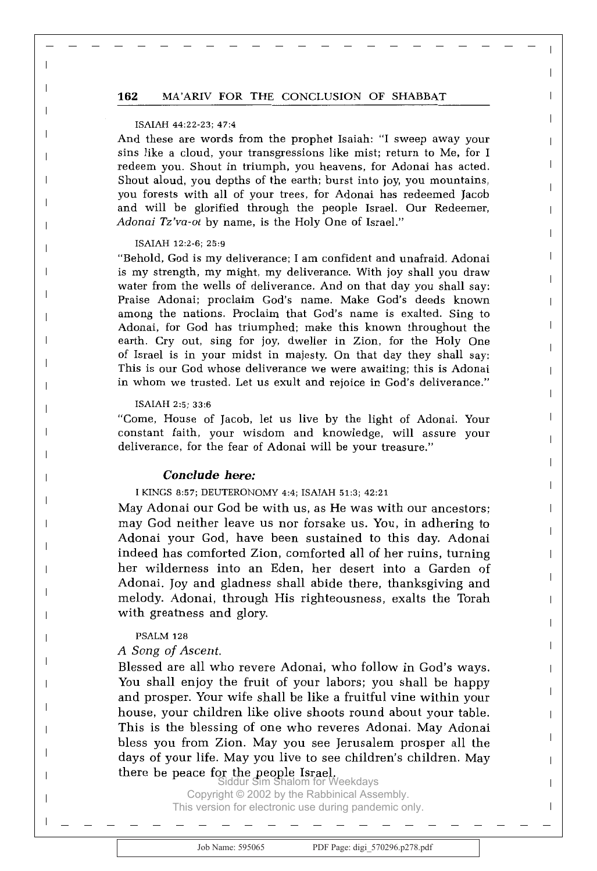#### ISAIAH 44:22-23: 47:4

And these are words from the prophet Isaiah: "I sweep away your sins like a cloud, your transgressions like mist; return to Me, for I redeem you. Shout in triumph, you heavens, for Adonai has acted. Shout aloud, you depths of the earth; burst into joy, you mountains, you forests with all of your trees, for Adonai has redeemed Jacob and will be glorified through the people Israel. Our Redeemer, Adonai Tz'va-ot by name, is the Holy One of Israel."

#### ISAIAH 12:2-6: 25:9

"Behold, God is my deliverance; I am confident and unafraid. Adonai is my strength, my might, my deliverance. With joy shall you draw water from the wells of deliverance. And on that day you shall say: Praise Adonai; proclaim God's name. Make God's deeds known among the nations. Proclaim that God's name is exalted. Sing to Adonai, for God has triumphed; make this known throughout the earth. Cry out, sing for joy, dweller in Zion, for the Holy One of Israel is in your midst in majesty. On that day they shall say: This is our God whose deliverance we were awaiting; this is Adonai in whom we trusted. Let us exult and rejoice in God's deliverance."

#### ISAIAH 2:5: 33:6

"Come, House of Jacob, let us live by the light of Adonai. Your constant faith, your wisdom and knowledge, will assure your deliverance, for the fear of Adonai will be your treasure."

#### **Conclude here:**

#### I KINGS 8:57; DEUTERONOMY 4:4; ISAIAH 51:3: 42:21

May Adonai our God be with us, as He was with our ancestors: may God neither leave us nor forsake us. You, in adhering to Adonai your God, have been sustained to this day. Adonai indeed has comforted Zion, comforted all of her ruins, turning her wilderness into an Eden, her desert into a Garden of Adonai. Joy and gladness shall abide there, thanksgiving and melody. Adonai, through His righteousness, exalts the Torah with greatness and glory.

#### **PSALM 128**

#### A Song of Ascent.

Blessed are all who revere Adonai, who follow in God's ways. You shall enjoy the fruit of your labors; you shall be happy and prosper. Your wife shall be like a fruitful vine within your house, your children like olive shoots round about your table. This is the blessing of one who reveres Adonai. May Adonai bless you from Zion. May you see Jerusalem prosper all the days of your life. May you live to see children's children. May there be peace for the people Israel.<br>Siddur Sim Shalom for Weekdays

Copyright © 2002 by the Rabbinical Assembly. This version for electronic use during pandemic only.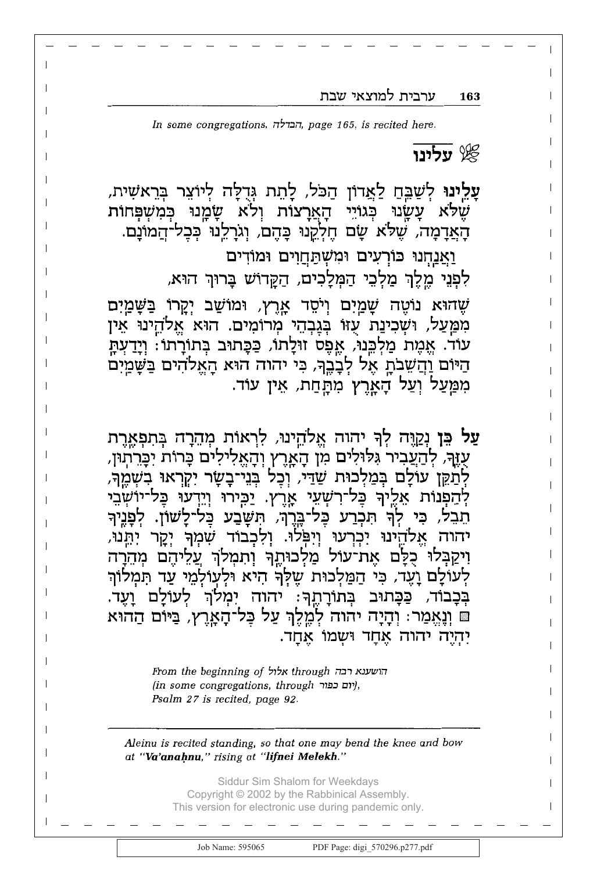In some congregations, הבדלה, page 165, is recited here.

שלינו

עָלֵינוּ לְשַׁבֵּחַ לַאֲדוֹן הַכֹּל, לַתֵת גִּדְלָּה לְיוֹצֵר בְּרָאשִׁית, הַאֲרַצוֹת וְלֹא שַׂמֲנוּ כִּמְשָׁפְּחוֹת ַעַשֲׂנוּ כְּגוֹיֵי הָאֲדָמָה, שֶׁלֹּא שָׂם חֶלְקֵנוּ בָּהֶם, וְגֹרָלֵנוּ בְּבַל־הֲמוֹנָם. וַאֲנֵחִנוּ כּוֹרְעִים וּמְשָׁתַּחֲוִים וּמוֹדִים לִפְנֵי מֵלֵךְ מַלִּבֵי הַמִּלַכִים, הַקֵּדוֹשׁ בַּרוּךְ הוּא, שֶׁהוּא נוֹטֶה שַׁמַיִם וִיֹּסֶד אֲרֶץ, וּמוֹשַׁב יִקֲרוֹ בַּשַּׁמֵיִם מִמַּעֲל, וּשְׁכִינַת עָזוֹ בְּגַבְהֶי מְרוֹמִים. הוּא אֱלֹהֱינוּ אֵין עוֹד. אֱמֶת מַלְכֵּנוּ, אֱפֵס זוּלַתוֹ, כַּכַּתוּב בְּתוֹרָתוֹ: וְיָדַעִתַּ הַיּוֹם וַהֲשֵׁבֹתַ אֶל לִבָּבֵךְ, כִּי יהוה הוּא הָאֱלֹהִים בַּשָּׁמַיִם מִמַּעַל וְעַל הַאֲרֶץ מִתַּחַת, אֵין עוֹד.

בֵּן נִקֲוֶה לִךְ יהוה אֱלֹהֱינוּ, לִרְאוֹת מְהֶרָה בְּתִפְאֱרֶת עְזֵךָ, לְהַעֲבִיר גִּלּוּלִים מְן הַאֲרֶץ וְהַאֱלִילִים כֵּרוֹת יִכֲרָתְוּן, לִתַּקֵּן עוֹלֵם בְּמַלְכוּת שַׁדֵּי, וְבָל בְּנֵי־בָשָׂר יִקְרָאוּ בִשְׁמֶךָ, לְהַפְנוֹת אֱלֵיךָ בַּל־רְשָׁעֵי אֲרֵץ. יַבִּירוּ וְיֵדְעוּ בַּל־יוֹשָׁבֵי הֵבֵל, כִּי לִךְ הִבְרַע כַּל־בֵּרֶךְ, הִשַּׁבָע כַּל־לַשׁוֹן. אֵלהֵינוּ יִכְרִעוּ וִיִפְּלוּ. וְלִכְבוֹד שָׁמְךָ יִתְנוּ, יִקַר יהוה וִיקַבְּלוּ כָלָם אֶת־עוֹל מַלְכוּתֶךְ וְתִמְלֹךְ עֲלֵיהֶם מְהֵרָה לִעוֹלַם וַעֵר, כִּי הַמַּלְכוּת שֶלְךָ הִיא וּלְעְוֹלְמֵי עַד תִּמְלוֹךְ בְּתוֹרַתֵךּ: יהוה יִמְלֹךְ בַּכַּתוּב לִעוֹלַם ◙ וְנֵאֵמַר: וְהַיַּה יהוה לְמֵלֵךְ עַל כַּל־הָאֲרֶץ, בַּיּוֹם הַהוּא יהיה יהוה אֵחָד וּשְמוּ אֶחָד.

> From the beginning of אלול through הושענא רבה (in some congregations, through yיום כפור), Psalm 27 is recited, page 92.

Aleinu is recited standing, so that one may bend the knee and bow at "Va'anahnu," rising at "lifnei Melekh."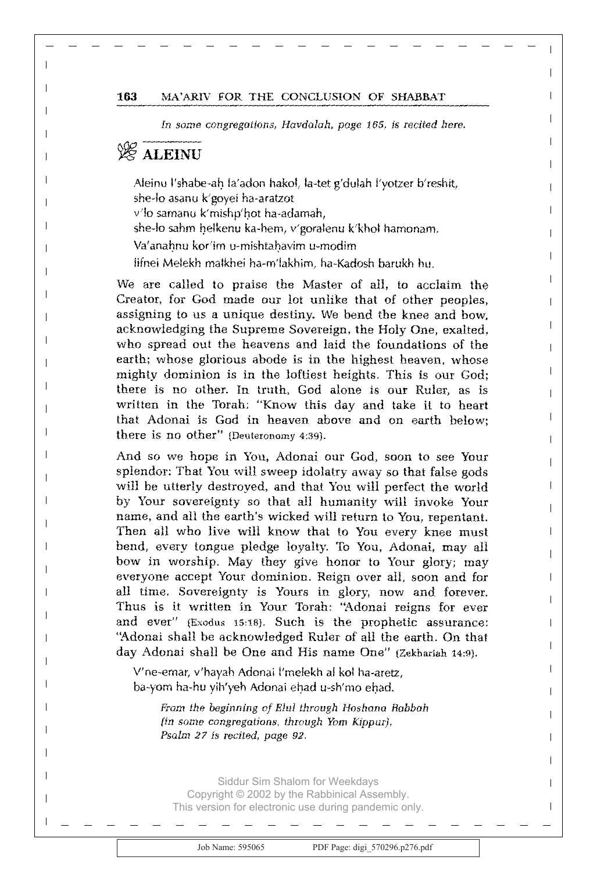In some congregations, Havdalah, page 165, is recited here.

### **E** ALEINU

Aleinu l'shabe-ah la'adon hakol, la-tet g'dulah l'yotzer b'reshit, she-lo asanu k'govei ha-aratzot v'lo samanu k'mishp'hot ha-adamah, she-lo sahm helkenu ka-hem. v'goralenu k'khol hamonam. Va'anahnu kor'im u-mishtahavim u-modim lifnei Melekh malkhei ha-m'lakhim, ha-Kadosh barukh hu.

We are called to praise the Master of all, to acclaim the Creator, for God made our lot unlike that of other peoples, assigning to us a unique destiny. We bend the knee and bow. acknowledging the Supreme Sovereign, the Holy One, exalted, who spread out the heavens and laid the foundations of the earth; whose glorious abode is in the highest heaven, whose mighty dominion is in the loftiest heights. This is our God; there is no other. In truth, God alone is our Ruler, as is written in the Torah: "Know this day and take it to heart that Adonai is God in heaven above and on earth below: there is no other" (Deuteronomy 4:39).

And so we hope in You, Adonai our God, soon to see Your splendor: That You will sweep idolatry away so that false gods will be utterly destroyed, and that You will perfect the world by Your sovereignty so that all humanity will invoke Your name, and all the earth's wicked will return to You, repentant. Then all who live will know that to You every knee must bend, every tongue pledge loyalty. To You, Adonai, may all bow in worship. May they give honor to Your glory; may everyone accept Your dominion. Reign over all, soon and for all time. Sovereignty is Yours in glory, now and forever. Thus is it written in Your Torah: "Adonai reigns for ever and ever" (Exodus 15:18). Such is the prophetic assurance: "Adonai shall be acknowledged Ruler of all the earth. On that day Adonai shall be One and His name One" (Zekhariah 14:9).

V'ne-emar, v'hayah Adonai l'melekh al kol ha-aretz, ba-yom ha-hu yih'yeh Adonai ehad u-sh'mo ehad.

From the beginning of Elul through Hoshana Rabbah (in some congregations, through Yom Kippur), Psalm 27 is recited, page 92.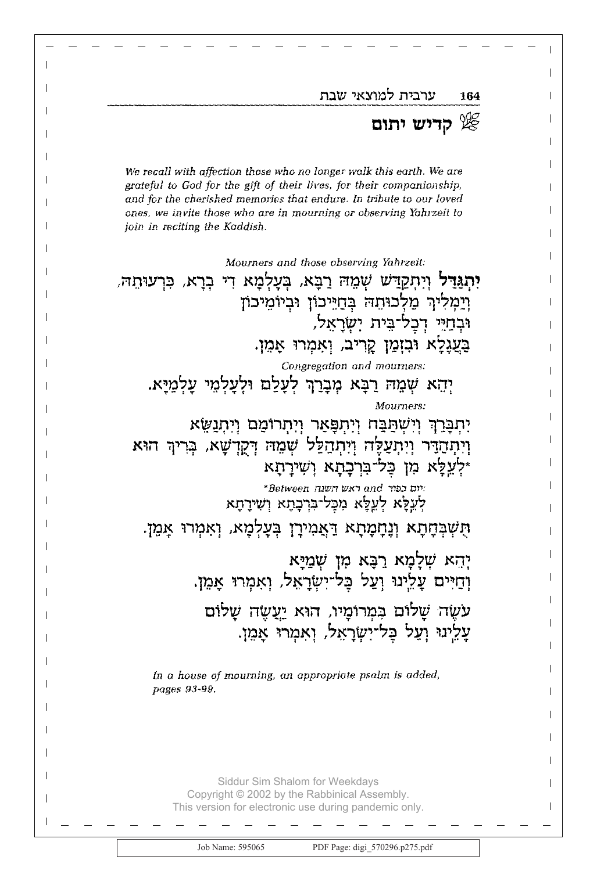### קדיש יתום  $\mathbb{Z}$

We recall with affection those who no longer walk this earth. We are grateful to God for the gift of their lives, for their companionship, and for the cherished memories that endure. In tribute to our loved ones, we invite those who are in mourning or observing Yahrzeit to join in reciting the Kaddish.

Mourners and those observing Yahrzeit. וְתְגַּדֵּל וְיִתְקַדֵּשׁ שְׁמֶה רַבָּא, בְּעָלְמָא דִי בְרָא, כִּרְעוּתֶה, וימליה מלכותה בחייכון וביומיכון ּיִבְחֲיֵי דְכָל־בֵּית יְשְׂרָאֵל, בַּעֲגַלַא וּבְזְמַן קַרִיב, וְאִמְרוּ אֲמֵן. Congregation and mourners. יְהֵא שְׁמֵהּ רַבָּא מְבָרַךְ לְעָלַם וּלְעָלְמֵי עָלְמַיָּא. **Mourners** ותכּרַךְ וישתכח ויתפאר ויתרומם ויתנשא וִיתִהַדֵּר וְיִתְעַלֵּה וְיִתְהַלַּל שָׁמֶהּ דְּקָדְשָׁא, בִּרִיךְ הוּא יִלְעֵלָּא מִן כַּל־בִּרְבָתָא וְשִׁירַתָא יום כפור and ראש השנה Between\* לְעֵלָּא לְעֱלַּא מִכְּל־בְּרְכָתָא וְשִׁירַתַא הַשְׁבְּחָתָא וְנֶחָמָתָא דַּאֲמִירָן בְּעַלְמַא, וְאִמְרוּ אַמֵן. יִהָא שָׁלָמָא רַבָּא מִן שְׁמַיַּא וְחַיִּים עָלֵינוּ וְעַל בַּל־יְשְׂרָאֵל, וְאִמְרוּ אַמֶן. עשה שלום במרומיו, הוא יעשה שלום עַלֵינוּ וְעַל כַּל־יְשָׂרַאֵל, וְאִמְרוּ אַמֵן.

In a house of mourning, an appropriate psalm is added, pages 93-99.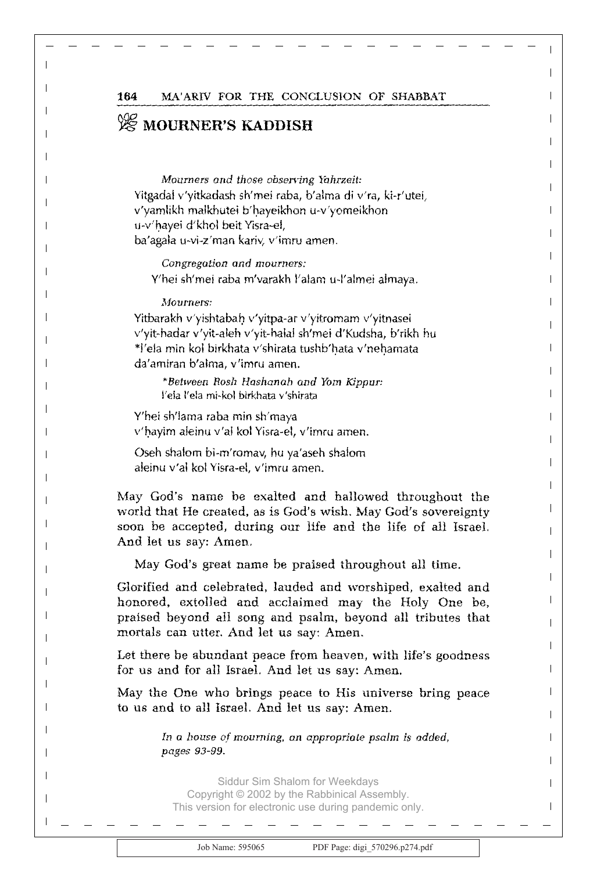### **W** MOURNER'S KADDISH

Mourners and those observing Yahrzeit: Yitgadal v'yitkadash sh'mei raba, b'alma di v'ra, ki-r'utei, v'yamlikh malkhutei b'hayeikhon u-v'yomeikhon u-v'hayei d'khol beit Yisra-el, ba'agala u-vi-z'man kariv, v'imru amen.

Congregation and mourners: Y'hei sh'mei raba m'varakh l'alam u-l'almei almaya.

#### Mourners:

Yitbarakh v'yishtabah v'yitpa-ar v'yitromam v'yitnasei v'yit-hadar v'yit-aleh v'yit-halal sh'mei d'Kudsha, b'rikh hu \*l'ela min kol birkhata v'shirata tushb'hata v'nehamata da'amiran b'alma, v'imru amen.

\*Between Rosh Hashanah and Yom Kippur: l'ela l'ela mi-kol birkhata v'shirata

Y'hei sh'lama raba min sh'maya v'hayim aleinu v'al kol Yisra-el, v'imru amen.

Oseh shalom bi-m'romav, hu ya'aseh shalom aleinu v'al kol Yisra-el, v'imru amen.

May God's name be exalted and hallowed throughout the world that He created, as is God's wish. May God's sovereignty soon be accepted, during our life and the life of all Israel. And let us say: Amen.

May God's great name be praised throughout all time.

Glorified and celebrated, lauded and worshiped, exalted and honored, extolled and acclaimed may the Holy One be, praised beyond all song and psalm, beyond all tributes that mortals can utter. And let us say: Amen.

Let there be abundant peace from heaven, with life's goodness for us and for all Israel. And let us say: Amen.

May the One who brings peace to His universe bring peace to us and to all Israel. And let us say: Amen.

> In a house of mourning, an appropriate psalm is added, pages 93-99.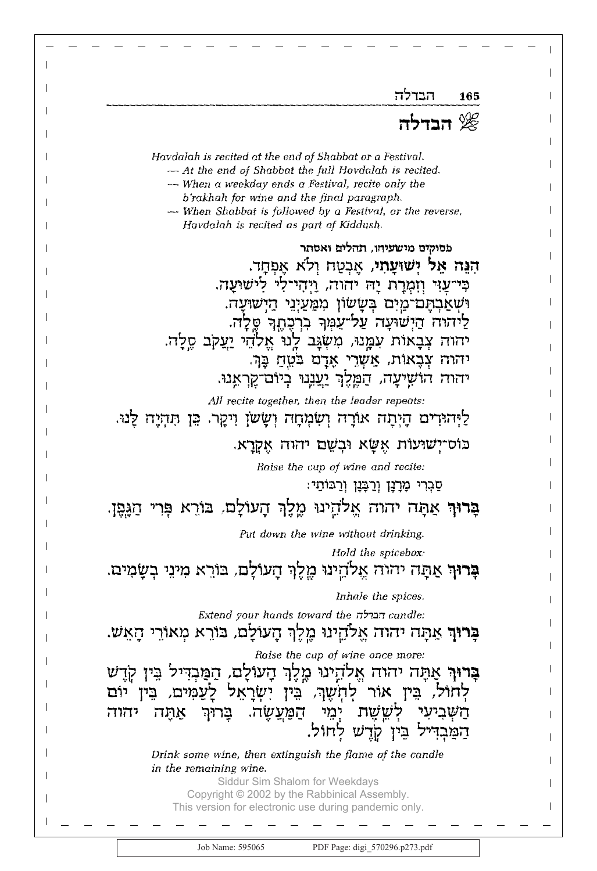Havdalah is recited as part of Kiddush. פסוקים מישעיהו, תהלים ואסתר

הבדלה

י הבדלה 19

165

הנה אל ישועתי, אכטח ולא אפחר. בִּי־עֲזִי וְזִמְרַת יַה יהוה, וַיְהִי־לִי לִישׁוּעַה. ושאבתם־מים בששון ממעיני הישועה. ליהוה הישועה על־עַמְרּ בְרְבָתֵךְ סֵלָה. יהוה צְבָאוֹת עִמֲנוּ, מִשְׂגָּב לָנוּ אֵלֹהֵי יַעֲקֹב סֵלַה. יהוה צְבָאוֹת, אַשְרֵי אָדָם בֹּטֵחַ בָּךְ. יהוה הוֹשִׁיעָה, הַמֶּלֵךְ יַעֲנֵנוּ בִיוֹם־קַרְאֵנוּ.

-- When Shabbat is followed by a Festival, or the reverse,

All recite together, then the leader repeats: לַיְהוּדִים הָיִתָה אוֹרָה וְשִׂמְחָה וְשָׂשׂן וִיקָר. כֵּן תִּהְיֶה לַנוּ.

Havdalah is recited at the end of Shabbat or a Festival. - At the end of Shabbat the full Havdalah is recited. --- When a weekday ends a Festival, recite only the b'rakhah for wine and the final paragraph.

כּוֹס־יִשׁוּעוֹת אֵשָׂא וּבִשֶׁם יהוה אֵקְרָא.

Raise the cup of wine and recite:

סַבְרִי מָרָנָן וְרַבָּנָן וְרַבּוֹתֵי:

**בָרוּךְ** אַתָּה יהוה אֱלֹהֵינוּ מֶלֵךְ הָעוֹלָם, בּוֹרֵא פִּרִי הַגַּפֵן.

Put down the wine without drinking.

Hold the spicebox:

בָרוּךְ אַתָּה יהוה אֱלֹהִינוּ מֶלֶךְ הָעוֹלָם, בּוֹרֵא מִינֵי בְשָׂמִים.

בְּרוּךְ אַתָּה יהוה אֱלֹהֵינוּ מֶלֶךְ הָעוֹלָם, בּוֹרֵא מְאוֹרֵי הַאֲשׁ.

בָרוּךְ אַתָּה יהוה אֵלֹהֵינוּ מֵלֵךְ הָעוֹלָם, הַמֲבִדִּיל בֵּין קַדֵּשׁ לְחוֹל, בִּין אוֹר לְחְשֶׁךָ, בִּין יִשְׂרָאֵל לַעֲמִים, בֵּין יוֹם

Drink some wine, then extinguish the flame of the candle

Siddur Sim Shalom for Weekdays Copyright © 2002 by the Rabbinical Assembly. This version for electronic use during pandemic only.

in the remaining wine.

יהוה

Inhale the spices.

הַמַּבְדִיל בִּין קְדֵשׁ לִחוֹל.

Extend your hands toward the הבדלה

הַשְׁבִיעִי לְשֵׁשָׁת יְמֵי הַמַּעֲשֶׂה. בָּרוּךְ אַתָּה

Raise the cup of wine once more: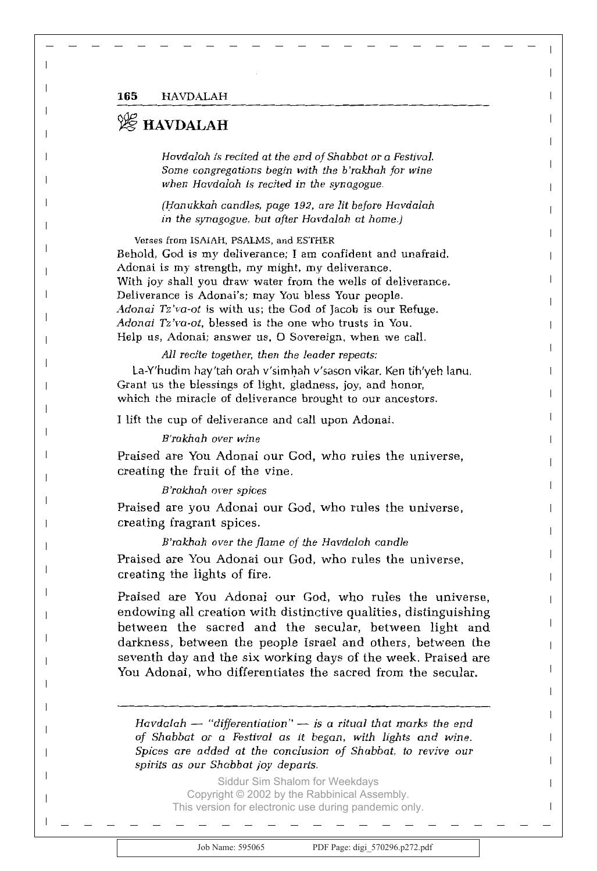### **WE HAVDALAH**

Havdalah is recited at the end of Shabbat or a Festival. Some congregations begin with the b'rakhah for wine when Havdalah is recited in the synagogue.

(Hanukkah candles, page 192, are lit before Havdalah in the synagogue, but after Havdalah at home.)

Verses from ISAIAH, PSALMS, and ESTHER Behold, God is my deliverance; I am confident and unafraid. Adonai is my strength, my might, my deliverance. With joy shall you draw water from the wells of deliverance. Deliverance is Adonai's; may You bless Your people. Adonai Tz'va-ot is with us: the God of Jacob is our Refuge. Adonai Tz'va-ot, blessed is the one who trusts in You. Help us, Adonai; answer us, O Sovereign, when we call.

All recite together, then the leader repeats:

La-Y'hudim hay'tah orah v'simhah v'sason vikar. Ken tih'yeh lanu. Grant us the blessings of light, gladness, joy, and honor, which the miracle of deliverance brought to our ancestors.

I lift the cup of deliverance and call upon Adonai.

B'rakhah over wine

Praised are You Adonai our God, who rules the universe, creating the fruit of the vine.

#### B'rakhah over spices

Praised are you Adonai our God, who rules the universe. creating fragrant spices.

#### B'rakhah over the flame of the Havdalah candle

Praised are You Adonai our God, who rules the universe. creating the lights of fire.

Praised are You Adonai our God, who rules the universe, endowing all creation with distinctive qualities, distinguishing between the sacred and the secular, between light and darkness, between the people Israel and others, between the seventh day and the six working days of the week. Praised are You Adonai, who differentiates the sacred from the secular.

Havdalah  $-$  "differentiation"  $-$  is a ritual that marks the end of Shabbat or a Festival as it began, with lights and wine. Spices are added at the conclusion of Shabbat, to revive our spirits as our Shabbat joy departs.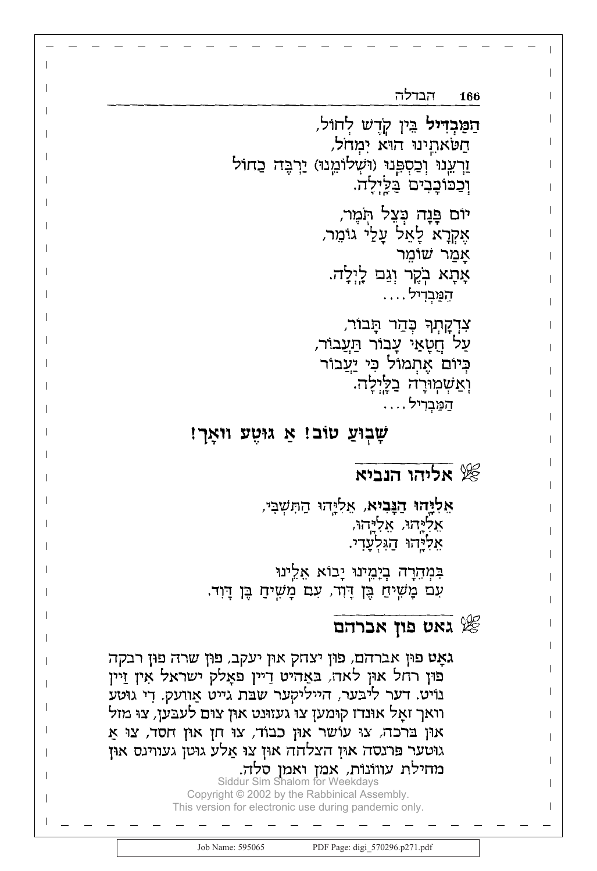הַמַּבְדִּיל בִּין קָדֵשׁ לְחוֹל, חַטֹּאחֱינוּ הוּא יִמְחֹל, זַרְעֵנוּ וְבַסְפֵּנוּ (וּשָׁלוֹמֵנוּ) יַרְבֵּה כַחוֹל וִכַּכּוֹכָבִים בַּלֵּיְלָה. יוֹם פַּנָה כְּצֵל תִּמֶר, אָקְרָא לָאֵל עָלַי גוֹמֵר, אַמַר שוֹמֵר אָתָא בְקֶר וְגַם לַיְלָה. הַמַּבְדִיל צִדְקַתְךָ כְּהַר תַּבוֹר, על חֵטָאֵי עַבוֹר תַּעֲבוֹר, כיום אתמול כי יעבור וְאַשְׁמְוּרָה בַלֶּיְלָה. ּהַמַּבִדִיל

### שַׁבְוּעַ טוֹב! אַ גוּטֵע וואַך!

### ⊗ אליהו הנביא

אֵלְיָהוּ הַנָּבִיא, אֵלִיְהוּ הַתִּשְׁבִּי, אֵלְיֶהוּ, אֵלְיֶהוּ, אַלִייֲהוּ הַגִּלְעָדִי.

בִּמְהֶרָה בְיָמֵינוּ יָבוֹא אֶלֵינוּ עִם מַשִׁיחַ בֶּן דָוִד, עִם מָשִׁיחַ בֶּן דָוִד.

### גאט פון אברהם  $\mathscr{\mathscr{C}}$

גאָט פון אברהם, פון יצחק און יעקב, פון שרה פון רבקה פון רחל און לאה, באַהיט דַיין פאָלק ישראל אִין זַיין נויט. דער ליבער, הייליקער שבת גייט אַוועק. די גוּטע וואך זאַל אוּנדז קוּמען צוּ געזוּנט אוּן צוּם לעבּען, צוּ מזל און ברכה, צו עושר און כבוד, צו חן און חסד, צו אַ גוטער פרנסה און הצלחה און צו אַלע גוטן געווינס און מחילת עווונות, אמן ואמן סלה.<br>Siddur Sim Shalom for Weekdays

Copyright © 2002 by the Rabbinical Assembly. This version for electronic use during pandemic only.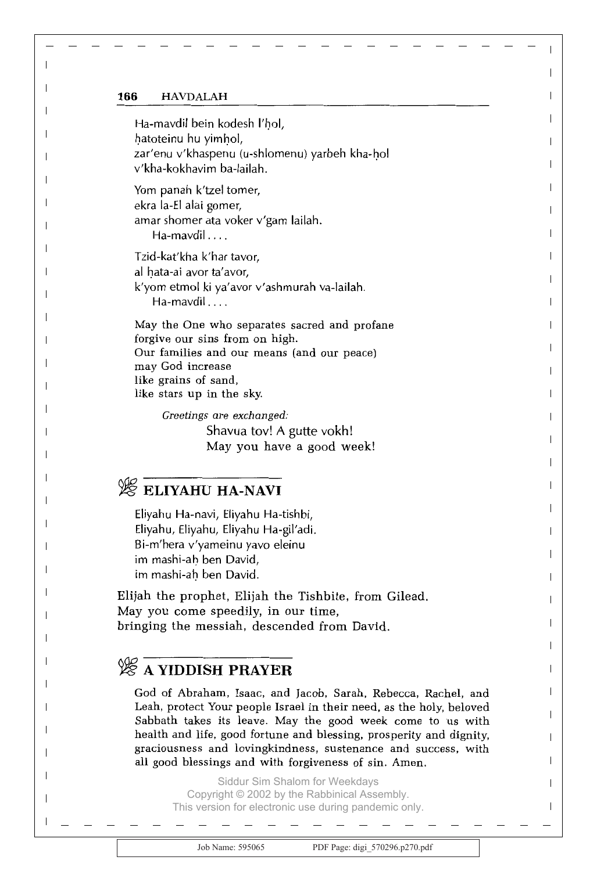#### 166 **HAVDALAH**

Ha-mavdil bein kodesh l'hol, hatoteinu hu yimhol, zar'enu y'khaspenu (u-shlomenu) varbeh kha-hol v'kha-kokhavim ba-lailah. Yom panah k'tzel tomer. ekra la-El alai gomer, amar shomer ata voker v'gam lailah.  $Ha$ -mavdi $\ldots$ Tzid-kat'kha k'har tavor. al hata-ai avor ta'avor. k'yom etmol ki ya'avor y'ashmurah ya-lailah.  $Ha$ -mavdi $\ldots$ May the One who separates sacred and profane forgive our sins from on high. Our families and our means (and our peace) may God increase like grains of sand,

like stars up in the sky.

Greetings are exchanged: Shavua tov! A gutte vokh! May you have a good week!

### **WE ELIYAHU HA-NAVI**

Eliyahu Ha-navi, Eliyahu Ha-tishbi, Eliyahu, Eliyahu, Eliyahu Ha-gil'adi. Bi-m'hera v'yameinu yavo eleinu im mashi-ah ben David. im mashi-ah ben David.

Elijah the prophet, Elijah the Tishbite, from Gilead. May you come speedily, in our time, bringing the messiah, descended from David.

### **WE A YIDDISH PRAYER**

God of Abraham, Isaac, and Jacob, Sarah, Rebecca, Rachel, and Leah, protect Your people Israel in their need, as the holy, beloved Sabbath takes its leave. May the good week come to us with health and life, good fortune and blessing, prosperity and dignity, graciousness and lovingkindness, sustenance and success, with all good blessings and with forgiveness of sin. Amen.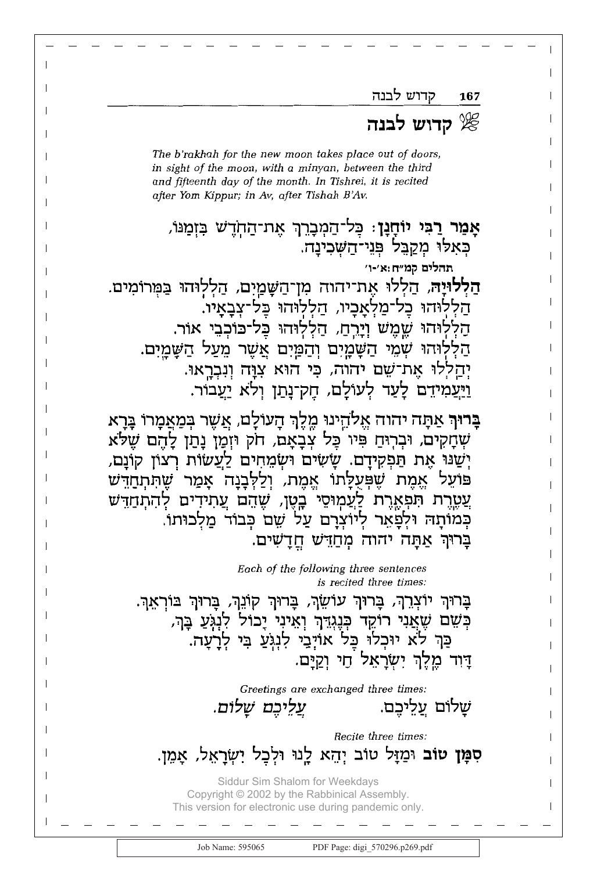### קדוש לבנה  $\mathscr{\mathscr{E}}$

The b'rakhah for the new moon takes place out of doors, in sight of the moon, with a minyan, between the third and fifteenth day of the month. In Tishrei, it is recited after Yom Kippur; in Av, after Tishah B'Av.

**אַמַר רַבִּי יוֹחַנֵן**: כַּל־הַמַבְרֵךְ אַת־הַחֹדֵשׁ בּזמנּוֹ, בְּאִלוּ מְקַבֵּל פְּנֵי־הַשְׁכִינַה.

תהלים קמ״ח:א׳-ו׳

- הַלְלוּיָהּ, הַלְלוּ אֶת־יהוה מִן־הַשָּׁמַיִם, הַלְלְוּהוּ בַּמְּרוֹמִים. הַלְלְוּהוּ כָל־מַלְאָבָיו, הַלְלְוּהוּ כַּל־צְבָאָיו. הַלְלְוּהוּ שֶׁמֵשׁ וְיַרֵחַ, הַלְלְוּהוּ כַּל־כּוֹכְבֵי אוֹר. הַלְלְוּהוּ שְׁמֵי הַשָּׁמֲיִם וְהַמַּיִם אֲשֶׁר מֵעַל הַשָּׁמַיִם. יִהַלְלוּ אֶת־שֶׁם יהוה, כִּי הוּא צְוַה וְנִבְרֵאוּ. וַיַּעֲמִידֵם לָעַד לִעוֹלַם, חַק־נָתַן וְלֹא יַעֲבוֹר.
- בָּרוּךְ אַתָּה יהוה אֱלֹהֵינוּ מֶלֶךְ הָעוֹלָם, אֲשֶׁר בְּמַאֲמָרוֹ בָּרָא שְׁחָקִים, וּבְרְוּחַ פִּיוּ כַּל צְבָאָם, חֹק וּזְמַן נָתַן לָהֶם שֵׁלֹא יְשַׁנּוּ אֶת תַּפְקִידָם. שָׂשִׂים וּשִׂמֵחִים לַעֲשׂוֹת רִצוֹן קוֹנַם, פּוֹעֵל אֱמֶת שֶׁפְּעָלָתוֹ אֱמֶת, וְלַלְבַנַה אֲמַר שֶׁתְּתְחֲדֵשׁ עֲטֶרֶת תִּפְאֶרֶת לַעֲמְוּסֵי בָטֶן, שֶׁהֵם עֲתִידִים לְהִתְחַדֵּשׁ כמותה ולפאר ליוצרם על שם כבוד מלכותו. בַרוּךְ אַתַּה יהוה מִחַדֵּשׁ חֲדַשִׁים.

Each of the following three sentences is recited three times:

בָּרוּךְ יוֹצְרֵךְ, בָּרוּךְ עוֹשֵׂךְ, בָּרוּךְ קוֹנֵךְ, בַּרוּךְ בּוֹרָאֵךְ. כִּשֶׁם שֶׁאֲנִי רוֹקֵד כִּנֵגְדֶךְ וְאֵינִי יַכוֹל לְנִגְּעַ בַּךְ, כַּךְ לְא יוּכְלוּ כָּל אוֹיְבַי לִנְגְּעַ בִּי לְרָעָה. דָוִד מֶלֶךְ יִשְׂרָאֵל חַי וְקַיַּם.

Greetings are exchanged three times:

עֵלֵיכֶם שַׁלּוֹם. שַלום עֲלִיכֶם.

Recite three times:

סִמָּן טוֹב וּמַזָל טוֹב יְהָא לֵנוּ וּלְבַל יִשְׂרָאֵל, אָמֵן.